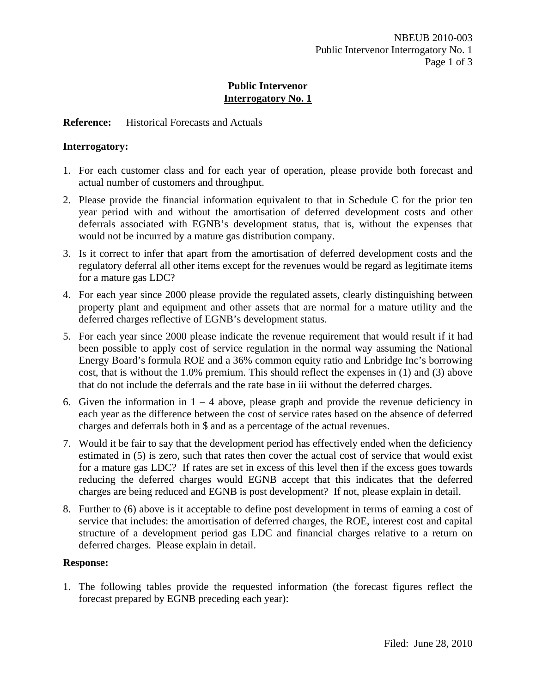#### **Reference:** Historical Forecasts and Actuals

## **Interrogatory:**

- 1. For each customer class and for each year of operation, please provide both forecast and actual number of customers and throughput.
- 2. Please provide the financial information equivalent to that in Schedule C for the prior ten year period with and without the amortisation of deferred development costs and other deferrals associated with EGNB's development status, that is, without the expenses that would not be incurred by a mature gas distribution company.
- 3. Is it correct to infer that apart from the amortisation of deferred development costs and the regulatory deferral all other items except for the revenues would be regard as legitimate items for a mature gas LDC?
- 4. For each year since 2000 please provide the regulated assets, clearly distinguishing between property plant and equipment and other assets that are normal for a mature utility and the deferred charges reflective of EGNB's development status.
- 5. For each year since 2000 please indicate the revenue requirement that would result if it had been possible to apply cost of service regulation in the normal way assuming the National Energy Board's formula ROE and a 36% common equity ratio and Enbridge Inc's borrowing cost, that is without the 1.0% premium. This should reflect the expenses in (1) and (3) above that do not include the deferrals and the rate base in iii without the deferred charges.
- 6. Given the information in  $1 4$  above, please graph and provide the revenue deficiency in each year as the difference between the cost of service rates based on the absence of deferred charges and deferrals both in \$ and as a percentage of the actual revenues.
- 7. Would it be fair to say that the development period has effectively ended when the deficiency estimated in (5) is zero, such that rates then cover the actual cost of service that would exist for a mature gas LDC? If rates are set in excess of this level then if the excess goes towards reducing the deferred charges would EGNB accept that this indicates that the deferred charges are being reduced and EGNB is post development? If not, please explain in detail.
- 8. Further to (6) above is it acceptable to define post development in terms of earning a cost of service that includes: the amortisation of deferred charges, the ROE, interest cost and capital structure of a development period gas LDC and financial charges relative to a return on deferred charges. Please explain in detail.

#### **Response:**

1. The following tables provide the requested information (the forecast figures reflect the forecast prepared by EGNB preceding each year):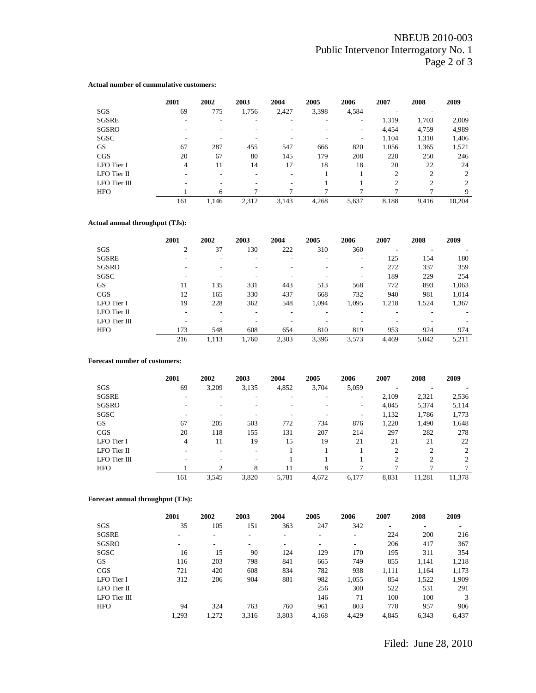#### **Actual number of cummulative customers:**

|              | 2001 | 2002                     | 2003                     | 2004  | 2005         | 2006  | 2007           | 2008           | 2009   |
|--------------|------|--------------------------|--------------------------|-------|--------------|-------|----------------|----------------|--------|
| SGS          | 69   | 775                      | 1,756                    | 2,427 | 3,398        | 4,584 | -              |                |        |
| <b>SGSRE</b> |      | ۰                        |                          |       |              | ۰     | 1,319          | 1,703          | 2,009  |
| SGSRO        |      |                          |                          |       |              | ۰     | 4,454          | 4,759          | 4,989  |
| SGSC         |      |                          |                          |       |              | ۰     | 1,104          | 1,310          | 1,406  |
| <b>GS</b>    | 67   | 287                      | 455                      | 547   | 666          | 820   | 1,056          | 1,365          | 1,521  |
| CGS          | 20   | 67                       | 80                       | 145   | 179          | 208   | 228            | 250            | 246    |
| LFO Tier I   | 4    | 11                       | 14                       | 17    | 18           | 18    | 20             | 22             | 24     |
| LFO Tier II  |      | $\overline{\phantom{a}}$ | $\overline{\phantom{a}}$ | -     |              |       | $\overline{2}$ | $\overline{c}$ | 2      |
| LFO Tier III |      | $\overline{\phantom{a}}$ |                          | -     |              |       | $\overline{c}$ | $\overline{c}$ | 2      |
| <b>HFO</b>   |      | 6                        | ┑                        | 7     | $\mathbf{r}$ |       |                |                | 9      |
|              | 161  | 1.146                    | 2,312                    | 3,143 | 4,268        | 5,637 | 8,188          | 9,416          | 10,204 |

#### **Actual annual throughput (TJs):**

|              | 2001 | 2002  | 2003  | 2004  | 2005  | 2006  | 2007  | 2008  | 2009  |
|--------------|------|-------|-------|-------|-------|-------|-------|-------|-------|
| SGS          | 2    | 37    | 130   | 222   | 310   | 360   |       |       |       |
| SGSRE        |      | ۰     |       |       |       | -     | 125   | 154   | 180   |
| SGSRO        |      |       |       |       |       | ۰     | 272   | 337   | 359   |
| SGSC         |      |       |       |       |       |       | 189   | 229   | 254   |
| <b>GS</b>    | 11   | 135   | 331   | 443   | 513   | 568   | 772   | 893   | 1,063 |
| CGS          | 12   | 165   | 330   | 437   | 668   | 732   | 940   | 981   | 1,014 |
| LFO Tier I   | 19   | 228   | 362   | 548   | 1,094 | 1,095 | 1,218 | 1,524 | 1,367 |
| LFO Tier II  |      |       |       |       |       |       |       |       |       |
| LFO Tier III |      |       |       |       |       |       |       |       |       |
| <b>HFO</b>   | 173  | 548   | 608   | 654   | 810   | 819   | 953   | 924   | 974   |
|              | 216  | 1.113 | 1,760 | 2,303 | 3,396 | 3.573 | 4,469 | 5,042 | 5,211 |

#### **Forecast number of customers:**

|                  | 2001           | 2002  | 2003  | 2004  | 2005  | 2006  | 2007           | 2008           | 2009                        |
|------------------|----------------|-------|-------|-------|-------|-------|----------------|----------------|-----------------------------|
| SGS              | 69             | 3.209 | 3.135 | 4,852 | 3.704 | 5,059 |                |                |                             |
| <b>SGSRE</b>     |                |       |       |       |       | ٠     | 2,109          | 2,321          | 2,536                       |
| SGSRO            |                |       |       |       |       | ۰     | 4,045          | 5,374          | 5,114                       |
| SGSC             | ۰              | ۰     |       |       |       | ٠     | 1,132          | 1,786          | 1,773                       |
| <b>GS</b>        | 67             | 205   | 503   | 772   | 734   | 876   | 1,220          | 1,490          | 1,648                       |
| CGS              | 20             | 118   | 155   | 131   | 207   | 214   | 297            | 282            | 278                         |
| LFO Tier I       | $\overline{4}$ | 11    | 19    | 15    | 19    | 21    | 21             | 21             | 22                          |
| LFO Tier II      |                |       |       |       |       |       | $\overline{c}$ | $\overline{c}$ | 2                           |
| $LFO$ Tier $III$ |                |       |       |       |       |       | $\mathfrak{D}$ | C              | $\mathcal{D}_{\mathcal{L}}$ |
| <b>HFO</b>       |                | C.    | 8     | 11    | 8     |       |                |                |                             |
|                  | 161            | 3.545 | 3,820 | 5,781 | 4,672 | 6,177 | 8,831          | 11,281         | 11,378                      |

#### **Forecast annual throughput (TJs):**

|              | 2001  | 2002 | 2003  | 2004  | 2005                     | 2006                     | 2007  | 2008  | 2009  |
|--------------|-------|------|-------|-------|--------------------------|--------------------------|-------|-------|-------|
| SGS          | 35    | 105  | 151   | 363   | 247                      | 342                      |       | ۰     |       |
| <b>SGSRE</b> |       |      | ۰     | ۰     | $\overline{\phantom{a}}$ | $\overline{\phantom{a}}$ | 224   | 200   | 216   |
| SGSRO        | ۰     | ۰    | ۰     | ۰     | $\overline{\phantom{a}}$ | $\overline{\phantom{a}}$ | 206   | 417   | 367   |
| SGSC         | 16    | 15   | 90    | 124   | 129                      | 170                      | 195   | 311   | 354   |
| <b>GS</b>    | 116   | 203  | 798   | 841   | 665                      | 749                      | 855   | 1.141 | 1,218 |
| CGS          | 721   | 420  | 608   | 834   | 782                      | 938                      | 1,111 | 1,164 | 1,173 |
| LFO Tier I   | 312   | 206  | 904   | 881   | 982                      | 1,055                    | 854   | 1,522 | 1,909 |
| LFO Tier II  |       |      |       |       | 256                      | 300                      | 522   | 531   | 291   |
| LFO Tier III |       |      |       |       | 146                      | 71                       | 100   | 100   |       |
| <b>HFO</b>   | 94    | 324  | 763   | 760   | 961                      | 803                      | 778   | 957   | 906   |
|              | 1.293 | .272 | 3.316 | 3,803 | 4,168                    | 4,429                    | 4.845 | 6,343 | 6,437 |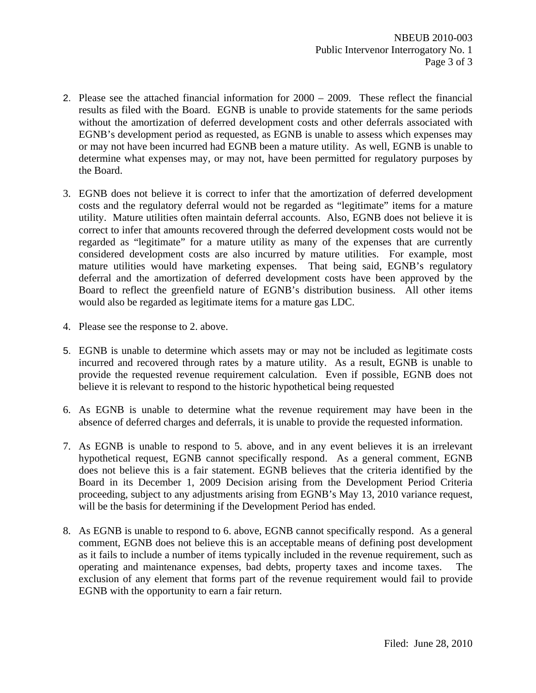- 2. Please see the attached financial information for 2000 2009. These reflect the financial results as filed with the Board. EGNB is unable to provide statements for the same periods without the amortization of deferred development costs and other deferrals associated with EGNB's development period as requested, as EGNB is unable to assess which expenses may or may not have been incurred had EGNB been a mature utility. As well, EGNB is unable to determine what expenses may, or may not, have been permitted for regulatory purposes by the Board.
- 3. EGNB does not believe it is correct to infer that the amortization of deferred development costs and the regulatory deferral would not be regarded as "legitimate" items for a mature utility. Mature utilities often maintain deferral accounts. Also, EGNB does not believe it is correct to infer that amounts recovered through the deferred development costs would not be regarded as "legitimate" for a mature utility as many of the expenses that are currently considered development costs are also incurred by mature utilities. For example, most mature utilities would have marketing expenses. That being said, EGNB's regulatory deferral and the amortization of deferred development costs have been approved by the Board to reflect the greenfield nature of EGNB's distribution business. All other items would also be regarded as legitimate items for a mature gas LDC.
- 4. Please see the response to 2. above.
- 5. EGNB is unable to determine which assets may or may not be included as legitimate costs incurred and recovered through rates by a mature utility. As a result, EGNB is unable to provide the requested revenue requirement calculation. Even if possible, EGNB does not believe it is relevant to respond to the historic hypothetical being requested
- 6. As EGNB is unable to determine what the revenue requirement may have been in the absence of deferred charges and deferrals, it is unable to provide the requested information.
- 7. As EGNB is unable to respond to 5. above, and in any event believes it is an irrelevant hypothetical request, EGNB cannot specifically respond. As a general comment, EGNB does not believe this is a fair statement. EGNB believes that the criteria identified by the Board in its December 1, 2009 Decision arising from the Development Period Criteria proceeding, subject to any adjustments arising from EGNB's May 13, 2010 variance request, will be the basis for determining if the Development Period has ended.
- 8. As EGNB is unable to respond to 6. above, EGNB cannot specifically respond. As a general comment, EGNB does not believe this is an acceptable means of defining post development as it fails to include a number of items typically included in the revenue requirement, such as operating and maintenance expenses, bad debts, property taxes and income taxes. The exclusion of any element that forms part of the revenue requirement would fail to provide EGNB with the opportunity to earn a fair return.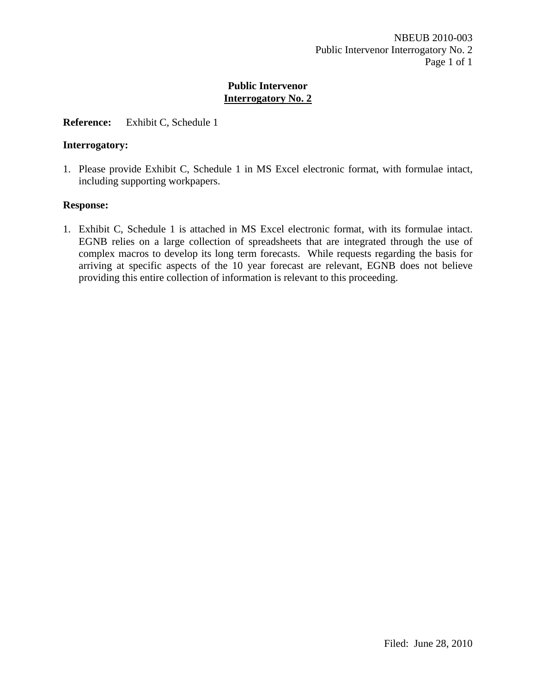#### **Reference:** Exhibit C, Schedule 1

#### **Interrogatory:**

1. Please provide Exhibit C, Schedule 1 in MS Excel electronic format, with formulae intact, including supporting workpapers.

#### **Response:**

1. Exhibit C, Schedule 1 is attached in MS Excel electronic format, with its formulae intact. EGNB relies on a large collection of spreadsheets that are integrated through the use of complex macros to develop its long term forecasts. While requests regarding the basis for arriving at specific aspects of the 10 year forecast are relevant, EGNB does not believe providing this entire collection of information is relevant to this proceeding.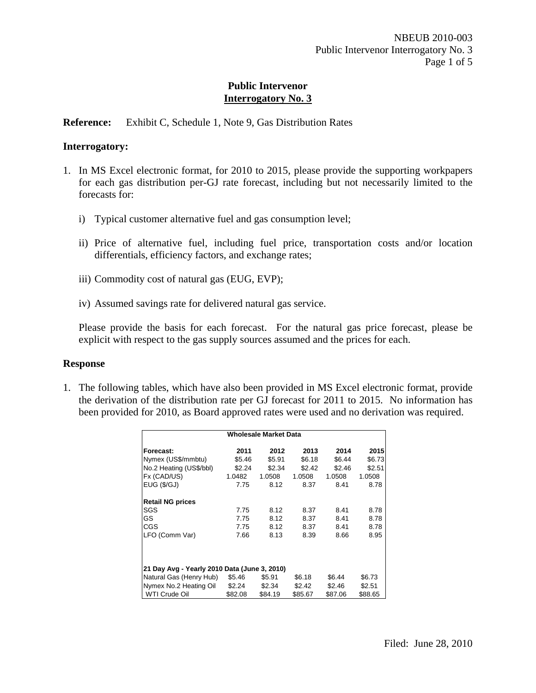#### **Reference:** Exhibit C, Schedule 1, Note 9, Gas Distribution Rates

#### **Interrogatory:**

- 1. In MS Excel electronic format, for 2010 to 2015, please provide the supporting workpapers for each gas distribution per-GJ rate forecast, including but not necessarily limited to the forecasts for:
	- i) Typical customer alternative fuel and gas consumption level;
	- ii) Price of alternative fuel, including fuel price, transportation costs and/or location differentials, efficiency factors, and exchange rates;
	- iii) Commodity cost of natural gas (EUG, EVP);
	- iv) Assumed savings rate for delivered natural gas service.

Please provide the basis for each forecast. For the natural gas price forecast, please be explicit with respect to the gas supply sources assumed and the prices for each.

#### **Response**

1. The following tables, which have also been provided in MS Excel electronic format, provide the derivation of the distribution rate per GJ forecast for 2011 to 2015. No information has been provided for 2010, as Board approved rates were used and no derivation was required.

|                                              |         | <b>Wholesale Market Data</b> |         |         |         |
|----------------------------------------------|---------|------------------------------|---------|---------|---------|
| Forecast:                                    | 2011    | 2012                         | 2013    | 2014    | 2015    |
| Nymex (US\$/mmbtu)                           | \$5.46  | \$5.91                       | \$6.18  | \$6.44  | \$6.73  |
| No.2 Heating (US\$/bbl)                      | \$2.24  | \$2.34                       | \$2.42  | \$2.46  | \$2.51  |
| Fx (CAD/US)                                  | 1.0482  | 1.0508                       | 1.0508  | 1.0508  | 1.0508  |
| EUG ( \$/GJ)                                 | 7.75    | 8.12                         | 8.37    | 8.41    | 8.78    |
| <b>Retail NG prices</b>                      |         |                              |         |         |         |
| SGS                                          | 7.75    | 8.12                         | 8.37    | 8.41    | 8.78    |
| GS                                           | 7.75    | 8.12                         | 8.37    | 8.41    | 8.78    |
| CGS                                          | 7.75    | 8.12                         | 8.37    | 8.41    | 8.78    |
| LFO (Comm Var)                               | 7.66    | 8.13                         | 8.39    | 8.66    | 8.95    |
| 21 Day Avg - Yearly 2010 Data (June 3, 2010) |         |                              |         |         |         |
| Natural Gas (Henry Hub)                      | \$5.46  | \$5.91                       | \$6.18  | \$6.44  | \$6.73  |
| Nymex No.2 Heating Oil                       | \$2.24  | \$2.34                       | \$2.42  | \$2.46  | \$2.51  |
| WTI Crude Oil                                | \$82.08 | \$84.19                      | \$85.67 | \$87.06 | \$88.65 |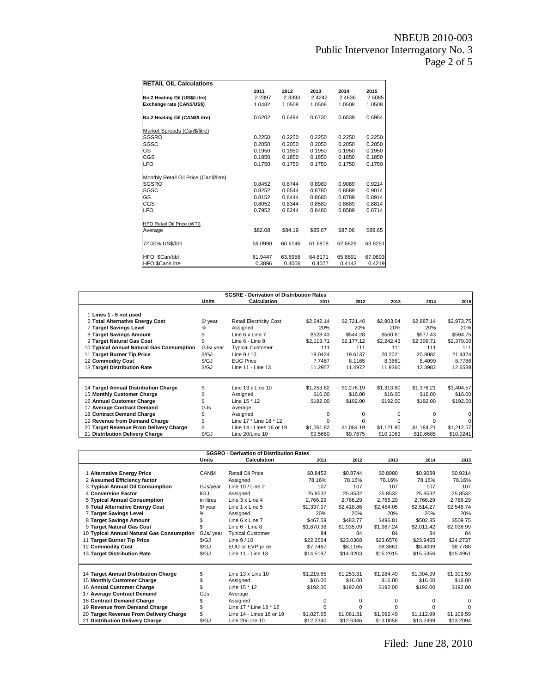| <b>RETAIL OIL Calculations</b>         |         |         |         |         |         |
|----------------------------------------|---------|---------|---------|---------|---------|
|                                        | 2011    | 2012    | 2013    | 2014    | 2015    |
| No.2 Heating Oil (US\$/Litre)          | 2.2397  | 2.3393  | 2.4242  | 2.4636  | 2.5085  |
| Exchange rate (CAN\$/US\$)             | 1.0482  | 1.0508  | 1.0508  | 1.0508  | 1.0508  |
| No.2 Heating Oil (CAN\$/Litre)         | 0.6202  | 0.6494  | 0.6730  | 0.6839  | 0.6964  |
| Market Spreads (Can\$/litre)           |         |         |         |         |         |
| <b>SGSRO</b>                           | 0.2250  | 0.2250  | 0.2250  | 0.2250  | 0.2250  |
| SGSC                                   | 0.2050  | 0.2050  | 0.2050  | 0.2050  | 0.2050  |
| GS                                     | 0.1950  | 0.1950  | 0.1950  | 0.1950  | 0.1950  |
| CGS                                    | 0.1850  | 0.1850  | 0.1850  | 0.1850  | 0.1850  |
| <b>LFO</b>                             | 0.1750  | 0.1750  | 0.1750  | 0.1750  | 0.1750  |
| Monthly Retail Oil Price (Can\$/litre) |         |         |         |         |         |
| <b>SGSRO</b>                           | 0.8452  | 0.8744  | 0.8980  | 0.9089  | 0.9214  |
| SGSC                                   | 0.8252  | 0.8544  | 0.8780  | 0.8889  | 0.9014  |
| GS                                     | 0.8152  | 0.8444  | 0.8680  | 0.8789  | 0.8914  |
| CGS                                    | 0.8052  | 0.8344  | 0.8580  | 0.8689  | 0.8814  |
| <b>LFO</b>                             | 0.7952  | 0.8244  | 0.8480  | 0.8589  | 0.8714  |
| <b>HFO Retail Oil Price (WTI)</b>      |         |         |         |         |         |
| Average                                | \$82.08 | \$84.19 | \$85.67 | \$87.06 | \$88.65 |
| 72.00% US\$/bbl                        | 59.0990 | 60.6146 | 61.6818 | 62.6829 | 63.8251 |
| HFO \$Can/bbl                          | 61.9447 | 63.6956 | 64.8171 | 65.8691 | 67.0693 |
| <b>HFO \$Can/Litre</b>                 | 0.3896  | 0.4006  | 0.4077  | 0.4143  | 0.4219  |

|                                           |                      | <b>SGSRE - Derivation of Distribution Rates</b> |            |            |            |            |            |
|-------------------------------------------|----------------------|-------------------------------------------------|------------|------------|------------|------------|------------|
|                                           | <b>Units</b>         | <b>Calculation</b>                              | 2011       | 2012       | 2013       | 2014       | 2015       |
| 1 Lines 1 - 5 not used                    |                      |                                                 |            |            |            |            |            |
| 6 Total Alternative Energy Cost           | $\sqrt{$}$ year      | <b>Retail Electricity Cost</b>                  | \$2,642.14 | \$2,721.40 | \$2,803.04 | \$2,887.14 | \$2,973.75 |
| 7 Target Savings Level                    | %                    | Assigned                                        | 20%        | 20%        | 20%        | 20%        | 20%        |
| 8 Target Savings Amount                   |                      | Line 6 x Line 7                                 | \$528.43   | \$544.28   | \$560.61   | \$577.43   | \$594.75   |
| 9 Target Natural Gas Cost                 |                      | Line 6 - Line 8                                 | \$2,113.71 | \$2,177,12 | \$2,242.43 | \$2,309.71 | \$2,379.00 |
| 10 Typical Annual Natural Gas Consumption | GJs/ year            | <b>Typical Customer</b>                         | 111        | 111        | 111        | 111        | 111        |
| 11 Target Burner Tip Price                | S/GJ                 | Line $9/10$                                     | 19.0424    | 19.6137    | 20.2021    | 20.8082    | 21.4324    |
| 12 Commodity Cost                         | $\sqrt{\mathcal{G}}$ | <b>EUG Price</b>                                | 7.7467     | 8.1165     | 8.3661     | 8.4099     | 8.7786     |
| 13 Target Distribution Rate               | $\sqrt{\mathcal{G}}$ | Line 11 - Line 13                               | 11.2957    | 11.4972    | 11.8360    | 12.3983    | 12.6538    |
| 14 Target Annual Distribution Charge      |                      | Line $13 \times$ Line $10$                      | \$1,253.82 | \$1,276.19 | \$1,313.80 | \$1,376.21 | \$1,404.57 |
| 15 Monthly Customer Charge                |                      |                                                 | \$16.00    | \$16.00    | \$16.00    | \$16.00    | \$16.00    |
| 16 Annual Customer Charge                 |                      | Assigned<br>Line 15 * 12                        | \$192.00   | \$192.00   | \$192.00   | \$192.00   | \$192.00   |
| 17 Average Contract Demand                | GJs                  |                                                 |            |            |            |            |            |
| 18 Contract Demand Charge                 |                      | Average                                         |            |            |            |            |            |
|                                           |                      | Assigned<br>Line 17 * Line 18 * 12              |            |            |            |            |            |
| 19 Revenue from Demand Charge             |                      |                                                 |            |            |            |            |            |
| 20 Target Revenue From Delivery Charge    |                      | Line 14 - Lines 16 or 19                        | \$1,061.82 | \$1,084.19 | \$1,121.80 | \$1.184.21 | \$1,212.57 |
| 21 Distribution Delivery Charge           | \$/GJ                | Line 20/Line 10                                 | \$9.5660   | \$9.7675   | \$10.1063  | \$10.6685  | \$10.9241  |

|                                           |                      | <b>SGSRO - Derivation of Distribution Rates</b> |            |            |            |              |            |
|-------------------------------------------|----------------------|-------------------------------------------------|------------|------------|------------|--------------|------------|
|                                           | Units                | <b>Calculation</b>                              | 2011       | 2012       | 2013       | 2014         | 2015       |
| 1 Alternative Energy Price                | CAN\$/I              | Retail Oil Price                                | \$0.8452   | \$0.8744   | \$0.8980   | \$0.9089     | \$0.9214   |
| 2 Assumed Efficiency factor               |                      | Assigned                                        | 78.16%     | 78.16%     | 78.16%     | 78.16%       | 78.16%     |
| 3 Typical Annual Oil Consumption          | GJs/year             | Line 10 / Line 2                                | 107        | 107        | 107        | 107          | 107        |
| 4 Conversion Factor                       | I/GJ                 | Assigned                                        | 25.8532    | 25.8532    | 25.8532    | 25.8532      | 25.8532    |
| 5 Typical Annual Consumption              | in litres            | Line 3 x Line 4                                 | 2,766.29   | 2,766.29   | 2.766.29   | 2,766.29     | 2,766.29   |
| 6 Total Alternative Energy Cost           | $\sqrt{$}$ year      | Line 1 x Line 5                                 | \$2,337.97 | \$2,418.86 | \$2,484.05 | \$2,514.27   | \$2,548.74 |
| 7 Target Savings Level                    | %                    | Assigned                                        | 20%        | 20%        | 20%        | 20%          | 20%        |
| 8 Target Savings Amount                   |                      | Line 6 x Line 7                                 | \$467.59   | \$483.77   | \$496.81   | \$502.85     | \$509.75   |
| 9 Target Natural Gas Cost                 |                      | Line 6 - Line 8                                 | \$1,870.38 | \$1,935.09 | \$1,987.24 | \$2,011.42   | \$2,038.99 |
| 10 Typical Annual Natural Gas Consumption | GJs/ year            | <b>Typical Customer</b>                         | 84         | 84         | 84         | 84           | 84         |
| 11 Target Burner Tip Price                | S/GJ                 | Line $9/10$                                     | \$22.2664  | \$23.0368  | \$23.6576  | \$23.9455    | \$24.2737  |
| 12 Commodity Cost                         | $\sqrt{\mathcal{G}}$ | EUG or EVP price                                | \$7.7467   | \$8.1165   | \$8,3661   | \$8.4099     | \$8.7786   |
| 13 Target Distribution Rate               | $\sqrt{\mathcal{G}}$ | Line 11 - Line 13                               | \$14.5197  | \$14.9203  | \$15.2915  | \$15.5356    | \$15.4951  |
|                                           |                      |                                                 |            |            |            |              |            |
| 14 Target Annual Distribution Charge      | S                    | Line 13 x Line 10                               | \$1,219.65 | \$1,253.31 | \$1,284.49 | \$1,304.99   | \$1,301.59 |
| 15 Monthly Customer Charge                |                      | Assigned                                        | \$16.00    | \$16.00    | \$16.00    | \$16.00      | \$16.00    |
| 16 Annual Customer Charge                 |                      | Line 15 * 12                                    | \$192.00   | \$192.00   | \$192.00   | \$192.00     | \$192.00   |
| 17 Average Contract Demand                | GJs                  | Average                                         |            |            |            |              |            |
| 18 Contract Demand Charge                 |                      | Assigned                                        | $\Omega$   | $\Omega$   | 0          | $\Omega$     |            |
| 19 Revenue from Demand Charge             |                      | Line 17 * Line 18 * 12                          | $\Omega$   | $\Omega$   | $\Omega$   | <sup>0</sup> |            |
| 20 Target Revenue From Delivery Charge    |                      | Line 14 - Lines 16 or 19                        | \$1.027.65 | \$1,061.31 | \$1,092.49 | \$1,112.99   | \$1,109.59 |
| 21 Distribution Delivery Charge           | \$/GJ                | Line 20/Line 10                                 | \$12,2340  | \$12.6346  | \$13,0058  | \$13.2499    | \$13.2094  |

Filed: June 28, 2010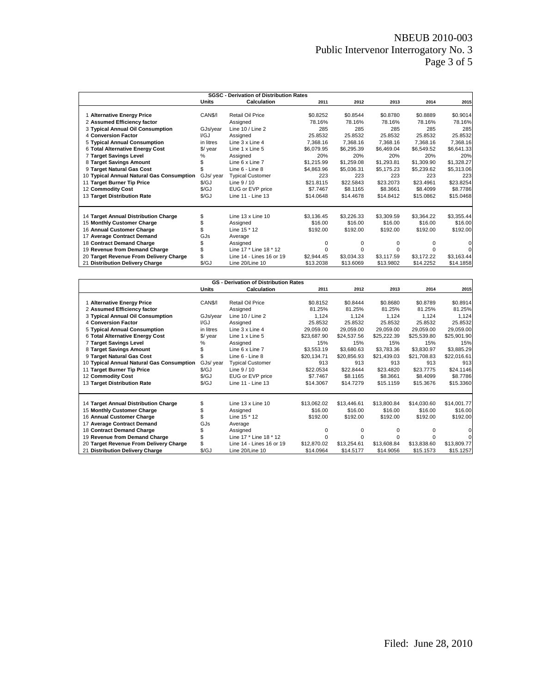# NBEUB 2010-003 Public Intervenor Interrogatory No. 3 Page 3 of 5

|                                           |                      | <b>SGSC - Derivation of Distribution Rates</b> |            |            |            |            |            |
|-------------------------------------------|----------------------|------------------------------------------------|------------|------------|------------|------------|------------|
|                                           | Units                | <b>Calculation</b>                             | 2011       | 2012       | 2013       | 2014       | 2015       |
| <b>Alternative Energy Price</b>           | CAN\$/I              | Retail Oil Price                               | \$0.8252   | \$0.8544   | \$0.8780   | \$0.8889   | \$0.9014   |
| 2 Assumed Efficiency factor               |                      | Assigned                                       | 78.16%     | 78.16%     | 78.16%     | 78.16%     | 78.16%     |
| 3 Typical Annual Oil Consumption          | GJs/year             | Line $10 /$ Line 2                             | 285        | 285        | 285        | 285        | 285        |
| 4 Conversion Factor                       | I/GJ                 | Assigned                                       | 25.8532    | 25.8532    | 25.8532    | 25.8532    | 25.8532    |
| 5 Typical Annual Consumption              | in litres            | Line 3 x Line 4                                | 7.368.16   | 7.368.16   | 7.368.16   | 7.368.16   | 7,368.16   |
| 6 Total Alternative Energy Cost           | \$/ year             | Line 1 x Line 5                                | \$6.079.95 | \$6,295.39 | \$6.469.04 | \$6,549.52 | \$6,641.33 |
| 7 Target Savings Level                    | ℅                    | Assigned                                       | 20%        | 20%        | 20%        | 20%        | 20%        |
| 8 Target Savings Amount                   |                      | Line 6 x Line 7                                | \$1,215.99 | \$1,259.08 | \$1,293.81 | \$1,309.90 | \$1,328.27 |
| 9 Target Natural Gas Cost                 |                      | Line 6 - Line 8                                | \$4,863.96 | \$5,036.31 | \$5,175.23 | \$5,239.62 | \$5,313.06 |
| 10 Typical Annual Natural Gas Consumption | GJs/ year            | <b>Typical Customer</b>                        | 223        | 223        | 223        | 223        | 223        |
| 11 Target Burner Tip Price                | \$/GJ                | Line $9/10$                                    | \$21.8115  | \$22,5843  | \$23,2073  | \$23.4961  | \$23.8254  |
| 12 Commodity Cost                         | $\sqrt{\mathcal{G}}$ | EUG or EVP price                               | \$7.7467   | \$8.1165   | \$8.3661   | \$8,4099   | \$8.7786   |
| 13 Target Distribution Rate               | $\sqrt{\mathcal{G}}$ | Line 11 - Line 13                              | \$14,0648  | \$14,4678  | \$14,8412  | \$15,0862  | \$15.0468  |
| 14 Target Annual Distribution Charge      | \$                   | Line $13 \times$ Line $10$                     | \$3,136.45 | \$3,226.33 | \$3,309.59 | \$3,364.22 | \$3,355.44 |
| 15 Monthly Customer Charge                |                      | Assigned                                       | \$16.00    | \$16.00    | \$16.00    | \$16.00    | \$16.00    |
| 16 Annual Customer Charge                 |                      | Line 15 * 12                                   | \$192.00   | \$192.00   | \$192.00   | \$192.00   | \$192.00   |
| 17 Average Contract Demand                | GJs                  | Average                                        |            |            |            |            |            |
| 18 Contract Demand Charge                 |                      | Assigned                                       | 0          | 0          | O          |            | $\Omega$   |
| 19 Revenue from Demand Charge             |                      | Line 17 * Line 18 * 12                         | 0          | $\Omega$   | O          |            | 0          |
| 20 Target Revenue From Delivery Charge    |                      | Line 14 - Lines 16 or 19                       | \$2,944.45 | \$3,034.33 | \$3,117.59 | \$3,172.22 | \$3,163.44 |
| 21 Distribution Delivery Charge           | \$/GJ                | Line 20/Line 10                                | \$13.2038  | \$13,6069  | \$13,9802  | \$14,2252  | \$14.1858  |

|                                                           |                                   | <b>GS</b> - Derivation of Distribution Rates |                    |             |             |                    |             |
|-----------------------------------------------------------|-----------------------------------|----------------------------------------------|--------------------|-------------|-------------|--------------------|-------------|
|                                                           | <b>Units</b>                      | <b>Calculation</b>                           | 2011               | 2012        | 2013        | 2014               | 2015        |
|                                                           | CAN\$/I                           | Retail Oil Price                             | \$0.8152           | \$0.8444    | \$0.8680    | \$0.8789           | \$0.8914    |
| 1 Alternative Energy Price<br>2 Assumed Efficiency factor |                                   | Assigned                                     | 81.25%             | 81.25%      | 81.25%      | 81.25%             | 81.25%      |
| 3 Typical Annual Oil Consumption                          | GJs/year                          | Line 10 / Line 2                             | 1,124              | 1,124       | 1,124       | 1,124              | 1,124       |
| <b>4 Conversion Factor</b>                                | I/GJ                              | Assigned                                     | 25.8532            | 25.8532     | 25.8532     | 25.8532            | 25.8532     |
| 5 Typical Annual Consumption                              | in litres                         | Line 3 x Line 4                              | 29.059.00          | 29.059.00   | 29.059.00   | 29.059.00          | 29,059.00   |
| 6 Total Alternative Energy Cost                           | \$/ year                          | Line 1 x Line 5                              | \$23,687.90        | \$24,537.56 | \$25,222.39 | \$25,539.80        | \$25,901.90 |
| 7 Target Savings Level                                    | ℅                                 | Assigned                                     | 15%                | 15%         | 15%         | 15%                | 15%         |
| 8 Target Savings Amount                                   |                                   | Line 6 x Line 7                              | \$3,553.19         | \$3,680.63  | \$3,783.36  | \$3,830.97         | \$3,885.29  |
|                                                           |                                   |                                              |                    |             |             |                    |             |
| 9 Target Natural Gas Cost                                 |                                   | Line 6 - Line 8                              | \$20,134.71<br>913 | \$20,856.93 | \$21,439.03 | \$21,708.83<br>913 | \$22,016.61 |
| 10 Typical Annual Natural Gas Consumption                 | GJs/ year<br>$\sqrt{\mathsf{GJ}}$ | <b>Typical Customer</b>                      |                    | 913         | 913         |                    | 913         |
| 11 Target Burner Tip Price                                |                                   | Line $9/10$                                  | \$22.0534          | \$22.8444   | \$23,4820   | \$23.7775          | \$24.1146   |
| 12 Commodity Cost                                         | $\sqrt{\mathcal{G}}$              | EUG or EVP price                             | \$7.7467           | \$8.1165    | \$8.3661    | \$8.4099           | \$8.7786    |
| 13 Target Distribution Rate                               | $\sqrt{\mathcal{G}}$              | Line 11 - Line 13                            | \$14.3067          | \$14,7279   | \$15.1159   | \$15.3676          | \$15.3360   |
|                                                           |                                   |                                              |                    |             |             |                    |             |
| 14 Target Annual Distribution Charge                      |                                   | Line 13 x Line 10                            | \$13,062.02        | \$13,446.61 | \$13,800.84 | \$14,030.60        | \$14,001.77 |
| 15 Monthly Customer Charge                                |                                   | Assigned                                     | \$16.00            | \$16.00     | \$16.00     | \$16.00            | \$16.00     |
| 16 Annual Customer Charge                                 |                                   | Line 15 * 12                                 | \$192.00           | \$192.00    | \$192.00    | \$192.00           | \$192.00    |
| 17 Average Contract Demand                                | GJs                               | Average                                      |                    |             |             |                    |             |
| 18 Contract Demand Charge                                 |                                   | Assigned                                     | 0                  | $\Omega$    | $\Omega$    | <sup>0</sup>       | 0           |
| 19 Revenue from Demand Charge                             |                                   | Line 17 * Line 18 * 12                       | 0                  | 0           | 0           |                    | $\mathbf 0$ |
| 20 Target Revenue From Delivery Charge                    |                                   | Line 14 - Lines 16 or 19                     | \$12,870.02        | \$13,254.61 | \$13,608.84 | \$13,838.60        | \$13,809.77 |
| 21 Distribution Delivery Charge                           | S/GJ                              | Line 20/Line 10                              | \$14.0964          | \$14.5177   | \$14.9056   | \$15.1573          | \$15.1257   |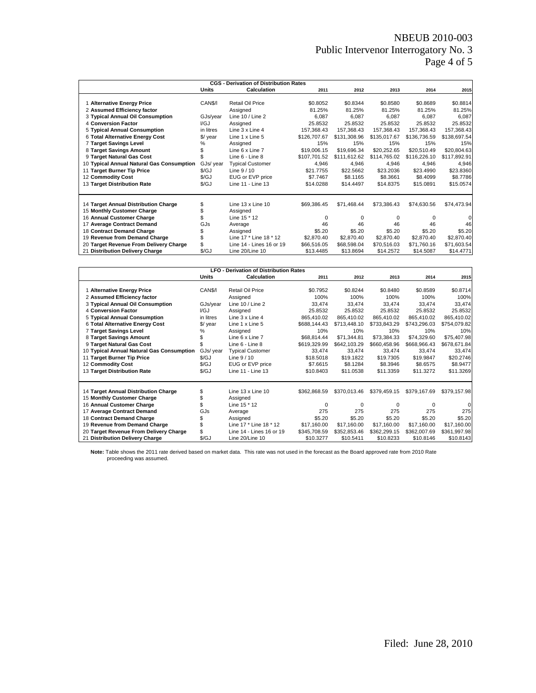# NBEUB 2010-003 Public Intervenor Interrogatory No. 3 Page 4 of 5

|                                           |                      | <b>CGS - Derivation of Distribution Rates</b> |              |              |              |              |              |
|-------------------------------------------|----------------------|-----------------------------------------------|--------------|--------------|--------------|--------------|--------------|
|                                           | <b>Units</b>         | Calculation                                   | 2011         | 2012         | 2013         | 2014         | 2015         |
| 1 Alternative Energy Price                | CAN <sub>\$/1</sub>  | Retail Oil Price                              | \$0.8052     | \$0.8344     | \$0.8580     | \$0.8689     | \$0.8814     |
| 2 Assumed Efficiency factor               |                      | Assigned                                      | 81.25%       | 81.25%       | 81.25%       | 81.25%       | 81.25%       |
| 3 Typical Annual Oil Consumption          | GJs/year             | Line $10 /$ Line 2                            | 6.087        | 6.087        | 6.087        | 6.087        | 6.087        |
| 4 Conversion Factor                       | I/GJ                 | Assigned                                      | 25.8532      | 25.8532      | 25.8532      | 25.8532      | 25.8532      |
| 5 Typical Annual Consumption              | in litres            | Line 3 x Line 4                               | 157.368.43   | 157.368.43   | 157.368.43   | 157.368.43   | 157,368.43   |
| 6 Total Alternative Energy Cost           | $\sqrt{$}$ year      | Line 1 x Line 5                               | \$126,707.67 | \$131,308.96 | \$135,017.67 | \$136,736.59 | \$138,697.54 |
| 7 Target Savings Level                    | ℅                    | Assigned                                      | 15%          | 15%          | 15%          | 15%          | 15%          |
| 8 Target Savings Amount                   |                      | Line 6 x Line 7                               | \$19,006.15  | \$19,696.34  | \$20,252.65  | \$20.510.49  | \$20,804.63  |
| 9 Target Natural Gas Cost                 |                      | Line 6 - Line 8                               | \$107.701.52 | \$111,612.62 | \$114,765.02 | \$116,226.10 | \$117,892.91 |
| 10 Typical Annual Natural Gas Consumption | GJs/ year            | <b>Typical Customer</b>                       | 4.946        | 4,946        | 4.946        | 4,946        | 4,946        |
| 11 Target Burner Tip Price                | $\sqrt{\mathcal{G}}$ | Line $9/10$                                   | \$21,7755    | \$22,5662    | \$23,2036    | \$23,4990    | \$23.8360    |
| 12 Commodity Cost                         | $\sqrt{\mathcal{G}}$ | EUG or EVP price                              | \$7.7467     | \$8.1165     | \$8.3661     | \$8,4099     | \$8.7786     |
| 13 Target Distribution Rate               | S/GJ                 | Line 11 - Line 13                             | \$14,0288    | \$14,4497    | \$14,8375    | \$15,0891    | \$15.0574    |
|                                           |                      |                                               |              |              |              |              |              |
| 14 Target Annual Distribution Charge      |                      | Line $13 \times$ Line $10$                    | \$69.386.45  | \$71.468.44  | \$73.386.43  | \$74.630.56  | \$74,473.94  |
| 15 Monthly Customer Charge                |                      | Assigned                                      |              |              |              |              |              |
| 16 Annual Customer Charge                 |                      | Line 15 * 12                                  | <sup>0</sup> | <sup>0</sup> | 0            | $\Omega$     |              |
| 17 Average Contract Demand                | GJs                  | Average                                       | 46           | 46           | 46           | 46           | 46           |
| 18 Contract Demand Charge                 |                      | Assigned                                      | \$5.20       | \$5.20       | \$5.20       | \$5.20       | \$5.20       |
| 19 Revenue from Demand Charge             |                      | Line 17 * Line 18 * 12                        | \$2,870.40   | \$2,870.40   | \$2,870.40   | \$2,870.40   | \$2,870.40   |
| 20 Target Revenue From Delivery Charge    |                      | Line 14 - Lines 16 or 19                      | \$66,516.05  | \$68,598.04  | \$70,516.03  | \$71,760.16  | \$71,603.54  |
| 21 Distribution Delivery Charge           | \$/GJ                | Line 20/Line 10                               | \$13,4485    | \$13,8694    | \$14,2572    | \$14,5087    | \$14.4771    |

|                                           |                      | <b>LFO - Derivation of Distribution Rates</b> |              |              |              |              |              |
|-------------------------------------------|----------------------|-----------------------------------------------|--------------|--------------|--------------|--------------|--------------|
|                                           | Units                | <b>Calculation</b>                            | 2011         | 2012         | 2013         | 2014         | 2015         |
|                                           |                      |                                               |              |              |              |              |              |
| 1 Alternative Energy Price                | CAN <sub>S</sub> /I  | Retail Oil Price                              | \$0.7952     | \$0.8244     | \$0.8480     | \$0.8589     | \$0.8714     |
| 2 Assumed Efficiency factor               |                      | Assigned                                      | 100%         | 100%         | 100%         | 100%         | 100%         |
| 3 Typical Annual Oil Consumption          | GJs/year             | Line 10 / Line 2                              | 33.474       | 33.474       | 33.474       | 33.474       | 33,474       |
| 4 Conversion Factor                       | I/GJ                 | Assigned                                      | 25.8532      | 25.8532      | 25.8532      | 25.8532      | 25.8532      |
| 5 Typical Annual Consumption              | in litres            | Line $3 \times$ Line 4                        | 865.410.02   | 865.410.02   | 865.410.02   | 865.410.02   | 865,410.02   |
| 6 Total Alternative Energy Cost           | $\sqrt{$}$ year      | Line 1 x Line 5                               | \$688,144.43 | \$713,448.10 | \$733.843.29 | \$743,296.03 | \$754,079.82 |
| 7 Target Savings Level                    | %                    | Assigned                                      | 10%          | 10%          | 10%          | 10%          | 10%          |
| 8 Target Savings Amount                   |                      | Line 6 x Line 7                               | \$68,814.44  | \$71,344.81  | \$73,384.33  | \$74,329.60  | \$75,407.98  |
| 9 Target Natural Gas Cost                 |                      | Line 6 - Line 8                               | \$619,329.99 | \$642,103.29 | \$660,458.96 | \$668,966.43 | \$678,671.84 |
| 10 Typical Annual Natural Gas Consumption | GJs/ year            | <b>Typical Customer</b>                       | 33.474       | 33,474       | 33.474       | 33.474       | 33,474       |
| 11 Target Burner Tip Price                | S/GJ                 | Line $9/10$                                   | \$18,5018    | \$19,1822    | \$19,7305    | \$19.9847    | \$20.2746    |
| 12 Commodity Cost                         | $\sqrt{\mathcal{G}}$ | EUG or EVP price                              | \$7.6615     | \$8.1284     | \$8.3946     | \$8.6575     | \$8.9477     |
| 13 Target Distribution Rate               | $\sqrt{\mathcal{G}}$ | Line 11 - Line 13                             | \$10,8403    | \$11.0538    | \$11.3359    | \$11.3272    | \$11.3269    |
|                                           |                      |                                               |              |              |              |              |              |
| 14 Target Annual Distribution Charge      | \$                   | Line $13 \times$ Line $10$                    | \$362,868.59 | \$370,013.46 | \$379,459.15 | \$379.167.69 | \$379,157.98 |
| 15 Monthly Customer Charge                |                      | Assigned                                      |              |              |              |              |              |
| 16 Annual Customer Charge                 |                      | Line 15 * 12                                  | $\Omega$     | $\Omega$     | $\Omega$     | $\Omega$     | 0            |
| 17 Average Contract Demand                | GJs                  |                                               | 275          | 275          | 275          | 275          | 275          |
| 18 Contract Demand Charge                 |                      | Average                                       | \$5.20       | \$5.20       | \$5.20       | \$5.20       | \$5.20       |
|                                           |                      | Assigned<br>Line 17 * Line 18 * 12            | \$17,160.00  | \$17,160.00  | \$17.160.00  |              |              |
| 19 Revenue from Demand Charge             |                      | Line 14 - Lines 16 or 19                      |              |              |              | \$17.160.00  | \$17,160.00  |
| 20 Target Revenue From Delivery Charge    |                      |                                               | \$345,708.59 | \$352,853.46 | \$362,299.15 | \$362,007.69 | \$361,997.98 |
| 21 Distribution Delivery Charge           | S/GJ                 | Line 20/Line 10                               | \$10.3277    | \$10.5411    | \$10.8233    | \$10,8146    | \$10.8143    |

**Note:** Table shows the 2011 rate derived based on market data. This rate was not used in the forecast as the Board approved rate from 2010 Rate proceeding was assumed.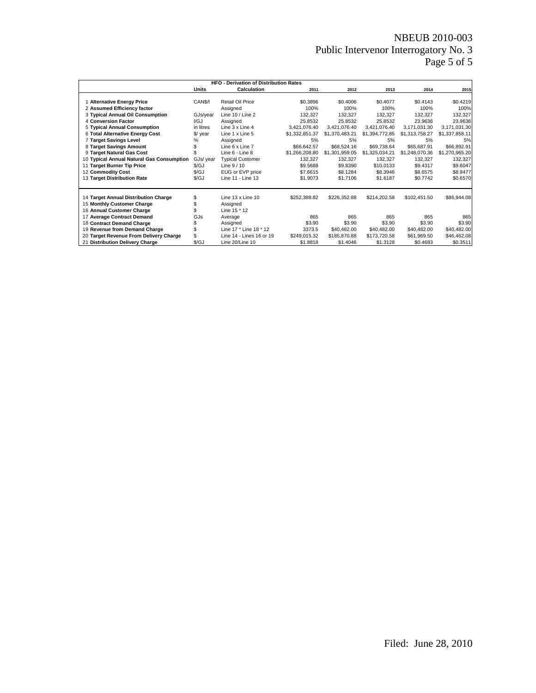# NBEUB 2010-003 Public Intervenor Interrogatory No. 3 Page 5 of 5

|                                           |                      | <b>HFO - Derivation of Distribution Rates</b> |                |                |                |                |                |
|-------------------------------------------|----------------------|-----------------------------------------------|----------------|----------------|----------------|----------------|----------------|
|                                           | <b>Calculation</b>   | 2011                                          | 2012           | 2013           | 2014           | 2015           |                |
|                                           |                      |                                               |                |                |                |                |                |
| 1 Alternative Energy Price                | CAN <sub>S</sub> /I  | <b>Retail Oil Price</b>                       | \$0.3896       | \$0.4006       | \$0.4077       | \$0.4143       | \$0.4219       |
| 2 Assumed Efficiency factor               |                      | Assigned                                      | 100%           | 100%           | 100%           | 100%           | 100%           |
| 3 Typical Annual Oil Consumption          | GJs/year             | Line $10 /$ Line 2                            | 132,327        | 132,327        | 132,327        | 132,327        | 132,327        |
| 4 Conversion Factor                       | $\mathsf{I/GJ}$      | Assigned                                      | 25.8532        | 25.8532        | 25.8532        | 23.9636        | 23.9636        |
| 5 Typical Annual Consumption              | in litres            | Line 3 x Line 4                               | 3.421.076.40   | 3.421.076.40   | 3.421.076.40   | 3,171,031.30   | 3,171,031.30   |
| 6 Total Alternative Energy Cost           | $$$ / year           | Line 1 x Line 5                               | \$1,332,851.37 | \$1,370,483.21 | \$1,394,772.85 | \$1,313,758.27 | \$1,337,858.11 |
| 7 Target Savings Level                    | %                    | Assigned                                      | 5%             | 5%             | 5%             | 5%             | 5%             |
| 8 Target Savings Amount                   |                      | Line 6 x Line 7                               | \$66.642.57    | \$68,524.16    | \$69.738.64    | \$65,687.91    | \$66,892.91    |
| 9 Target Natural Gas Cost                 |                      | Line 6 - Line 8                               | \$1,266,208.80 | \$1,301,959.05 | \$1,325,034.21 | \$1,248,070.36 | \$1,270,965.20 |
| 10 Typical Annual Natural Gas Consumption | GJs/ year            | <b>Typical Customer</b>                       | 132,327        | 132.327        | 132,327        | 132,327        | 132,327        |
| 11 Target Burner Tip Price                | S/GJ                 | Line $9/10$                                   | \$9,5688       | \$9.8390       | \$10.0133      | \$9.4317       | \$9.6047       |
| 12 Commodity Cost                         | $\sqrt{\mathsf{GJ}}$ | EUG or EVP price                              | \$7,6615       | \$8.1284       | \$8,3946       | \$8.6575       | \$8.9477       |
| 13 Target Distribution Rate               | $\sqrt{\mathcal{G}}$ | Line 11 - Line 13                             | \$1.9073       | \$1.7106       | \$1.6187       | \$0.7742       | \$0.6570       |
|                                           |                      |                                               |                |                |                |                |                |
| 14 Target Annual Distribution Charge      | \$                   | Line 13 x Line 10                             | \$252,388.82   | \$226,352.88   | \$214,202.58   | \$102,451.50   | \$86,944.08    |
| 15 Monthly Customer Charge                | \$                   | Assigned                                      |                |                |                |                |                |
| 16 Annual Customer Charge                 |                      | Line 15 * 12                                  |                |                |                |                |                |
| 17 Average Contract Demand                | GJs                  | Average                                       | 865            | 865            | 865            | 865            | 865            |
| 18 Contract Demand Charge                 |                      | Assigned                                      | \$3.90         | \$3.90         | \$3.90         | \$3.90         | \$3.90         |
| 19 Revenue from Demand Charge             | \$                   | Line 17 * Line 18 * 12                        | 3373.5         | \$40,482.00    | \$40,482.00    | \$40,482.00    | \$40,482.00    |
| 20 Target Revenue From Delivery Charge    | \$                   | Line 14 - Lines 16 or 19                      | \$249,015.32   | \$185,870.88   | \$173,720.58   | \$61,969.50    | \$46,462.08    |
| 21 Distribution Delivery Charge           | \$/GJ                | Line 20/Line 10                               | \$1,8818       | \$1.4046       | \$1.3128       | \$0.4683       | \$0.3511       |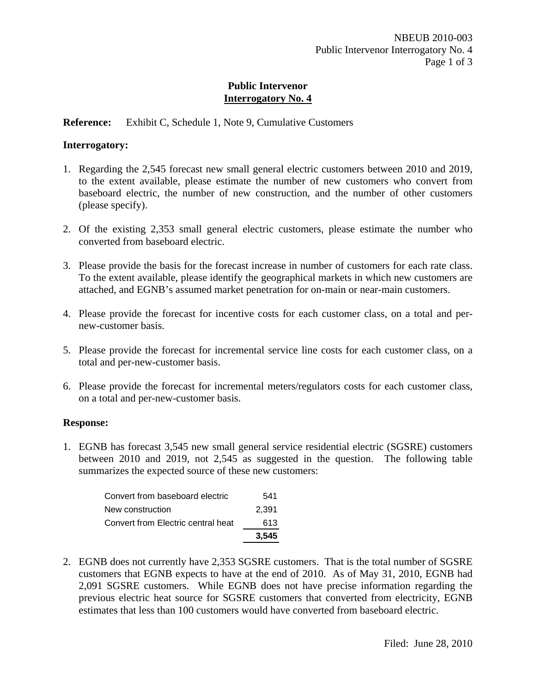## **Reference:** Exhibit C, Schedule 1, Note 9, Cumulative Customers

#### **Interrogatory:**

- 1. Regarding the 2,545 forecast new small general electric customers between 2010 and 2019, to the extent available, please estimate the number of new customers who convert from baseboard electric, the number of new construction, and the number of other customers (please specify).
- 2. Of the existing 2,353 small general electric customers, please estimate the number who converted from baseboard electric.
- 3. Please provide the basis for the forecast increase in number of customers for each rate class. To the extent available, please identify the geographical markets in which new customers are attached, and EGNB's assumed market penetration for on-main or near-main customers.
- 4. Please provide the forecast for incentive costs for each customer class, on a total and pernew-customer basis.
- 5. Please provide the forecast for incremental service line costs for each customer class, on a total and per-new-customer basis.
- 6. Please provide the forecast for incremental meters/regulators costs for each customer class, on a total and per-new-customer basis.

#### **Response:**

1. EGNB has forecast 3,545 new small general service residential electric (SGSRE) customers between 2010 and 2019, not 2,545 as suggested in the question. The following table summarizes the expected source of these new customers:

|                                    | 3.545 |
|------------------------------------|-------|
| Convert from Electric central heat | 613   |
| New construction                   | 2.391 |
| Convert from baseboard electric    | 541   |

2. EGNB does not currently have 2,353 SGSRE customers. That is the total number of SGSRE customers that EGNB expects to have at the end of 2010. As of May 31, 2010, EGNB had 2,091 SGSRE customers. While EGNB does not have precise information regarding the previous electric heat source for SGSRE customers that converted from electricity, EGNB estimates that less than 100 customers would have converted from baseboard electric.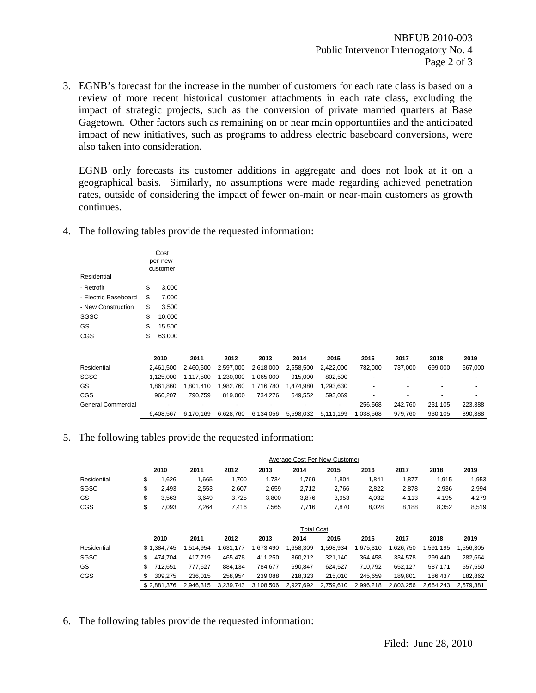3. EGNB's forecast for the increase in the number of customers for each rate class is based on a review of more recent historical customer attachments in each rate class, excluding the impact of strategic projects, such as the conversion of private married quarters at Base Gagetown. Other factors such as remaining on or near main opportuntiies and the anticipated impact of new initiatives, such as programs to address electric baseboard conversions, were also taken into consideration.

EGNB only forecasts its customer additions in aggregate and does not look at it on a geographical basis. Similarly, no assumptions were made regarding achieved penetration rates, outside of considering the impact of fewer on-main or near-main customers as growth continues.

4. The following tables provide the requested information:

| Residential          | Cost<br>per-new-<br>customer |  |
|----------------------|------------------------------|--|
| - Retrofit           | \$<br>3,000                  |  |
| - Electric Baseboard | \$<br>7,000                  |  |
| - New Construction   | \$<br>3,500                  |  |
| SGSC                 | \$<br>10,000                 |  |
| GS                   | \$<br>15,500                 |  |
| CGS                  | \$<br>63,000                 |  |
|                      |                              |  |

|                    | 2010                     | 2011                     | 2012      | 2013      | 2014      | 2015      | 2016      | 2017    | 2018    | 2019                     |
|--------------------|--------------------------|--------------------------|-----------|-----------|-----------|-----------|-----------|---------|---------|--------------------------|
| Residential        | 2.461.500                | 2.460.500                | 2.597.000 | 2.618.000 | 2.558.500 | 2.422.000 | 782.000   | 737.000 | 699.000 | 667.000                  |
| SGSC               | 1.125.000                | 1.117.500                | 1.230.000 | 1.065.000 | 915.000   | 802.500   |           |         | -       | -                        |
| GS                 | 1.861.860                | 1.801.410                | 982.760   | 1.716.780 | 1.474.980 | 1.293.630 |           |         | -       |                          |
| CGS                | 960.207                  | 790.759                  | 819.000   | 734.276   | 649.552   | 593.069   |           |         | -       | $\overline{\phantom{0}}$ |
| General Commercial | $\overline{\phantom{0}}$ | $\overline{\phantom{0}}$ | -         |           |           | -         | 256.568   | 242.760 | 231.105 | 223.388                  |
|                    | 6.408.567                | 6.170.169                | 6.628.760 | 6.134.056 | 5.598.032 | 5.111.199 | 1.038.568 | 979.760 | 930.105 | 890.388                  |

5. The following tables provide the requested information:

|             |               |           |           |           |                   | Average Cost Per-New-Customer |           |           |           |           |
|-------------|---------------|-----------|-----------|-----------|-------------------|-------------------------------|-----------|-----------|-----------|-----------|
|             | 2010          | 2011      | 2012      | 2013      | 2014              | 2015                          | 2016      | 2017      | 2018      | 2019      |
| Residential | \$<br>1,626   | 1,665     | 1,700     | 1,734     | 1,769             | 1,804                         | 1,841     | 1,877     | 1,915     | 1,953     |
| SGSC        | \$<br>2,493   | 2,553     | 2,607     | 2,659     | 2.712             | 2,766                         | 2,822     | 2,878     | 2,936     | 2,994     |
| GS          | \$<br>3,563   | 3,649     | 3,725     | 3,800     | 3,876             | 3,953                         | 4,032     | 4,113     | 4,195     | 4,279     |
| CGS         | \$<br>7,093   | 7,264     | 7,416     | 7,565     | 7,716             | 7,870                         | 8,028     | 8,188     | 8,352     | 8,519     |
|             |               |           |           |           |                   |                               |           |           |           |           |
|             |               |           |           |           | <b>Total Cost</b> |                               |           |           |           |           |
|             | 2010          | 2011      | 2012      | 2013      | 2014              | 2015                          | 2016      | 2017      | 2018      | 2019      |
| Residential | \$1,384,745   | 1,514,954 | 1,631,177 | 1,673,490 | ,658,309          | 1,598,934                     | 1,675,310 | 1,626,750 | 1,591,195 | ,556,305  |
| SGSC        | \$<br>474.704 | 417.719   | 465,478   | 411,250   | 360,212           | 321,140                       | 364.458   | 334.578   | 299.440   | 282,664   |
| GS          | \$<br>712.651 | 777.627   | 884.134   | 784.677   | 690.847           | 624.527                       | 710.792   | 652.127   | 587.171   | 557,550   |
| CGS         | \$<br>309,275 | 236,015   | 258,954   | 239,088   | 218,323           | 215,010                       | 245,659   | 189,801   | 186,437   | 182,862   |
|             | \$2.881.376   | 2.946.315 | 3.239.743 | 3,108,506 | 2,927,692         | 2.759.610                     | 2,996,218 | 2.803.256 | 2.664.243 | 2.579.381 |

6. The following tables provide the requested information: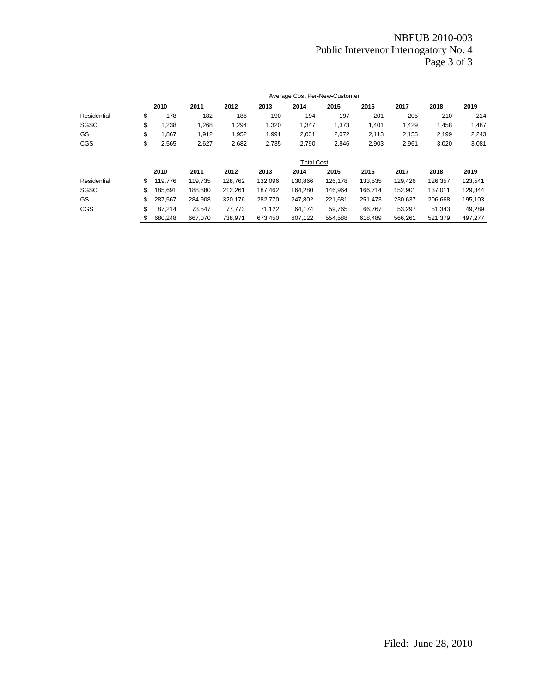# NBEUB 2010-003 Public Intervenor Interrogatory No. 4 Page 3 of 3

|             |               |         |         |         | Average Cost Per-New-Customer |         |         |         |         |         |
|-------------|---------------|---------|---------|---------|-------------------------------|---------|---------|---------|---------|---------|
|             | 2010          | 2011    | 2012    | 2013    | 2014                          | 2015    | 2016    | 2017    | 2018    | 2019    |
| Residential | \$<br>178     | 182     | 186     | 190     | 194                           | 197     | 201     | 205     | 210     | 214     |
| SGSC        | \$<br>1,238   | 1,268   | 1,294   | 1,320   | 1,347                         | 1,373   | 1,401   | 1,429   | 1,458   | 1,487   |
| GS          | \$<br>1.867   | 1,912   | 1,952   | 1,991   | 2,031                         | 2,072   | 2,113   | 2,155   | 2,199   | 2,243   |
| CGS         | \$<br>2,565   | 2,627   | 2,682   | 2,735   | 2,790                         | 2,846   | 2,903   | 2,961   | 3,020   | 3,081   |
|             |               |         |         |         | <b>Total Cost</b>             |         |         |         |         |         |
|             | 2010          | 2011    | 2012    | 2013    | 2014                          | 2015    | 2016    | 2017    | 2018    | 2019    |
| Residential | \$<br>119,776 | 119,735 | 128,762 | 132,096 | 130,866                       | 126,178 | 133,535 | 129,426 | 126,357 | 123,541 |
| SGSC        | \$<br>185.691 | 188,880 | 212,261 | 187,462 | 164,280                       | 146.964 | 166.714 | 152,901 | 137,011 | 129,344 |
| GS          | \$<br>287.567 | 284.908 | 320.176 | 282.770 | 247,802                       | 221,681 | 251,473 | 230,637 | 206.668 | 195,103 |
| CGS         | \$<br>87,214  | 73.547  | 77.773  | 71.122  | 64,174                        | 59.765  | 66.767  | 53.297  | 51.343  | 49,289  |
|             | \$<br>680.248 | 667.070 | 738.971 | 673.450 | 607.122                       | 554,588 | 618.489 | 566.261 | 521.379 | 497.277 |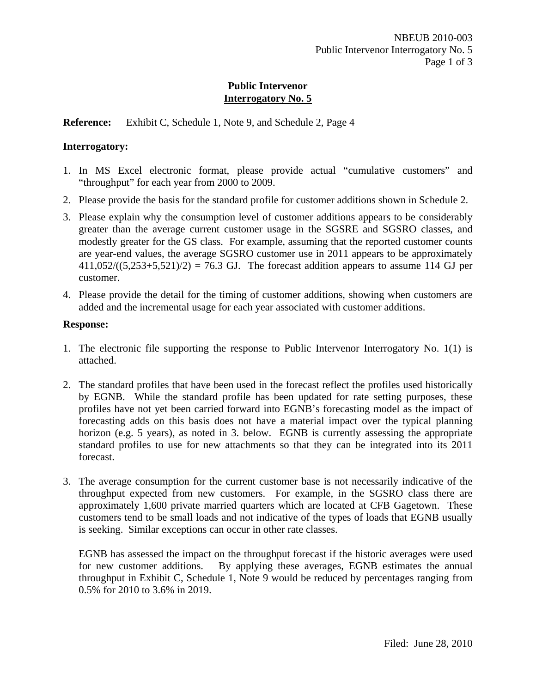**Reference:** Exhibit C, Schedule 1, Note 9, and Schedule 2, Page 4

## **Interrogatory:**

- 1. In MS Excel electronic format, please provide actual "cumulative customers" and "throughput" for each year from 2000 to 2009.
- 2. Please provide the basis for the standard profile for customer additions shown in Schedule 2.
- 3. Please explain why the consumption level of customer additions appears to be considerably greater than the average current customer usage in the SGSRE and SGSRO classes, and modestly greater for the GS class. For example, assuming that the reported customer counts are year-end values, the average SGSRO customer use in 2011 appears to be approximately  $411,052/((5,253+5,521)/2) = 76.3$  GJ. The forecast addition appears to assume 114 GJ per customer.
- 4. Please provide the detail for the timing of customer additions, showing when customers are added and the incremental usage for each year associated with customer additions.

# **Response:**

- 1. The electronic file supporting the response to Public Intervenor Interrogatory No. 1(1) is attached.
- 2. The standard profiles that have been used in the forecast reflect the profiles used historically by EGNB. While the standard profile has been updated for rate setting purposes, these profiles have not yet been carried forward into EGNB's forecasting model as the impact of forecasting adds on this basis does not have a material impact over the typical planning horizon (e.g. 5 years), as noted in 3. below. EGNB is currently assessing the appropriate standard profiles to use for new attachments so that they can be integrated into its 2011 forecast.
- 3. The average consumption for the current customer base is not necessarily indicative of the throughput expected from new customers. For example, in the SGSRO class there are approximately 1,600 private married quarters which are located at CFB Gagetown. These customers tend to be small loads and not indicative of the types of loads that EGNB usually is seeking. Similar exceptions can occur in other rate classes.

EGNB has assessed the impact on the throughput forecast if the historic averages were used for new customer additions. By applying these averages, EGNB estimates the annual throughput in Exhibit C, Schedule 1, Note 9 would be reduced by percentages ranging from 0.5% for 2010 to 3.6% in 2019.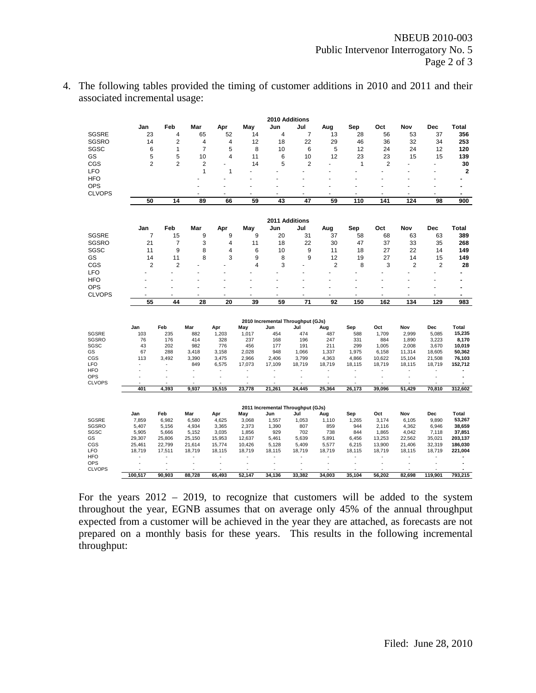| 4. The following tables provided the timing of customer additions in 2010 and 2011 and their |
|----------------------------------------------------------------------------------------------|
| associated incremental usage:                                                                |

|                          |                |                |                |                |                 | 2010 Additions                    |                      |                 |                 |                                |                  |                  |                   |
|--------------------------|----------------|----------------|----------------|----------------|-----------------|-----------------------------------|----------------------|-----------------|-----------------|--------------------------------|------------------|------------------|-------------------|
|                          | Jan            | Feb            | Mar            | Apr            | May             | Jun                               | Jul                  | Aug             | Sep             | Oct                            | Nov              | Dec              | Total             |
| <b>SGSRE</b>             | 23             | $\overline{4}$ | 65             | 52             | 14              | 4                                 | $\overline{7}$       | 13              | 28              | 56                             | 53               | 37               | 356               |
| <b>SGSRO</b>             | 14             | $\overline{2}$ | 4              | 4              | 12              | 18                                | 22                   | 29              | 46              | 36                             | 32               | 34               | 253               |
| SGSC                     | 6              | 1              | $\overline{7}$ | 5              | 8               | 10                                | 6                    | 5               | 12              | 24                             | 24               | 12               | 120               |
| GS                       | 5              | 5              | 10             | 4              | 11              | 6                                 | 10                   | 12              | 23              | 23                             | 15               | 15               | 139               |
| CGS                      | $\overline{2}$ | $\overline{2}$ | $\overline{2}$ | ä,             | 14              | 5                                 | $\overline{2}$       |                 | $\mathbf{1}$    | 2                              |                  |                  | 30                |
| LFO                      |                |                | $\mathbf{1}$   | 1              |                 | ÷                                 | ä,                   |                 |                 |                                |                  |                  | $\mathbf{2}$      |
| <b>HFO</b>               |                |                |                |                |                 |                                   |                      |                 |                 |                                |                  |                  |                   |
| <b>OPS</b>               |                |                |                |                |                 |                                   |                      |                 |                 |                                |                  |                  | $\overline{a}$    |
| <b>CLVOPS</b>            |                |                |                |                |                 |                                   |                      |                 |                 |                                |                  |                  | $\blacksquare$    |
|                          | 50             | 14             | 89             | 66             | 59              | 43                                | 47                   | 59              | 110             | 141                            | 124              | 98               | 900               |
|                          |                |                |                |                |                 |                                   |                      |                 |                 |                                |                  |                  |                   |
|                          |                |                |                |                |                 | 2011 Additions                    |                      |                 |                 |                                |                  |                  |                   |
|                          | Jan            | Feb            | Mar            | Apr            | May             | Jun                               | Jul                  | Aug             | Sep             | Oct                            | Nov              | Dec              | Total             |
| <b>SGSRE</b>             | $\overline{7}$ | 15             | 9              | 9              | 9               | 20                                | 31                   | 37              | 58              | 68                             | 63               | 63               | 389               |
| SGSRO                    | 21             | $\overline{7}$ | 3              | 4              | 11              | 18                                | 22                   | 30              | 47              | 37                             | 33               | 35               | 268               |
| SGSC                     | 11             | 9              | 8              | 4              | 6               | 10                                | 9                    | 11              | 18              | 27                             | 22               | 14               | 149               |
| GS                       | 14             | 11             | 8              | 3              | 9               | 8                                 | 9                    | 12              | 19              | 27                             | 14               | 15               | 149               |
| CGS                      | $\overline{2}$ | $\overline{2}$ |                | ٠              | 4               | 3                                 |                      | $\overline{2}$  | 8               | 3                              | $\overline{2}$   | $\overline{2}$   | 28                |
| <b>LFO</b>               |                |                |                |                |                 |                                   |                      |                 |                 |                                |                  |                  | $\blacksquare$    |
| <b>HFO</b>               |                |                |                |                |                 |                                   |                      |                 |                 |                                |                  |                  |                   |
| <b>OPS</b>               |                |                |                |                |                 |                                   |                      |                 |                 |                                |                  |                  | $\blacksquare$    |
| <b>CLVOPS</b>            |                |                |                | ٠              |                 |                                   |                      |                 |                 | ٠                              |                  |                  | $\blacksquare$    |
|                          | 55             | 44             | 28             | 20             | 39              | 59                                | 71                   | 92              | 150             | 162                            | 134              | 129              | 983               |
|                          |                |                |                |                |                 |                                   |                      |                 |                 |                                |                  |                  |                   |
|                          |                |                |                |                |                 | 2010 Incremental Throughput (GJs) |                      |                 |                 |                                |                  |                  |                   |
|                          | Jan            | Feb            | Mar            | Apr            | May             | Jun                               | Jul                  | Aug             | Sep             | Oct                            | Nov              | Dec              | Total             |
| <b>SGSRE</b>             | 103            | 235            | 882            | 1,203          | 1,017           | 454                               | 474                  | 487             | 588             | 1,709                          | 2,999            | 5,085            | 15,235            |
| <b>SGSRO</b>             | 76             | 176            | 414            | 328            | 237             | 168                               | 196                  | 247             | 331             | 884                            | 1,890            | 3,223            | 8,170             |
| SGSC                     | 43             | 202            | 982            | 776            | 456             | 177                               | 191                  | 211             | 299             | 1,005                          | 2,008            | 3,670            | 10,019            |
| GS                       | 67             | 288            | 3,418          | 3,158          | 2,028           | 948                               | 1,066                | 1,337           | 1,975           | 6,158                          | 11,314           | 18,605           | 50,362            |
| CGS<br><b>LFO</b>        | 113            | 3,492<br>ä,    | 3,390<br>849   | 3,475<br>6,575 | 2,966<br>17,073 | 2,406<br>17,109                   | 3,799<br>18,719      | 4,363<br>18,719 | 4,866<br>18,115 | 10,622<br>18,719               | 15,104<br>18,115 | 21,508<br>18,719 | 76,103<br>152,712 |
| <b>HFO</b>               |                |                | $\blacksquare$ | ä,             | ٠               |                                   |                      |                 |                 | ä,                             | ä,               |                  |                   |
| <b>OPS</b>               |                |                |                |                |                 |                                   |                      |                 |                 |                                | ä,               |                  | $\blacksquare$    |
| <b>CLVOPS</b>            | ÷,             | ä,             | ä,             | ä,             | ÷.              | ÷.                                | $\ddot{\phantom{1}}$ | ÷               | ÷               | ä,                             | ä,               | ä,               | ÷                 |
|                          | 401            | 4,393          | 9,937          | 15,515         | 23,778          | 21,261                            | 24,445               | 25,364          | 26,173          | 39,096                         | 51,429           | 70,810           | 312,602           |
|                          |                |                |                |                |                 |                                   |                      |                 |                 |                                |                  |                  |                   |
|                          |                |                |                |                |                 | 2011 Incremental Throughput (GJs) |                      |                 |                 |                                |                  |                  |                   |
|                          | Jan            | Feb            | Mar            | Apr            | May             | Jun                               | Jul                  | Aug             | Sep             | Oct                            | Nov              | Dec              | Total             |
| <b>SGSRE</b>             | 7,859          | 6,982          | 6,580          | 4,625          | 3,068           | 1,557                             | 1,053                | 1,110           | 1,265           | 3,174                          | 6,105            | 9,890            | 53,267            |
| <b>SGSRO</b>             | 5,407          | 5,156          | 4,934          | 3,365          | 2,373           | 1,390                             | 807                  | 859             | 944             | 2,116                          | 4,362            | 6,946            | 38,659            |
| SGSC                     | 5,905          | 5,666          | 5,152          | 3,035          | 1,856           | 929                               | 702                  | 738             | 844             | 1,865                          | 4,042            | 7,118            | 37,851            |
| GS                       | 29,307         | 25,806         | 25,150         | 15,953         | 12,637          | 5,461                             | 5,639                | 5,891           | 6,456           | 13,253                         | 22,562           | 35,021           | 203,137           |
| CGS                      | 25,461         | 22,799         | 21,614         | 15,774         | 10,426          | 5,128                             | 5,409                | 5,577           | 6,215           | 13,900                         | 21,406           | 32,319           | 186,030           |
| <b>LFO</b><br><b>HFO</b> | 18,719         | 17,511         | 18,719         | 18,115         | 18,719          | 18,115                            | 18,719               | 18,719          | 18,115          | 18,719<br>$\ddot{\phantom{1}}$ | 18,115           | 18,719           | 221,004           |
| <b>OPS</b>               |                |                |                |                |                 |                                   |                      |                 |                 |                                |                  |                  |                   |
| <b>CLVOPS</b>            |                |                |                |                |                 |                                   |                      |                 |                 |                                |                  |                  |                   |
|                          | 100,517        | 90,903         | 88,728         | 65,493         | 52,147          | 34,136                            | 33,382               | 34,003          | 35,104          | 56,202                         | 82,698           | 119,901          | 793,215           |

For the years 2012 – 2019, to recognize that customers will be added to the system throughout the year, EGNB assumes that on average only 45% of the annual throughput expected from a customer will be achieved in the year they are attached, as forecasts are not prepared on a monthly basis for these years. This results in the following incremental throughput: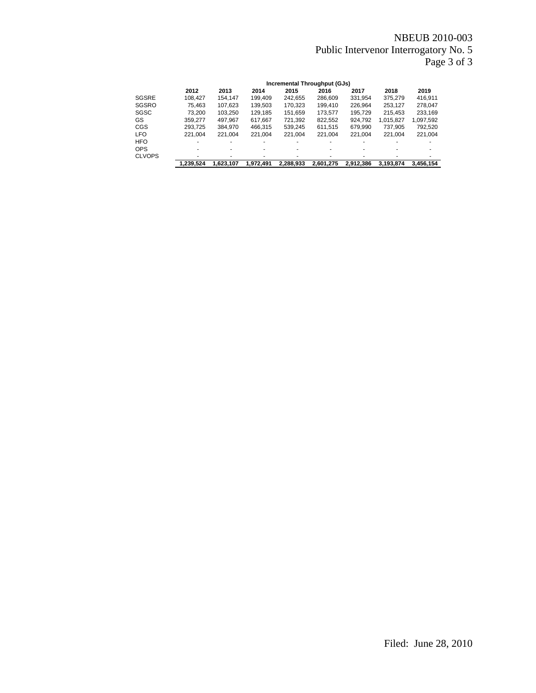# NBEUB 2010-003 Public Intervenor Interrogatory No. 5 Page 3 of 3

|               |           |           |           |           | Incremental Throughput (GJs) |           |           |           |
|---------------|-----------|-----------|-----------|-----------|------------------------------|-----------|-----------|-----------|
|               | 2012      | 2013      | 2014      | 2015      | 2016                         | 2017      | 2018      | 2019      |
| <b>SGSRE</b>  | 108.427   | 154.147   | 199.409   | 242,655   | 286,609                      | 331,954   | 375,279   | 416,911   |
| SGSRO         | 75.463    | 107.623   | 139,503   | 170.323   | 199.410                      | 226.964   | 253.127   | 278.047   |
| SGSC          | 73.200    | 103.250   | 129,185   | 151,659   | 173,577                      | 195.729   | 215.453   | 233.169   |
| GS            | 359.277   | 497.967   | 617.667   | 721,392   | 822,552                      | 924,792   | 1,015,827 | 1,097,592 |
| <b>CGS</b>    | 293.725   | 384.970   | 466.315   | 539.245   | 611.515                      | 679.990   | 737.905   | 792.520   |
| <b>LFO</b>    | 221.004   | 221.004   | 221.004   | 221.004   | 221.004                      | 221.004   | 221.004   | 221,004   |
| <b>HFO</b>    |           | ۰         |           |           |                              |           |           |           |
| <b>OPS</b>    |           |           |           |           |                              |           |           |           |
| <b>CLVOPS</b> | ۰         | ۰         |           |           |                              |           |           |           |
|               | 1,239,524 | 1.623.107 | 1.972.491 | 2.288.933 | 2.601.275                    | 2.912.386 | 3.193.874 | 3.456.154 |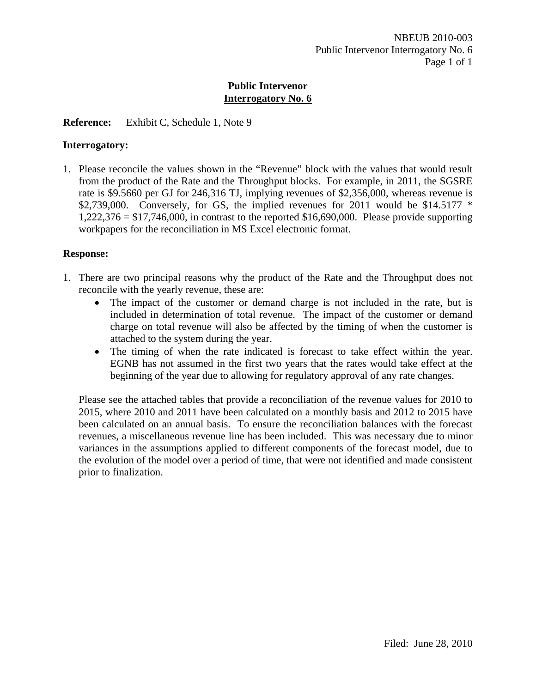## **Reference:** Exhibit C, Schedule 1, Note 9

#### **Interrogatory:**

1. Please reconcile the values shown in the "Revenue" block with the values that would result from the product of the Rate and the Throughput blocks. For example, in 2011, the SGSRE rate is \$9.5660 per GJ for 246,316 TJ, implying revenues of \$2,356,000, whereas revenue is \$2,739,000. Conversely, for GS, the implied revenues for 2011 would be \$14.5177  $*$  $1,222,376 = $17,746,000$ , in contrast to the reported \$16,690,000. Please provide supporting workpapers for the reconciliation in MS Excel electronic format.

#### **Response:**

- 1. There are two principal reasons why the product of the Rate and the Throughput does not reconcile with the yearly revenue, these are:
	- The impact of the customer or demand charge is not included in the rate, but is included in determination of total revenue. The impact of the customer or demand charge on total revenue will also be affected by the timing of when the customer is attached to the system during the year.
	- The timing of when the rate indicated is forecast to take effect within the year. EGNB has not assumed in the first two years that the rates would take effect at the beginning of the year due to allowing for regulatory approval of any rate changes.

Please see the attached tables that provide a reconciliation of the revenue values for 2010 to 2015, where 2010 and 2011 have been calculated on a monthly basis and 2012 to 2015 have been calculated on an annual basis. To ensure the reconciliation balances with the forecast revenues, a miscellaneous revenue line has been included. This was necessary due to minor variances in the assumptions applied to different components of the forecast model, due to the evolution of the model over a period of time, that were not identified and made consistent prior to finalization.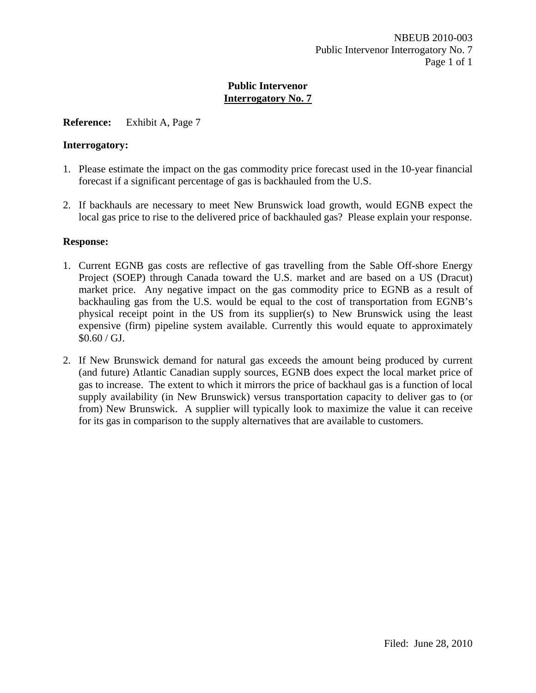## **Reference:** Exhibit A, Page 7

#### **Interrogatory:**

- 1. Please estimate the impact on the gas commodity price forecast used in the 10-year financial forecast if a significant percentage of gas is backhauled from the U.S.
- 2. If backhauls are necessary to meet New Brunswick load growth, would EGNB expect the local gas price to rise to the delivered price of backhauled gas? Please explain your response.

- 1. Current EGNB gas costs are reflective of gas travelling from the Sable Off-shore Energy Project (SOEP) through Canada toward the U.S. market and are based on a US (Dracut) market price. Any negative impact on the gas commodity price to EGNB as a result of backhauling gas from the U.S. would be equal to the cost of transportation from EGNB's physical receipt point in the US from its supplier(s) to New Brunswick using the least expensive (firm) pipeline system available. Currently this would equate to approximately  $$0.60 / GJ.$
- 2. If New Brunswick demand for natural gas exceeds the amount being produced by current (and future) Atlantic Canadian supply sources, EGNB does expect the local market price of gas to increase. The extent to which it mirrors the price of backhaul gas is a function of local supply availability (in New Brunswick) versus transportation capacity to deliver gas to (or from) New Brunswick. A supplier will typically look to maximize the value it can receive for its gas in comparison to the supply alternatives that are available to customers.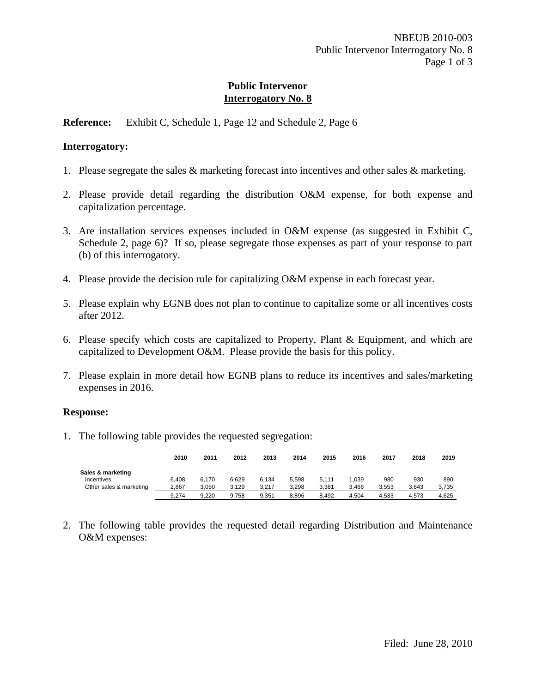**Reference:** Exhibit C, Schedule 1, Page 12 and Schedule 2, Page 6

#### **Interrogatory:**

- 1. Please segregate the sales & marketing forecast into incentives and other sales & marketing.
- 2. Please provide detail regarding the distribution O&M expense, for both expense and capitalization percentage.
- 3. Are installation services expenses included in O&M expense (as suggested in Exhibit C, Schedule 2, page 6)? If so, please segregate those expenses as part of your response to part (b) of this interrogatory.
- 4. Please provide the decision rule for capitalizing O&M expense in each forecast year.
- 5. Please explain why EGNB does not plan to continue to capitalize some or all incentives costs after 2012.
- 6. Please specify which costs are capitalized to Property, Plant & Equipment, and which are capitalized to Development O&M. Please provide the basis for this policy.
- 7. Please explain in more detail how EGNB plans to reduce its incentives and sales/marketing expenses in 2016.

#### **Response:**

1. The following table provides the requested segregation:

|                         | 2010  | 2011  | 2012  | 2013  | 2014  | 2015  | 2016  | 2017  | 2018  | 2019  |
|-------------------------|-------|-------|-------|-------|-------|-------|-------|-------|-------|-------|
| Sales & marketing       |       |       |       |       |       |       |       |       |       |       |
| Incentives              | 6.408 | 6.170 | 6.629 | 6.134 | 5.598 | 5.111 | 1.039 | 980   | 930   | 890   |
| Other sales & marketing | 2.867 | 3.050 | 3.129 | 3.217 | 3.298 | 3.381 | 3.466 | 3.553 | 3.643 | 3,735 |
|                         | 9.274 | 9.220 | 9.758 | 9.351 | 8.896 | 8.492 | 4.504 | 4.533 | 4.573 | 4.625 |

2. The following table provides the requested detail regarding Distribution and Maintenance O&M expenses: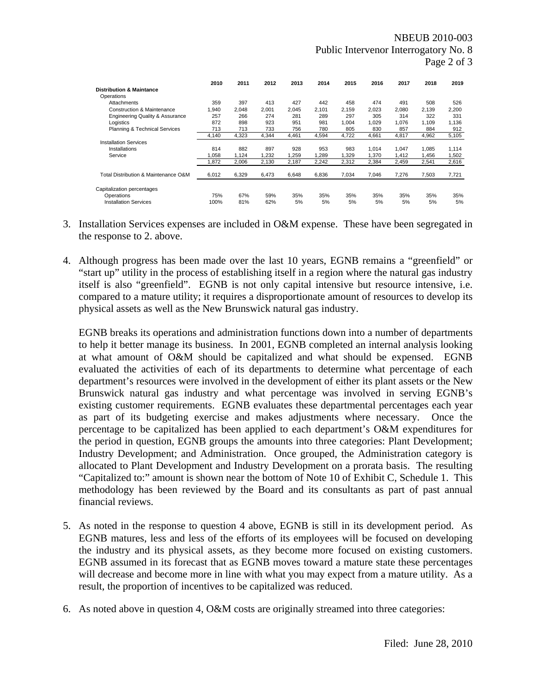|                                            | 2010  | 2011  | 2012  | 2013  | 2014  | 2015  | 2016  | 2017  | 2018  | 2019  |
|--------------------------------------------|-------|-------|-------|-------|-------|-------|-------|-------|-------|-------|
| <b>Distribution &amp; Maintance</b>        |       |       |       |       |       |       |       |       |       |       |
| Operations                                 |       |       |       |       |       |       |       |       |       |       |
| Attachments                                | 359   | 397   | 413   | 427   | 442   | 458   | 474   | 491   | 508   | 526   |
| <b>Construction &amp; Maintenance</b>      | 1.940 | 2.048 | 2.001 | 2.045 | 2,101 | 2.159 | 2,023 | 2,080 | 2.139 | 2,200 |
| <b>Engineering Quality &amp; Assurance</b> | 257   | 266   | 274   | 281   | 289   | 297   | 305   | 314   | 322   | 331   |
| Logistics                                  | 872   | 898   | 923   | 951   | 981   | 1.004 | 1.029 | 1,076 | 1.109 | 1.136 |
| Planning & Technical Services              | 713   | 713   | 733   | 756   | 780   | 805   | 830   | 857   | 884   | 912   |
|                                            | 4,140 | 4,323 | 4,344 | 4,461 | 4,594 | 4,722 | 4,661 | 4,817 | 4,962 | 5,105 |
| <b>Installation Services</b>               |       |       |       |       |       |       |       |       |       |       |
| Installations                              | 814   | 882   | 897   | 928   | 953   | 983   | 1.014 | 1,047 | 1,085 | 1,114 |
| Service                                    | 1.058 | 1.124 | 1,232 | 1,259 | 1,289 | 1,329 | 1,370 | 1,412 | 1,456 | 1,502 |
|                                            | 1.872 | 2,006 | 2,130 | 2,187 | 2,242 | 2,312 | 2,384 | 2,459 | 2,541 | 2,616 |
| Total Distribution & Maintenance O&M       | 6,012 | 6,329 | 6,473 | 6,648 | 6,836 | 7,034 | 7,046 | 7,276 | 7,503 | 7,721 |
| Capitalization percentages                 |       |       |       |       |       |       |       |       |       |       |
| Operations                                 | 75%   | 67%   | 59%   | 35%   | 35%   | 35%   | 35%   | 35%   | 35%   | 35%   |
| <b>Installation Services</b>               | 100%  | 81%   | 62%   | 5%    | 5%    | 5%    | 5%    | 5%    | 5%    | 5%    |

- 3. Installation Services expenses are included in O&M expense. These have been segregated in the response to 2. above.
- 4. Although progress has been made over the last 10 years, EGNB remains a "greenfield" or "start up" utility in the process of establishing itself in a region where the natural gas industry itself is also "greenfield". EGNB is not only capital intensive but resource intensive, i.e. compared to a mature utility; it requires a disproportionate amount of resources to develop its physical assets as well as the New Brunswick natural gas industry.

EGNB breaks its operations and administration functions down into a number of departments to help it better manage its business. In 2001, EGNB completed an internal analysis looking at what amount of O&M should be capitalized and what should be expensed. EGNB evaluated the activities of each of its departments to determine what percentage of each department's resources were involved in the development of either its plant assets or the New Brunswick natural gas industry and what percentage was involved in serving EGNB's existing customer requirements. EGNB evaluates these departmental percentages each year as part of its budgeting exercise and makes adjustments where necessary. Once the percentage to be capitalized has been applied to each department's O&M expenditures for the period in question, EGNB groups the amounts into three categories: Plant Development; Industry Development; and Administration. Once grouped, the Administration category is allocated to Plant Development and Industry Development on a prorata basis. The resulting "Capitalized to:" amount is shown near the bottom of Note 10 of Exhibit C, Schedule 1. This methodology has been reviewed by the Board and its consultants as part of past annual financial reviews.

- 5. As noted in the response to question 4 above, EGNB is still in its development period. As EGNB matures, less and less of the efforts of its employees will be focused on developing the industry and its physical assets, as they become more focused on existing customers. EGNB assumed in its forecast that as EGNB moves toward a mature state these percentages will decrease and become more in line with what you may expect from a mature utility. As a result, the proportion of incentives to be capitalized was reduced.
- 6. As noted above in question 4, O&M costs are originally streamed into three categories: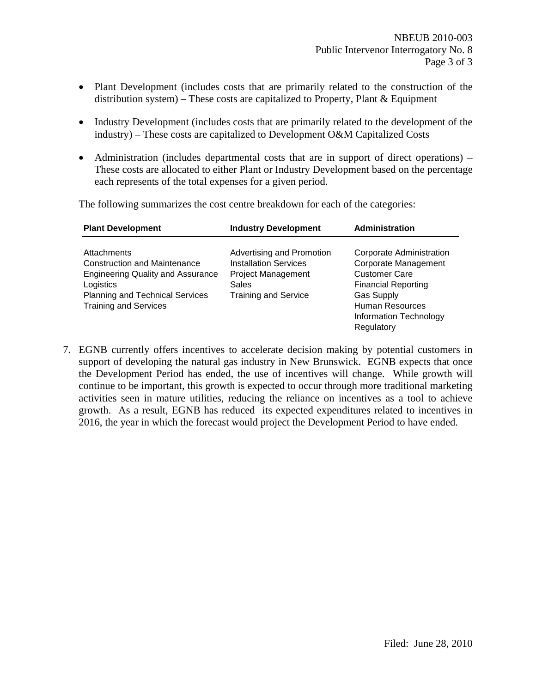- Plant Development (includes costs that are primarily related to the construction of the distribution system) – These costs are capitalized to Property, Plant  $\&$  Equipment
- Industry Development (includes costs that are primarily related to the development of the industry) – These costs are capitalized to Development O&M Capitalized Costs
- Administration (includes departmental costs that are in support of direct operations) These costs are allocated to either Plant or Industry Development based on the percentage each represents of the total expenses for a given period.

| <b>Plant Development</b>                                                                                                                                                                     | <b>Industry Development</b>                                                                                                    | <b>Administration</b>                                                                                                                                                                                |
|----------------------------------------------------------------------------------------------------------------------------------------------------------------------------------------------|--------------------------------------------------------------------------------------------------------------------------------|------------------------------------------------------------------------------------------------------------------------------------------------------------------------------------------------------|
| <b>Attachments</b><br><b>Construction and Maintenance</b><br><b>Engineering Quality and Assurance</b><br>Logistics<br><b>Planning and Technical Services</b><br><b>Training and Services</b> | Advertising and Promotion<br><b>Installation Services</b><br><b>Project Management</b><br>Sales<br><b>Training and Service</b> | <b>Corporate Administration</b><br>Corporate Management<br><b>Customer Care</b><br><b>Financial Reporting</b><br><b>Gas Supply</b><br><b>Human Resources</b><br>Information Technology<br>Regulatory |

The following summarizes the cost centre breakdown for each of the categories:

7. EGNB currently offers incentives to accelerate decision making by potential customers in support of developing the natural gas industry in New Brunswick. EGNB expects that once the Development Period has ended, the use of incentives will change. While growth will continue to be important, this growth is expected to occur through more traditional marketing activities seen in mature utilities, reducing the reliance on incentives as a tool to achieve growth. As a result, EGNB has reduced its expected expenditures related to incentives in 2016, the year in which the forecast would project the Development Period to have ended.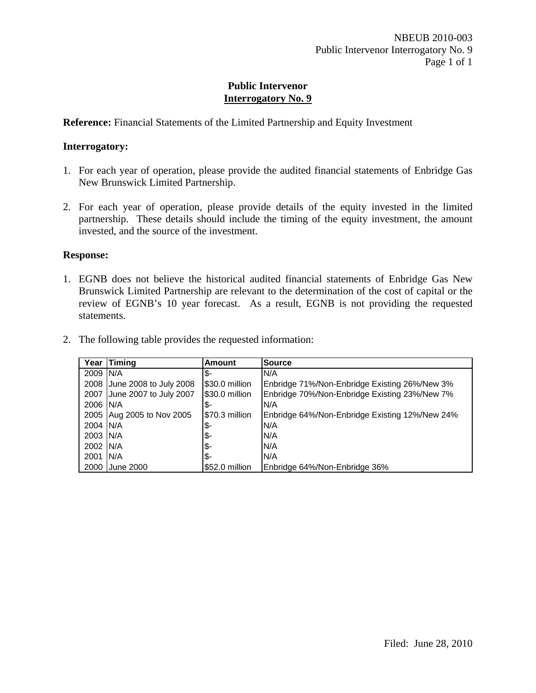**Reference:** Financial Statements of the Limited Partnership and Equity Investment

#### **Interrogatory:**

- 1. For each year of operation, please provide the audited financial statements of Enbridge Gas New Brunswick Limited Partnership.
- 2. For each year of operation, please provide details of the equity invested in the limited partnership. These details should include the timing of the equity investment, the amount invested, and the source of the investment.

#### **Response:**

1. EGNB does not believe the historical audited financial statements of Enbridge Gas New Brunswick Limited Partnership are relevant to the determination of the cost of capital or the review of EGNB's 10 year forecast. As a result, EGNB is not providing the requested statements.

| Year      | Timing                    | <b>Amount</b>  | <b>Source</b>                                  |
|-----------|---------------------------|----------------|------------------------------------------------|
| 2009 IN/A |                           | \$             | N/A                                            |
| 2008      | June 2008 to July 2008    | \$30.0 million | Enbridge 71%/Non-Enbridge Existing 26%/New 3%  |
| 2007      | June 2007 to July 2007    | \$30.0 million | Enbridge 70%/Non-Enbridge Existing 23%/New 7%  |
| 2006 IN/A |                           | \$             | N/A                                            |
|           | 2005 Aug 2005 to Nov 2005 | \$70.3 million | Enbridge 64%/Non-Enbridge Existing 12%/New 24% |
| 2004 IN/A |                           | \$             | N/A                                            |
| 2003 IN/A |                           | \$             | N/A                                            |
| 2002 N/A  |                           | ι\$            | N/A                                            |
| 2001      | IN/A                      | I\$-           | N/A                                            |
| 2000      | June 2000                 | \$52.0 million | Enbridge 64%/Non-Enbridge 36%                  |

2. The following table provides the requested information: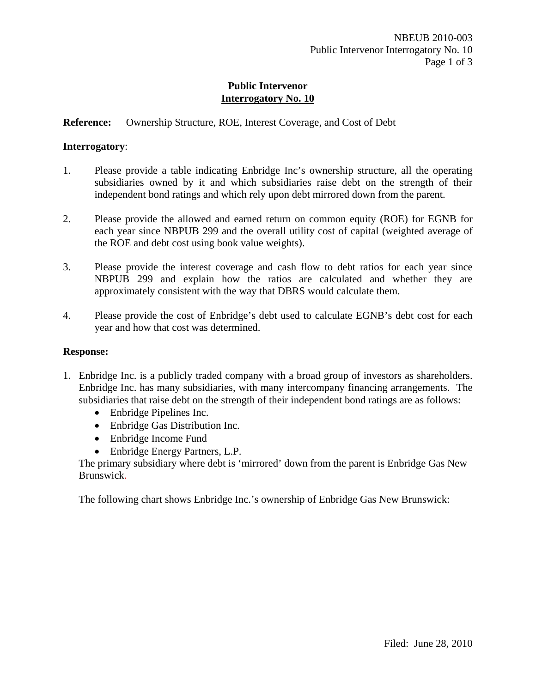# **Reference:** Ownership Structure, ROE, Interest Coverage, and Cost of Debt

#### **Interrogatory**:

- 1. Please provide a table indicating Enbridge Inc's ownership structure, all the operating subsidiaries owned by it and which subsidiaries raise debt on the strength of their independent bond ratings and which rely upon debt mirrored down from the parent.
- 2. Please provide the allowed and earned return on common equity (ROE) for EGNB for each year since NBPUB 299 and the overall utility cost of capital (weighted average of the ROE and debt cost using book value weights).
- 3. Please provide the interest coverage and cash flow to debt ratios for each year since NBPUB 299 and explain how the ratios are calculated and whether they are approximately consistent with the way that DBRS would calculate them.
- 4. Please provide the cost of Enbridge's debt used to calculate EGNB's debt cost for each year and how that cost was determined.

#### **Response:**

- 1. Enbridge Inc. is a publicly traded company with a broad group of investors as shareholders. Enbridge Inc. has many subsidiaries, with many intercompany financing arrangements. The subsidiaries that raise debt on the strength of their independent bond ratings are as follows:
	- Enbridge Pipelines Inc.
	- Enbridge Gas Distribution Inc.
	- Enbridge Income Fund
	- Enbridge Energy Partners, L.P.

The primary subsidiary where debt is 'mirrored' down from the parent is Enbridge Gas New Brunswick.

The following chart shows Enbridge Inc.'s ownership of Enbridge Gas New Brunswick: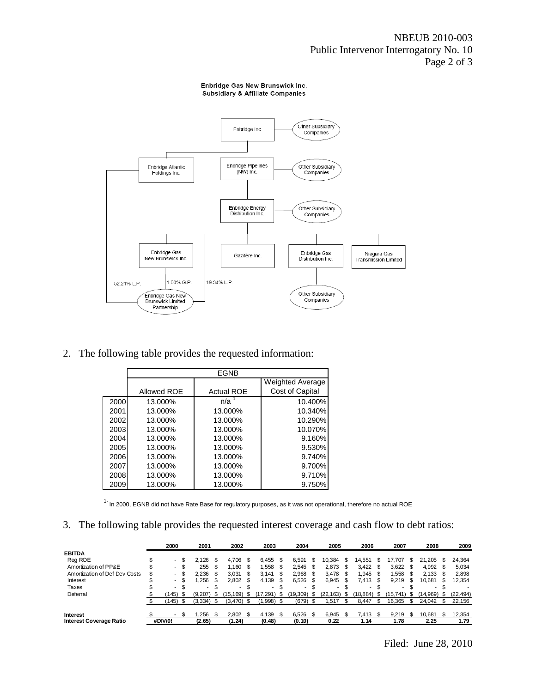

2. The following table provides the requested information:

|      |             | <b>EGNB</b>       |                  |
|------|-------------|-------------------|------------------|
|      |             |                   | Weighted Average |
|      | Allowed ROE | <b>Actual ROE</b> | Cost of Capital  |
| 2000 | 13.000%     | n/a               | 10.400%          |
| 2001 | 13.000%     | 13.000%           | 10.340%          |
| 2002 | 13.000%     | 13.000%           | 10.290%          |
| 2003 | 13.000%     | 13.000%           | 10.070%          |
| 2004 | 13.000%     | 13.000%           | 9.160%           |
| 2005 | 13.000%     | 13.000%           | 9.530%           |
| 2006 | 13.000%     | 13.000%           | 9.740%           |
| 2007 | 13.000%     | 13.000%           | 9.700%           |
| 2008 | 13.000%     | 13.000%           | 9.710%           |
| 2009 | 13.000%     | 13.000%           | 9.750%           |

<sup>1-</sup> In 2000, EGNB did not have Rate Base for regulatory purposes, as it was not operational, therefore no actual ROE

3. The following table provides the requested interest coverage and cash flow to debt ratios:

|                                |   | 2000                     |      | 2001                     |      | 2002          |      | 2003   |     | 2004    |      | 2005                     |     | 2006                     |      | 2007    |      | 2008     |    | 2009      |
|--------------------------------|---|--------------------------|------|--------------------------|------|---------------|------|--------|-----|---------|------|--------------------------|-----|--------------------------|------|---------|------|----------|----|-----------|
| <b>EBITDA</b>                  |   |                          |      |                          |      |               |      |        |     |         |      |                          |     |                          |      |         |      |          |    |           |
| Reg ROE                        |   | $\overline{\phantom{0}}$ | - \$ | 2.126                    |      | 4.706         | \$.  | 6.455  |     | 6.591   |      | 10.384                   | S.  | 14.551                   |      | 17.707  |      | 21.205   | \$ | 24,364    |
| Amortization of PP&E           |   | $\overline{\phantom{a}}$ | - \$ | 255                      |      | 1.160         | £.   | .558   |     | 2.545   | \$.  | 2.873                    |     | 3.422                    |      | 3.622   |      | 4.992    |    | 5,034     |
| Amortization of Def Dev Costs  | D |                          | - \$ | 2.236                    |      | 3.031         |      | 3.141  |     | 2.968   |      | 3.478                    | -S  | .945                     |      | .558    |      | 2.133    |    | 2,898     |
| Interest                       |   |                          | - \$ | .256                     |      | 2.802         | -S   | 4.139  | \$. | 6.526   | - \$ | 6.945                    | \$. | 7.413                    |      | 9,219   | £.   | 10.681   |    | 12,354    |
| Taxes                          |   | $\blacksquare$           | - \$ | $\overline{\phantom{a}}$ | - 35 | $\sim$        | - \$ | $\sim$ | -S  |         | \$.  | $\overline{\phantom{a}}$ |     | $\overline{\phantom{a}}$ |      |         |      |          |    |           |
| Deferral                       |   | 145)                     | - 35 | (9.207)                  |      | .169)<br>'15. |      | .291   |     | 19,309) | -S   | (22, 163)                | -55 | (18, 884)                | - \$ | 15.741) | - \$ | (14,969) | £. | (22, 494) |
|                                |   | 145)                     |      | (3,334)                  |      | (3,470)       |      | 1.998  |     | (679)   |      | .517                     |     | 8.447                    |      | 16.365  |      | 24.042   |    | 22,156    |
|                                |   |                          |      |                          |      |               |      |        |     |         |      |                          |     |                          |      |         |      |          |    |           |
| Interest                       |   |                          | \$.  | .256                     |      | 2.802         |      | 4.139  | £.  | 6.526   | £.   | 6,945                    |     | 7.413                    |      | 9.219   | - 35 | 10.681   | S  | 12,354    |
| <b>Interest Coverage Ratio</b> |   | #DIV/0!                  |      | (2.65)                   |      | (1.24)        |      | (0.48) |     | (0.10)  |      | 0.22                     |     | 1.14                     |      | l.78    |      | 2.25     |    | 1.79      |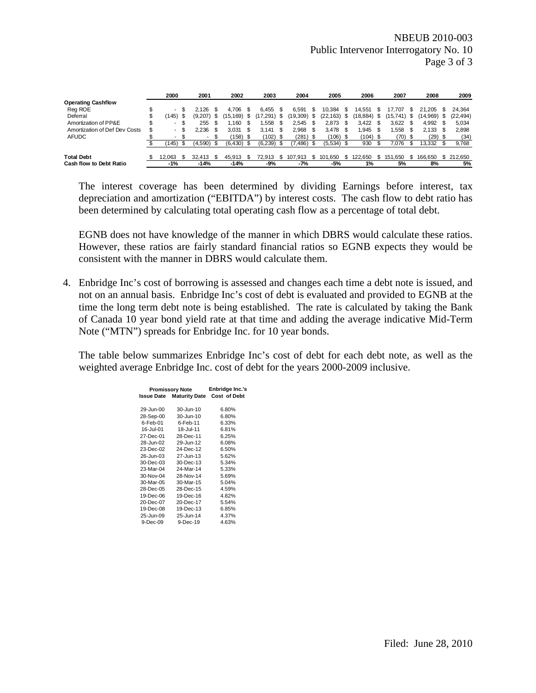|                               | 2000   | 2001    |   | 2002         |      | 2003     |      | 2004          |   | 2005         |      | 2006      |    | 2007     |      | 2008     |     | 2009      |
|-------------------------------|--------|---------|---|--------------|------|----------|------|---------------|---|--------------|------|-----------|----|----------|------|----------|-----|-----------|
| <b>Operating Cashflow</b>     |        |         |   |              |      |          |      |               |   |              |      |           |    |          |      |          |     |           |
| Reg ROE                       | $\sim$ | 2.126   |   | 4.706        |      | 6.455    |      | 6.591         | 5 | 10.384       | S    | 14.551    | Ъ  | 17.707   |      | 21.205   |     | 24.364    |
| Deferral                      | 145)   | (9,207) | S | 169)<br>15.  | -95  | (291.)   | - \$ | $(19,309)$ \$ |   | (22, 163)    | \$   | (18, 884) | \$ | (15,741) |      | (14,969) |     | (22, 494) |
| Amortization of PP&E          | $\sim$ | 255     |   | .160         |      | .558     |      | 2.545         |   | 2.873        |      | 3.422     |    | 3.622    |      | 4.992    |     | 5,034     |
| Amortization of Def Dev Costs | $\sim$ | 2.236   |   | 3.031        | - \$ | 3.141    |      | 2.968         |   | 3.478        | \$.  | .945      | \$ | 1.558    | \$.  | 2.133    | -S  | 2.898     |
| <b>AFUDC</b>                  | $\sim$ | . .     |   | $(158)$ \$   |      | (102) \$ |      | (281) \$      |   | (106)        | - \$ | (104) \$  |    | (70)     | - 35 | (29)     |     | (34)      |
|                               | 145)   | (4.590) |   | $(6,430)$ \$ |      | (6.239)  |      | (7, 486)      |   | $(5,534)$ \$ |      | 930       |    | 7.076    |      | 13.332   |     | 9,768     |
| <b>Total Debt</b>             | 12.063 | 32.413  |   | 45.913       |      | 72.913   |      | 107.913       |   | 101.650      |      | 122.650   |    | 151.650  |      | 166.650  | \$. | 212,650   |
| Cash flow to Debt Ratio       | $-1%$  | $-14%$  |   | $-14%$       |      | -9%      |      | -7%           |   | $-5%$        |      | 1%        |    | 5%       |      | 8%       |     | 5%        |

The interest coverage has been determined by dividing Earnings before interest, tax depreciation and amortization ("EBITDA") by interest costs. The cash flow to debt ratio has been determined by calculating total operating cash flow as a percentage of total debt.

EGNB does not have knowledge of the manner in which DBRS would calculate these ratios. However, these ratios are fairly standard financial ratios so EGNB expects they would be consistent with the manner in DBRS would calculate them.

4. Enbridge Inc's cost of borrowing is assessed and changes each time a debt note is issued, and not on an annual basis. Enbridge Inc's cost of debt is evaluated and provided to EGNB at the time the long term debt note is being established. The rate is calculated by taking the Bank of Canada 10 year bond yield rate at that time and adding the average indicative Mid-Term Note ("MTN") spreads for Enbridge Inc. for 10 year bonds.

The table below summarizes Enbridge Inc's cost of debt for each debt note, as well as the weighted average Enbridge Inc. cost of debt for the years 2000-2009 inclusive.

| <b>Promissory Note</b> | Enbridge Inc.'s      |                     |
|------------------------|----------------------|---------------------|
| Issue Date             | <b>Maturity Date</b> | <b>Cost of Debt</b> |
|                        |                      |                     |
| 29-Jun-00              | 30-Jun-10            | 6.80%               |
| 28-Sep-00              | 30-Jun-10            | 6.80%               |
| $6$ -Feb-01            | $6$ -Feb-11          | 6.33%               |
| 16-Jul-01              | 18-Jul-11            | 6.81%               |
| 27-Dec-01              | 28-Dec-11            | 6.25%               |
| 28-Jun-02              | 29-Jun-12            | 6.08%               |
| 23-Dec-02              | 24-Dec-12            | 6.50%               |
| 26-Jun-03              | 27-Jun-13            | 5.62%               |
| $30 - Dec - 03$        | 30-Dec-13            | 5.34%               |
| 23-Mar-04              | 24-Mar-14            | 5.33%               |
| 30-Nov-04              | 28-Nov-14            | 5.69%               |
| 30-Mar-05              | 30-Mar-15            | 5.04%               |
| 28-Dec-05              | 28-Dec-15            | 4.59%               |
| 19-Dec-06              | 19-Dec-16            | 4.82%               |
| 20-Dec-07              | 20-Dec-17            | 5.54%               |
| 19-Dec-08              | 19-Dec-13            | 6.85%               |
| 25-Jun-09              | 25-Jun-14            | 4.37%               |
| 9-Dec-09               | $9-Dec-19$           | 4.63%               |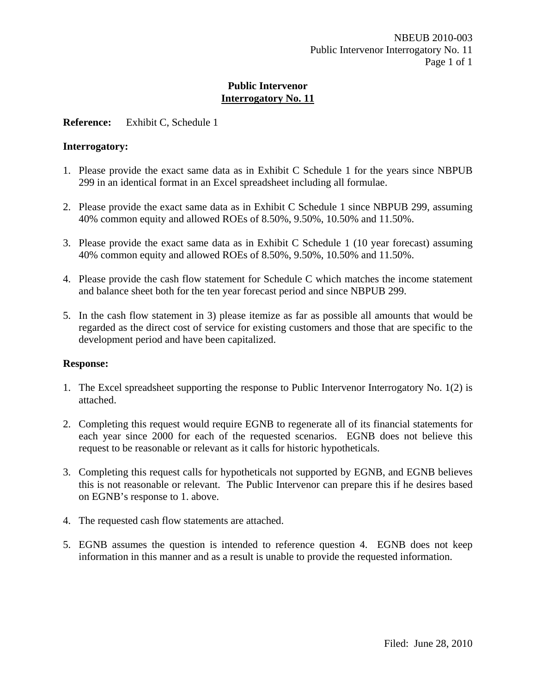## **Reference:** Exhibit C, Schedule 1

#### **Interrogatory:**

- 1. Please provide the exact same data as in Exhibit C Schedule 1 for the years since NBPUB 299 in an identical format in an Excel spreadsheet including all formulae.
- 2. Please provide the exact same data as in Exhibit C Schedule 1 since NBPUB 299, assuming 40% common equity and allowed ROEs of 8.50%, 9.50%, 10.50% and 11.50%.
- 3. Please provide the exact same data as in Exhibit C Schedule 1 (10 year forecast) assuming 40% common equity and allowed ROEs of 8.50%, 9.50%, 10.50% and 11.50%.
- 4. Please provide the cash flow statement for Schedule C which matches the income statement and balance sheet both for the ten year forecast period and since NBPUB 299.
- 5. In the cash flow statement in 3) please itemize as far as possible all amounts that would be regarded as the direct cost of service for existing customers and those that are specific to the development period and have been capitalized.

- 1. The Excel spreadsheet supporting the response to Public Intervenor Interrogatory No. 1(2) is attached.
- 2. Completing this request would require EGNB to regenerate all of its financial statements for each year since 2000 for each of the requested scenarios. EGNB does not believe this request to be reasonable or relevant as it calls for historic hypotheticals.
- 3. Completing this request calls for hypotheticals not supported by EGNB, and EGNB believes this is not reasonable or relevant. The Public Intervenor can prepare this if he desires based on EGNB's response to 1. above.
- 4. The requested cash flow statements are attached.
- 5. EGNB assumes the question is intended to reference question 4. EGNB does not keep information in this manner and as a result is unable to provide the requested information.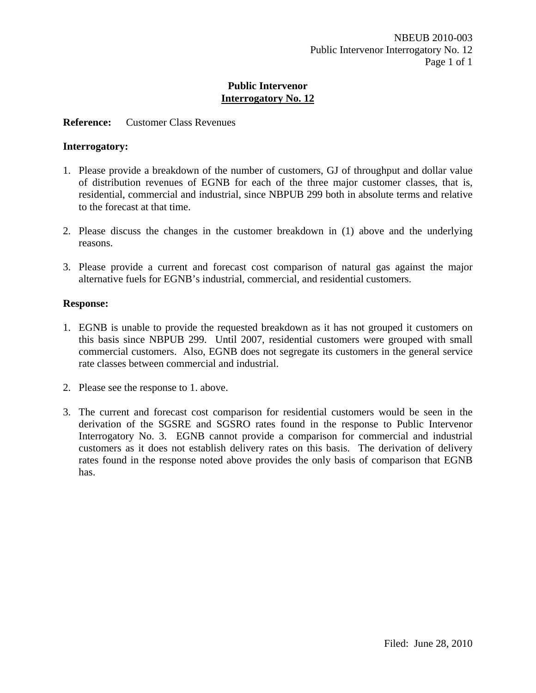#### **Reference:** Customer Class Revenues

#### **Interrogatory:**

- 1. Please provide a breakdown of the number of customers, GJ of throughput and dollar value of distribution revenues of EGNB for each of the three major customer classes, that is, residential, commercial and industrial, since NBPUB 299 both in absolute terms and relative to the forecast at that time.
- 2. Please discuss the changes in the customer breakdown in (1) above and the underlying reasons.
- 3. Please provide a current and forecast cost comparison of natural gas against the major alternative fuels for EGNB's industrial, commercial, and residential customers.

- 1. EGNB is unable to provide the requested breakdown as it has not grouped it customers on this basis since NBPUB 299. Until 2007, residential customers were grouped with small commercial customers. Also, EGNB does not segregate its customers in the general service rate classes between commercial and industrial.
- 2. Please see the response to 1. above.
- 3. The current and forecast cost comparison for residential customers would be seen in the derivation of the SGSRE and SGSRO rates found in the response to Public Intervenor Interrogatory No. 3. EGNB cannot provide a comparison for commercial and industrial customers as it does not establish delivery rates on this basis. The derivation of delivery rates found in the response noted above provides the only basis of comparison that EGNB has.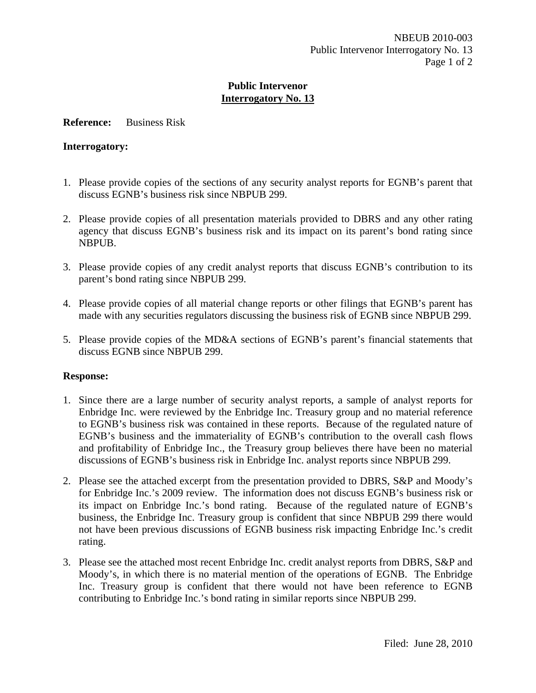#### **Reference:** Business Risk

#### **Interrogatory:**

- 1. Please provide copies of the sections of any security analyst reports for EGNB's parent that discuss EGNB's business risk since NBPUB 299.
- 2. Please provide copies of all presentation materials provided to DBRS and any other rating agency that discuss EGNB's business risk and its impact on its parent's bond rating since NBPUB.
- 3. Please provide copies of any credit analyst reports that discuss EGNB's contribution to its parent's bond rating since NBPUB 299.
- 4. Please provide copies of all material change reports or other filings that EGNB's parent has made with any securities regulators discussing the business risk of EGNB since NBPUB 299.
- 5. Please provide copies of the MD&A sections of EGNB's parent's financial statements that discuss EGNB since NBPUB 299.

- 1. Since there are a large number of security analyst reports, a sample of analyst reports for Enbridge Inc. were reviewed by the Enbridge Inc. Treasury group and no material reference to EGNB's business risk was contained in these reports. Because of the regulated nature of EGNB's business and the immateriality of EGNB's contribution to the overall cash flows and profitability of Enbridge Inc., the Treasury group believes there have been no material discussions of EGNB's business risk in Enbridge Inc. analyst reports since NBPUB 299.
- 2. Please see the attached excerpt from the presentation provided to DBRS, S&P and Moody's for Enbridge Inc.'s 2009 review. The information does not discuss EGNB's business risk or its impact on Enbridge Inc.'s bond rating. Because of the regulated nature of EGNB's business, the Enbridge Inc. Treasury group is confident that since NBPUB 299 there would not have been previous discussions of EGNB business risk impacting Enbridge Inc.'s credit rating.
- 3. Please see the attached most recent Enbridge Inc. credit analyst reports from DBRS, S&P and Moody's, in which there is no material mention of the operations of EGNB. The Enbridge Inc. Treasury group is confident that there would not have been reference to EGNB contributing to Enbridge Inc.'s bond rating in similar reports since NBPUB 299.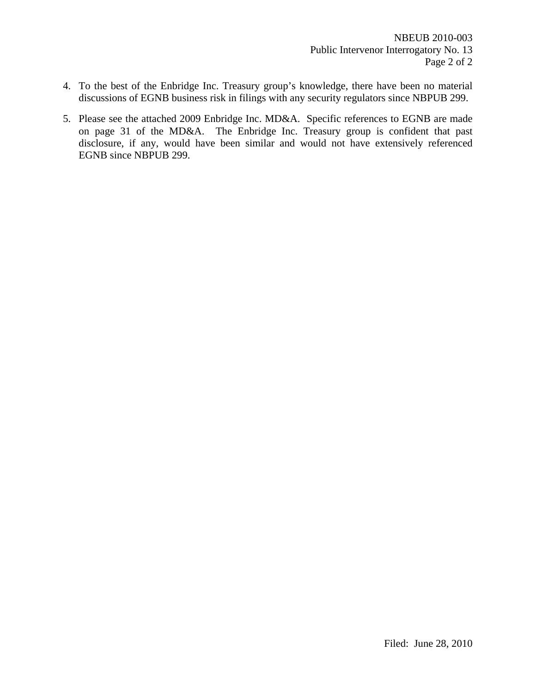- 4. To the best of the Enbridge Inc. Treasury group's knowledge, there have been no material discussions of EGNB business risk in filings with any security regulators since NBPUB 299.
- 5. Please see the attached 2009 Enbridge Inc. MD&A. Specific references to EGNB are made on page 31 of the MD&A. The Enbridge Inc. Treasury group is confident that past disclosure, if any, would have been similar and would not have extensively referenced EGNB since NBPUB 299.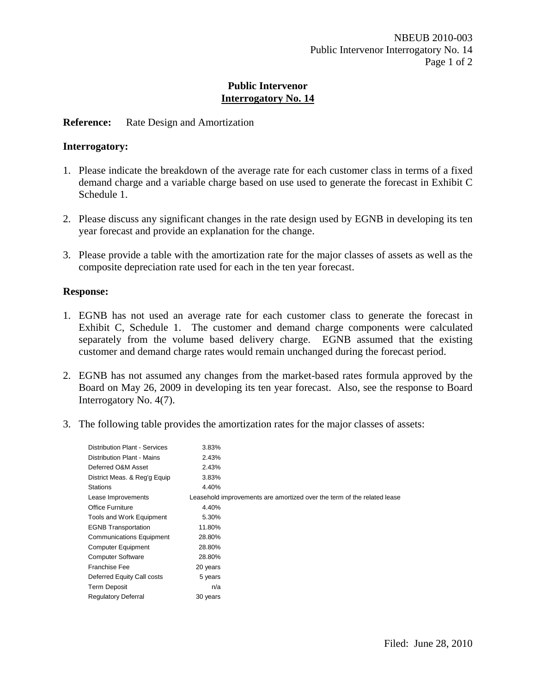## **Reference:** Rate Design and Amortization

#### **Interrogatory:**

- 1. Please indicate the breakdown of the average rate for each customer class in terms of a fixed demand charge and a variable charge based on use used to generate the forecast in Exhibit C Schedule 1.
- 2. Please discuss any significant changes in the rate design used by EGNB in developing its ten year forecast and provide an explanation for the change.
- 3. Please provide a table with the amortization rate for the major classes of assets as well as the composite depreciation rate used for each in the ten year forecast.

- 1. EGNB has not used an average rate for each customer class to generate the forecast in Exhibit C, Schedule 1. The customer and demand charge components were calculated separately from the volume based delivery charge. EGNB assumed that the existing customer and demand charge rates would remain unchanged during the forecast period.
- 2. EGNB has not assumed any changes from the market-based rates formula approved by the Board on May 26, 2009 in developing its ten year forecast. Also, see the response to Board Interrogatory No. 4(7).
- 3. The following table provides the amortization rates for the major classes of assets:

| <b>Distribution Plant - Services</b> | 3.83%                                                                   |
|--------------------------------------|-------------------------------------------------------------------------|
| Distribution Plant - Mains           | 2.43%                                                                   |
| Deferred O&M Asset                   | 2.43%                                                                   |
| District Meas. & Reg'g Equip         | 3.83%                                                                   |
| <b>Stations</b>                      | 4.40%                                                                   |
| Lease Improvements                   | Leasehold improvements are amortized over the term of the related lease |
| Office Furniture                     | 4.40%                                                                   |
| Tools and Work Equipment             | 5.30%                                                                   |
| <b>EGNB Transportation</b>           | 11.80%                                                                  |
| <b>Communications Equipment</b>      | 28.80%                                                                  |
| <b>Computer Equipment</b>            | 28.80%                                                                  |
| <b>Computer Software</b>             | 28.80%                                                                  |
| Franchise Fee                        | 20 years                                                                |
| Deferred Equity Call costs           | 5 years                                                                 |
| <b>Term Deposit</b>                  | n/a                                                                     |
| <b>Regulatory Deferral</b>           | 30 years                                                                |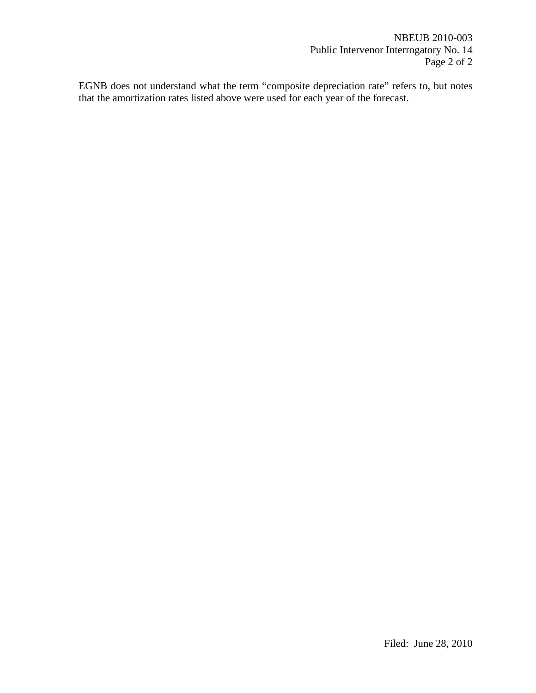NBEUB 2010-003 Public Intervenor Interrogatory No. 14 Page 2 of 2

EGNB does not understand what the term "composite depreciation rate" refers to, but notes that the amortization rates listed above were used for each year of the forecast.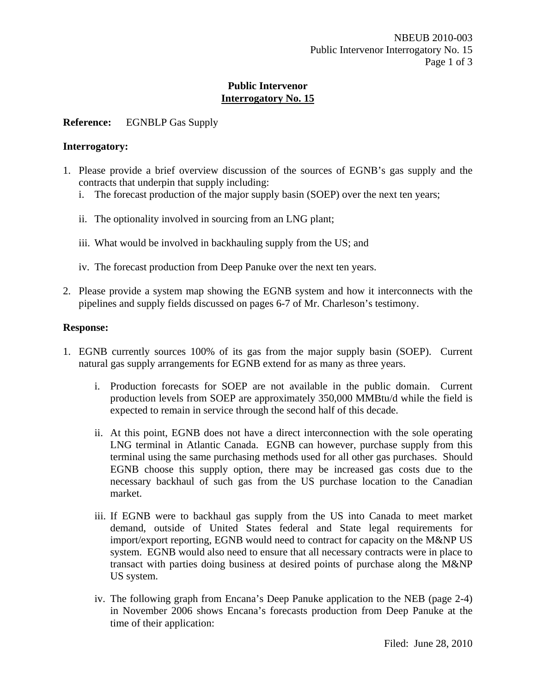# **Reference:** EGNBLP Gas Supply

#### **Interrogatory:**

- 1. Please provide a brief overview discussion of the sources of EGNB's gas supply and the contracts that underpin that supply including:
	- i. The forecast production of the major supply basin (SOEP) over the next ten years;
	- ii. The optionality involved in sourcing from an LNG plant;
	- iii. What would be involved in backhauling supply from the US; and
	- iv. The forecast production from Deep Panuke over the next ten years.
- 2. Please provide a system map showing the EGNB system and how it interconnects with the pipelines and supply fields discussed on pages 6-7 of Mr. Charleson's testimony.

- 1. EGNB currently sources 100% of its gas from the major supply basin (SOEP). Current natural gas supply arrangements for EGNB extend for as many as three years.
	- i. Production forecasts for SOEP are not available in the public domain. Current production levels from SOEP are approximately 350,000 MMBtu/d while the field is expected to remain in service through the second half of this decade.
	- ii. At this point, EGNB does not have a direct interconnection with the sole operating LNG terminal in Atlantic Canada. EGNB can however, purchase supply from this terminal using the same purchasing methods used for all other gas purchases. Should EGNB choose this supply option, there may be increased gas costs due to the necessary backhaul of such gas from the US purchase location to the Canadian market.
	- iii. If EGNB were to backhaul gas supply from the US into Canada to meet market demand, outside of United States federal and State legal requirements for import/export reporting, EGNB would need to contract for capacity on the M&NP US system. EGNB would also need to ensure that all necessary contracts were in place to transact with parties doing business at desired points of purchase along the M&NP US system.
	- iv. The following graph from Encana's Deep Panuke application to the NEB (page 2-4) in November 2006 shows Encana's forecasts production from Deep Panuke at the time of their application: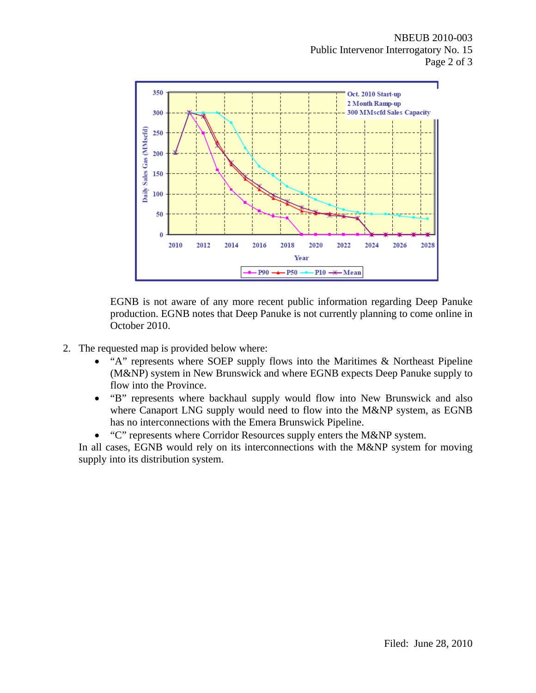NBEUB 2010-003 Public Intervenor Interrogatory No. 15 Page 2 of 3



EGNB is not aware of any more recent public information regarding Deep Panuke production. EGNB notes that Deep Panuke is not currently planning to come online in October 2010.

- 2. The requested map is provided below where:
	- "A" represents where SOEP supply flows into the Maritimes & Northeast Pipeline (M&NP) system in New Brunswick and where EGNB expects Deep Panuke supply to flow into the Province.
	- "B" represents where backhaul supply would flow into New Brunswick and also where Canaport LNG supply would need to flow into the M&NP system, as EGNB has no interconnections with the Emera Brunswick Pipeline.
	- "C" represents where Corridor Resources supply enters the M&NP system.

In all cases, EGNB would rely on its interconnections with the M&NP system for moving supply into its distribution system.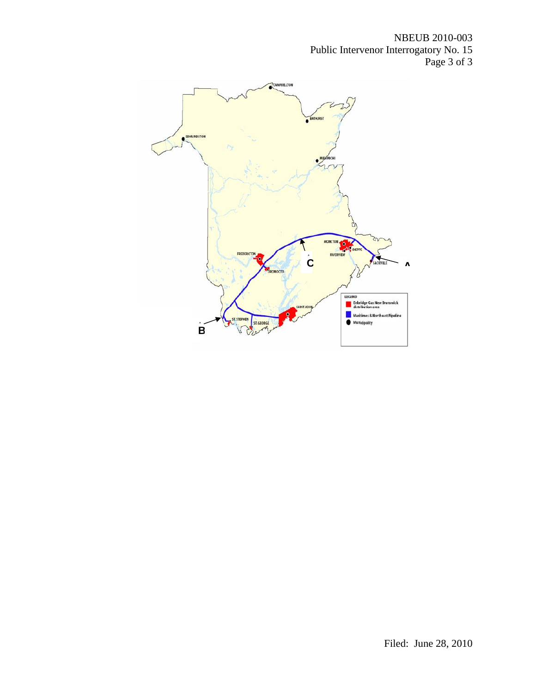NBEUB 2010-003 Public Intervenor Interrogatory No. 15 Page 3 of 3

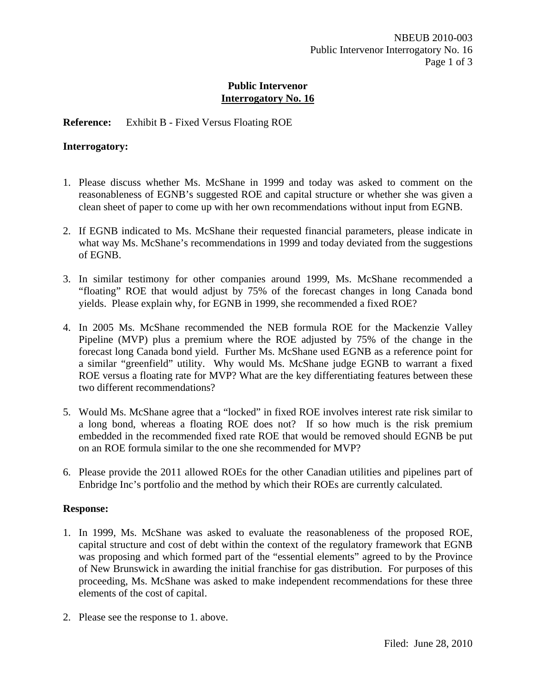## **Reference:** Exhibit B - Fixed Versus Floating ROE

#### **Interrogatory:**

- 1. Please discuss whether Ms. McShane in 1999 and today was asked to comment on the reasonableness of EGNB's suggested ROE and capital structure or whether she was given a clean sheet of paper to come up with her own recommendations without input from EGNB.
- 2. If EGNB indicated to Ms. McShane their requested financial parameters, please indicate in what way Ms. McShane's recommendations in 1999 and today deviated from the suggestions of EGNB.
- 3. In similar testimony for other companies around 1999, Ms. McShane recommended a "floating" ROE that would adjust by 75% of the forecast changes in long Canada bond yields. Please explain why, for EGNB in 1999, she recommended a fixed ROE?
- 4. In 2005 Ms. McShane recommended the NEB formula ROE for the Mackenzie Valley Pipeline (MVP) plus a premium where the ROE adjusted by 75% of the change in the forecast long Canada bond yield. Further Ms. McShane used EGNB as a reference point for a similar "greenfield" utility. Why would Ms. McShane judge EGNB to warrant a fixed ROE versus a floating rate for MVP? What are the key differentiating features between these two different recommendations?
- 5. Would Ms. McShane agree that a "locked" in fixed ROE involves interest rate risk similar to a long bond, whereas a floating ROE does not? If so how much is the risk premium embedded in the recommended fixed rate ROE that would be removed should EGNB be put on an ROE formula similar to the one she recommended for MVP?
- 6. Please provide the 2011 allowed ROEs for the other Canadian utilities and pipelines part of Enbridge Inc's portfolio and the method by which their ROEs are currently calculated.

- 1. In 1999, Ms. McShane was asked to evaluate the reasonableness of the proposed ROE, capital structure and cost of debt within the context of the regulatory framework that EGNB was proposing and which formed part of the "essential elements" agreed to by the Province of New Brunswick in awarding the initial franchise for gas distribution. For purposes of this proceeding, Ms. McShane was asked to make independent recommendations for these three elements of the cost of capital.
- 2. Please see the response to 1. above.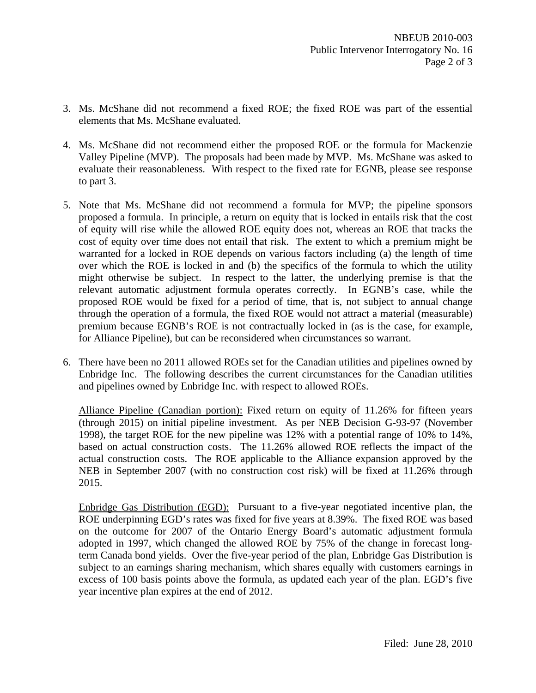- 3. Ms. McShane did not recommend a fixed ROE; the fixed ROE was part of the essential elements that Ms. McShane evaluated.
- 4. Ms. McShane did not recommend either the proposed ROE or the formula for Mackenzie Valley Pipeline (MVP). The proposals had been made by MVP. Ms. McShane was asked to evaluate their reasonableness. With respect to the fixed rate for EGNB, please see response to part 3.
- 5. Note that Ms. McShane did not recommend a formula for MVP; the pipeline sponsors proposed a formula. In principle, a return on equity that is locked in entails risk that the cost of equity will rise while the allowed ROE equity does not, whereas an ROE that tracks the cost of equity over time does not entail that risk. The extent to which a premium might be warranted for a locked in ROE depends on various factors including (a) the length of time over which the ROE is locked in and (b) the specifics of the formula to which the utility might otherwise be subject. In respect to the latter, the underlying premise is that the relevant automatic adjustment formula operates correctly. In EGNB's case, while the proposed ROE would be fixed for a period of time, that is, not subject to annual change through the operation of a formula, the fixed ROE would not attract a material (measurable) premium because EGNB's ROE is not contractually locked in (as is the case, for example, for Alliance Pipeline), but can be reconsidered when circumstances so warrant.
- 6. There have been no 2011 allowed ROEs set for the Canadian utilities and pipelines owned by Enbridge Inc. The following describes the current circumstances for the Canadian utilities and pipelines owned by Enbridge Inc. with respect to allowed ROEs.

Alliance Pipeline (Canadian portion): Fixed return on equity of 11.26% for fifteen years (through 2015) on initial pipeline investment. As per NEB Decision G-93-97 (November 1998), the target ROE for the new pipeline was 12% with a potential range of 10% to 14%, based on actual construction costs. The 11.26% allowed ROE reflects the impact of the actual construction costs. The ROE applicable to the Alliance expansion approved by the NEB in September 2007 (with no construction cost risk) will be fixed at 11.26% through 2015.

Enbridge Gas Distribution (EGD): Pursuant to a five-year negotiated incentive plan, the ROE underpinning EGD's rates was fixed for five years at 8.39%. The fixed ROE was based on the outcome for 2007 of the Ontario Energy Board's automatic adjustment formula adopted in 1997, which changed the allowed ROE by 75% of the change in forecast longterm Canada bond yields. Over the five-year period of the plan, Enbridge Gas Distribution is subject to an earnings sharing mechanism, which shares equally with customers earnings in excess of 100 basis points above the formula, as updated each year of the plan. EGD's five year incentive plan expires at the end of 2012.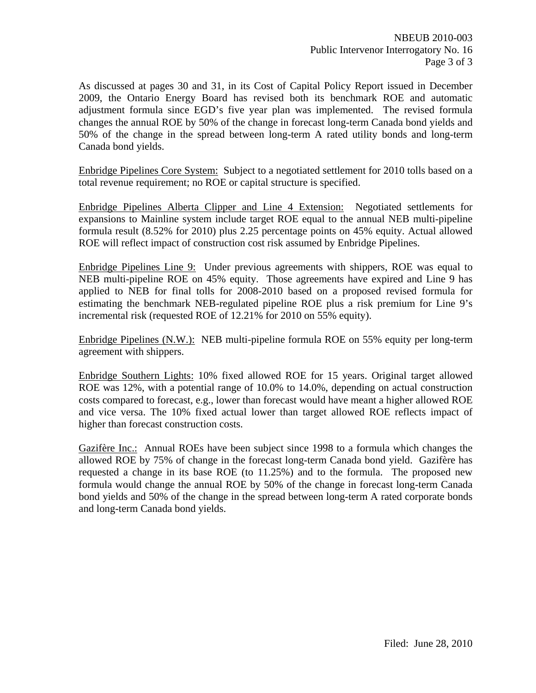As discussed at pages 30 and 31, in its Cost of Capital Policy Report issued in December 2009, the Ontario Energy Board has revised both its benchmark ROE and automatic adjustment formula since EGD's five year plan was implemented. The revised formula changes the annual ROE by 50% of the change in forecast long-term Canada bond yields and 50% of the change in the spread between long-term A rated utility bonds and long-term Canada bond yields.

Enbridge Pipelines Core System: Subject to a negotiated settlement for 2010 tolls based on a total revenue requirement; no ROE or capital structure is specified.

Enbridge Pipelines Alberta Clipper and Line 4 Extension: Negotiated settlements for expansions to Mainline system include target ROE equal to the annual NEB multi-pipeline formula result (8.52% for 2010) plus 2.25 percentage points on 45% equity. Actual allowed ROE will reflect impact of construction cost risk assumed by Enbridge Pipelines.

Enbridge Pipelines Line 9: Under previous agreements with shippers, ROE was equal to NEB multi-pipeline ROE on 45% equity. Those agreements have expired and Line 9 has applied to NEB for final tolls for 2008-2010 based on a proposed revised formula for estimating the benchmark NEB-regulated pipeline ROE plus a risk premium for Line 9's incremental risk (requested ROE of 12.21% for 2010 on 55% equity).

Enbridge Pipelines (N.W.): NEB multi-pipeline formula ROE on 55% equity per long-term agreement with shippers.

Enbridge Southern Lights: 10% fixed allowed ROE for 15 years. Original target allowed ROE was 12%, with a potential range of 10.0% to 14.0%, depending on actual construction costs compared to forecast, e.g., lower than forecast would have meant a higher allowed ROE and vice versa. The 10% fixed actual lower than target allowed ROE reflects impact of higher than forecast construction costs.

Gazifère Inc.: Annual ROEs have been subject since 1998 to a formula which changes the allowed ROE by 75% of change in the forecast long-term Canada bond yield. Gazifère has requested a change in its base ROE (to 11.25%) and to the formula. The proposed new formula would change the annual ROE by 50% of the change in forecast long-term Canada bond yields and 50% of the change in the spread between long-term A rated corporate bonds and long-term Canada bond yields.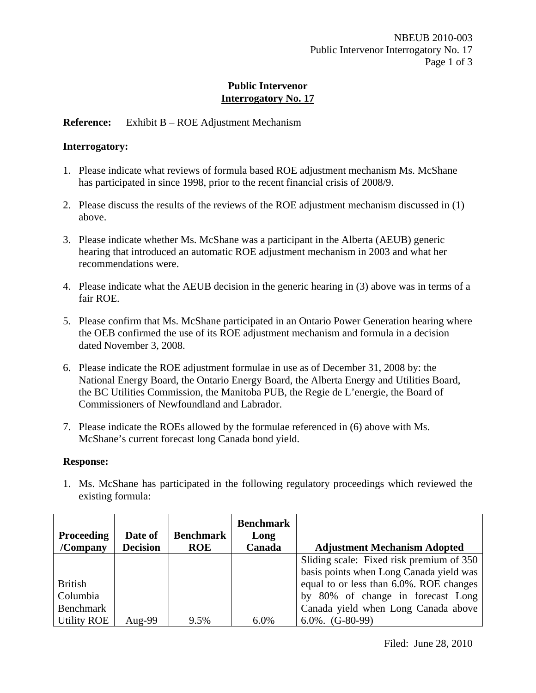## **Reference:** Exhibit B – ROE Adjustment Mechanism

## **Interrogatory:**

- 1. Please indicate what reviews of formula based ROE adjustment mechanism Ms. McShane has participated in since 1998, prior to the recent financial crisis of 2008/9.
- 2. Please discuss the results of the reviews of the ROE adjustment mechanism discussed in (1) above.
- 3. Please indicate whether Ms. McShane was a participant in the Alberta (AEUB) generic hearing that introduced an automatic ROE adjustment mechanism in 2003 and what her recommendations were.
- 4. Please indicate what the AEUB decision in the generic hearing in (3) above was in terms of a fair ROE.
- 5. Please confirm that Ms. McShane participated in an Ontario Power Generation hearing where the OEB confirmed the use of its ROE adjustment mechanism and formula in a decision dated November 3, 2008.
- 6. Please indicate the ROE adjustment formulae in use as of December 31, 2008 by: the National Energy Board, the Ontario Energy Board, the Alberta Energy and Utilities Board, the BC Utilities Commission, the Manitoba PUB, the Regie de L'energie, the Board of Commissioners of Newfoundland and Labrador.
- 7. Please indicate the ROEs allowed by the formulae referenced in (6) above with Ms. McShane's current forecast long Canada bond yield.

## **Response:**

1. Ms. McShane has participated in the following regulatory proceedings which reviewed the existing formula:

|                    |                 |                  | <b>Benchmark</b> |                                          |
|--------------------|-----------------|------------------|------------------|------------------------------------------|
| <b>Proceeding</b>  | Date of         | <b>Benchmark</b> | Long             |                                          |
| $/$ Company        | <b>Decision</b> | <b>ROE</b>       | Canada           | <b>Adjustment Mechanism Adopted</b>      |
|                    |                 |                  |                  | Sliding scale: Fixed risk premium of 350 |
|                    |                 |                  |                  | basis points when Long Canada yield was  |
| <b>British</b>     |                 |                  |                  | equal to or less than 6.0%. ROE changes  |
| Columbia           |                 |                  |                  | by 80% of change in forecast Long        |
| Benchmark          |                 |                  |                  | Canada yield when Long Canada above      |
| <b>Utility ROE</b> | Aug-99          | 9.5%             | 6.0%             | $6.0\%$ . $(G-80-99)$                    |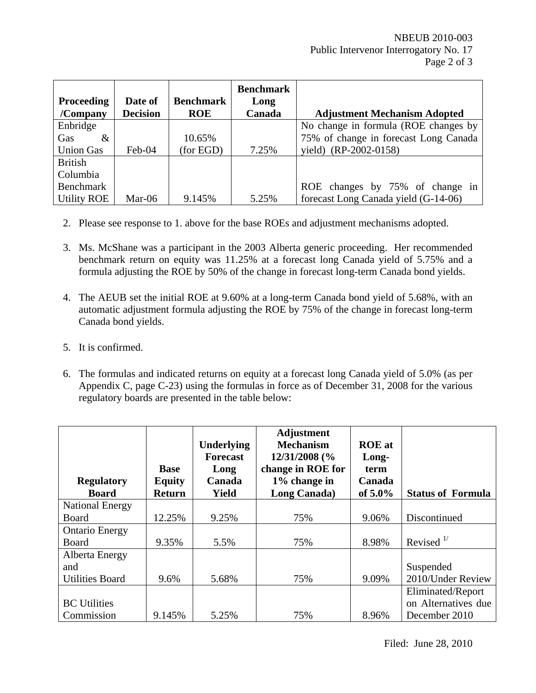|                    |                 |                  | <b>Benchmark</b> |                                       |
|--------------------|-----------------|------------------|------------------|---------------------------------------|
| <b>Proceeding</b>  | Date of         | <b>Benchmark</b> | Long             |                                       |
| $/$ Company        | <b>Decision</b> | <b>ROE</b>       | Canada           | <b>Adjustment Mechanism Adopted</b>   |
| Enbridge           |                 |                  |                  | No change in formula (ROE changes by  |
| Gas<br>$\&$        |                 | 10.65%           |                  | 75% of change in forecast Long Canada |
| <b>Union Gas</b>   | Feb-04          | (for EGD)        | 7.25%            | yield) (RP-2002-0158)                 |
| <b>British</b>     |                 |                  |                  |                                       |
| Columbia           |                 |                  |                  |                                       |
| Benchmark          |                 |                  |                  | ROE changes by 75% of change in       |
| <b>Utility ROE</b> | Mar-06          | 9.145%           | 5.25%            | forecast Long Canada yield (G-14-06)  |

- 2. Please see response to 1. above for the base ROEs and adjustment mechanisms adopted.
- 3. Ms. McShane was a participant in the 2003 Alberta generic proceeding. Her recommended benchmark return on equity was 11.25% at a forecast long Canada yield of 5.75% and a formula adjusting the ROE by 50% of the change in forecast long-term Canada bond yields.
- 4. The AEUB set the initial ROE at 9.60% at a long-term Canada bond yield of 5.68%, with an automatic adjustment formula adjusting the ROE by 75% of the change in forecast long-term Canada bond yields.
- 5. It is confirmed.
- 6. The formulas and indicated returns on equity at a forecast long Canada yield of 5.0% (as per Appendix C, page C-23) using the formulas in force as of December 31, 2008 for the various regulatory boards are presented in the table below:

| <b>Regulatory</b><br><b>Board</b> | <b>Base</b><br><b>Equity</b><br><b>Return</b> | Underlying<br><b>Forecast</b><br>Long<br>Canada<br><b>Yield</b> | <b>Adjustment</b><br><b>Mechanism</b><br>12/31/2008 (%<br>change in ROE for<br>1% change in<br>Long Canada) | <b>ROE</b> at<br>Long-<br>term<br>Canada<br>of $5.0\%$ | <b>Status of Formula</b> |
|-----------------------------------|-----------------------------------------------|-----------------------------------------------------------------|-------------------------------------------------------------------------------------------------------------|--------------------------------------------------------|--------------------------|
| <b>National Energy</b>            |                                               |                                                                 |                                                                                                             |                                                        |                          |
| Board                             | 12.25%                                        | 9.25%                                                           | 75%                                                                                                         | 9.06%                                                  | Discontinued             |
| <b>Ontario Energy</b>             |                                               |                                                                 |                                                                                                             |                                                        |                          |
| Board                             | 9.35%                                         | 5.5%                                                            | 75%                                                                                                         | 8.98%                                                  | Revised $\frac{1}{2}$    |
| Alberta Energy                    |                                               |                                                                 |                                                                                                             |                                                        |                          |
| and                               |                                               |                                                                 |                                                                                                             |                                                        | Suspended                |
| <b>Utilities Board</b>            | 9.6%                                          | 5.68%                                                           | 75%                                                                                                         | 9.09%                                                  | 2010/Under Review        |
|                                   |                                               |                                                                 |                                                                                                             |                                                        | Eliminated/Report        |
| <b>BC</b> Utilities               |                                               |                                                                 |                                                                                                             |                                                        | on Alternatives due      |
| Commission                        | 9.145%                                        | 5.25%                                                           | 75%                                                                                                         | 8.96%                                                  | December 2010            |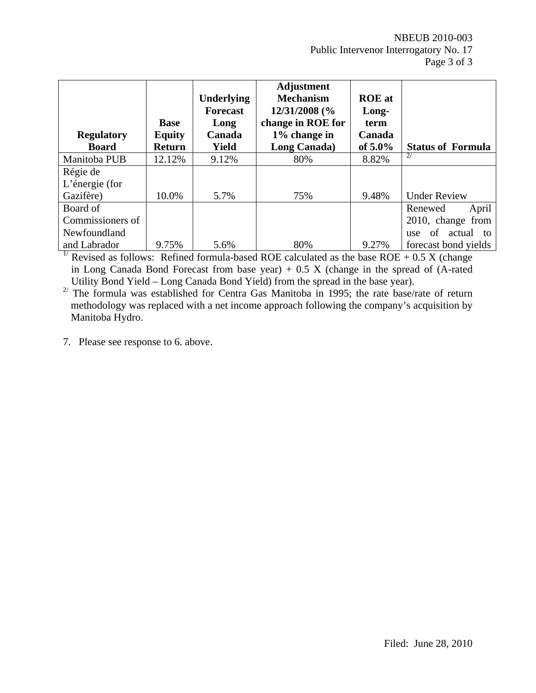NBEUB 2010-003 Public Intervenor Interrogatory No. 17 Page 3 of 3

| <b>Regulatory</b><br><b>Board</b> | <b>Base</b><br><b>Equity</b><br><b>Return</b> | <b>Underlying</b><br><b>Forecast</b><br>Long<br>Canada<br>Yield | <b>Adjustment</b><br><b>Mechanism</b><br>12/31/2008 (%<br>change in ROE for<br>1% change in<br>Long Canada) | <b>ROE</b> at<br>Long-<br>term<br>Canada<br>of $5.0\%$ | <b>Status of Formula</b>             |
|-----------------------------------|-----------------------------------------------|-----------------------------------------------------------------|-------------------------------------------------------------------------------------------------------------|--------------------------------------------------------|--------------------------------------|
| Manitoba PUB                      | 12.12%                                        | 9.12%                                                           | 80%                                                                                                         | 8.82%                                                  | 2/                                   |
| Régie de                          |                                               |                                                                 |                                                                                                             |                                                        |                                      |
| L'énergie (for                    |                                               |                                                                 |                                                                                                             |                                                        |                                      |
| Gazifère)                         | 10.0%                                         | 5.7%                                                            | 75%                                                                                                         | 9.48%                                                  | <b>Under Review</b>                  |
| Board of                          |                                               |                                                                 |                                                                                                             |                                                        | Renewed<br>April                     |
| Commissioners of                  |                                               |                                                                 |                                                                                                             |                                                        | 2010, change from                    |
| Newfoundland                      |                                               |                                                                 |                                                                                                             |                                                        | of<br>actual<br>$\mathsf{to}$<br>use |
| and Labrador                      | 9.75%                                         | 5.6%                                                            | 80%                                                                                                         | 9.27%                                                  | forecast bond yields                 |

<sup>1/</sup> Revised as follows: Refined formula-based ROE calculated as the base ROE + 0.5 X (change in Long Canada Bond Forecast from base year)  $+ 0.5$  X (change in the spread of (A-rated Utility Bond Yield – Long Canada Bond Yield) from the spread in the base year).

<sup>2/</sup> The formula was established for Centra Gas Manitoba in 1995; the rate base/rate of return methodology was replaced with a net income approach following the company's acquisition by Manitoba Hydro.

7. Please see response to 6. above.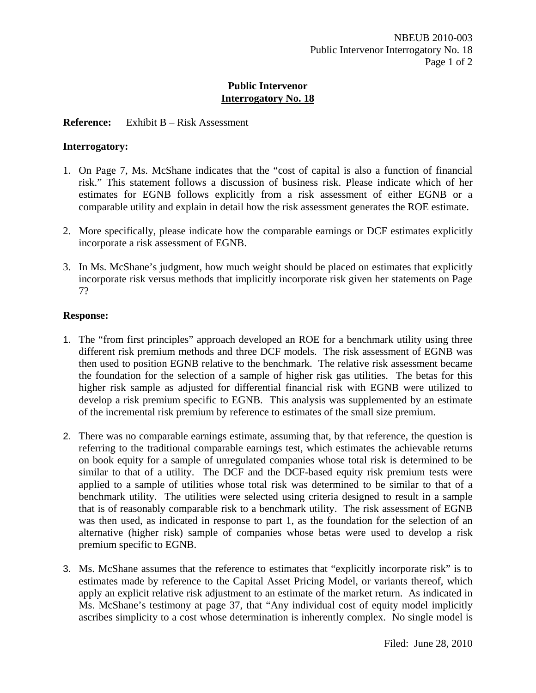## **Reference:** Exhibit B – Risk Assessment

## **Interrogatory:**

- 1. On Page 7, Ms. McShane indicates that the "cost of capital is also a function of financial risk." This statement follows a discussion of business risk. Please indicate which of her estimates for EGNB follows explicitly from a risk assessment of either EGNB or a comparable utility and explain in detail how the risk assessment generates the ROE estimate.
- 2. More specifically, please indicate how the comparable earnings or DCF estimates explicitly incorporate a risk assessment of EGNB.
- 3. In Ms. McShane's judgment, how much weight should be placed on estimates that explicitly incorporate risk versus methods that implicitly incorporate risk given her statements on Page 7?

## **Response:**

- 1. The "from first principles" approach developed an ROE for a benchmark utility using three different risk premium methods and three DCF models. The risk assessment of EGNB was then used to position EGNB relative to the benchmark. The relative risk assessment became the foundation for the selection of a sample of higher risk gas utilities. The betas for this higher risk sample as adjusted for differential financial risk with EGNB were utilized to develop a risk premium specific to EGNB. This analysis was supplemented by an estimate of the incremental risk premium by reference to estimates of the small size premium.
- 2. There was no comparable earnings estimate, assuming that, by that reference, the question is referring to the traditional comparable earnings test, which estimates the achievable returns on book equity for a sample of unregulated companies whose total risk is determined to be similar to that of a utility. The DCF and the DCF-based equity risk premium tests were applied to a sample of utilities whose total risk was determined to be similar to that of a benchmark utility. The utilities were selected using criteria designed to result in a sample that is of reasonably comparable risk to a benchmark utility. The risk assessment of EGNB was then used, as indicated in response to part 1, as the foundation for the selection of an alternative (higher risk) sample of companies whose betas were used to develop a risk premium specific to EGNB.
- 3. Ms. McShane assumes that the reference to estimates that "explicitly incorporate risk" is to estimates made by reference to the Capital Asset Pricing Model, or variants thereof, which apply an explicit relative risk adjustment to an estimate of the market return. As indicated in Ms. McShane's testimony at page 37, that "Any individual cost of equity model implicitly ascribes simplicity to a cost whose determination is inherently complex. No single model is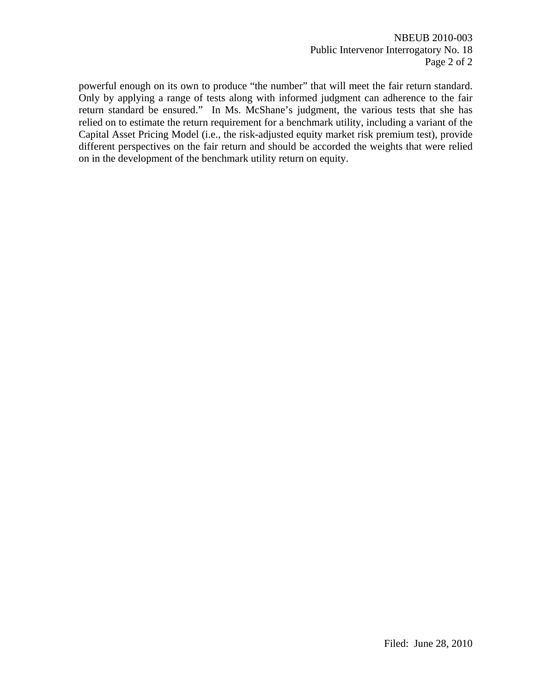NBEUB 2010-003 Public Intervenor Interrogatory No. 18 Page 2 of 2

powerful enough on its own to produce "the number" that will meet the fair return standard. Only by applying a range of tests along with informed judgment can adherence to the fair return standard be ensured." In Ms. McShane's judgment, the various tests that she has relied on to estimate the return requirement for a benchmark utility, including a variant of the Capital Asset Pricing Model (i.e., the risk-adjusted equity market risk premium test), provide different perspectives on the fair return and should be accorded the weights that were relied on in the development of the benchmark utility return on equity.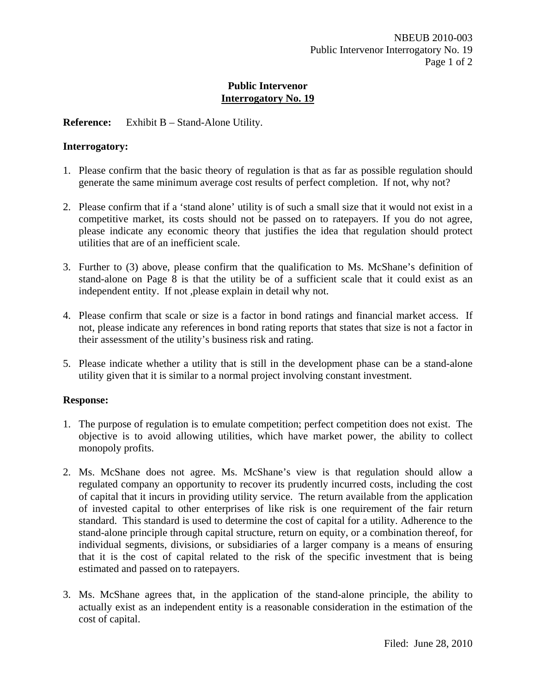## **Reference:** Exhibit B – Stand-Alone Utility.

## **Interrogatory:**

- 1. Please confirm that the basic theory of regulation is that as far as possible regulation should generate the same minimum average cost results of perfect completion. If not, why not?
- 2. Please confirm that if a 'stand alone' utility is of such a small size that it would not exist in a competitive market, its costs should not be passed on to ratepayers. If you do not agree, please indicate any economic theory that justifies the idea that regulation should protect utilities that are of an inefficient scale.
- 3. Further to (3) above, please confirm that the qualification to Ms. McShane's definition of stand-alone on Page 8 is that the utility be of a sufficient scale that it could exist as an independent entity. If not ,please explain in detail why not.
- 4. Please confirm that scale or size is a factor in bond ratings and financial market access. If not, please indicate any references in bond rating reports that states that size is not a factor in their assessment of the utility's business risk and rating.
- 5. Please indicate whether a utility that is still in the development phase can be a stand-alone utility given that it is similar to a normal project involving constant investment.

## **Response:**

- 1. The purpose of regulation is to emulate competition; perfect competition does not exist. The objective is to avoid allowing utilities, which have market power, the ability to collect monopoly profits.
- 2. Ms. McShane does not agree. Ms. McShane's view is that regulation should allow a regulated company an opportunity to recover its prudently incurred costs, including the cost of capital that it incurs in providing utility service. The return available from the application of invested capital to other enterprises of like risk is one requirement of the fair return standard. This standard is used to determine the cost of capital for a utility. Adherence to the stand-alone principle through capital structure, return on equity, or a combination thereof, for individual segments, divisions, or subsidiaries of a larger company is a means of ensuring that it is the cost of capital related to the risk of the specific investment that is being estimated and passed on to ratepayers.
- 3. Ms. McShane agrees that, in the application of the stand-alone principle, the ability to actually exist as an independent entity is a reasonable consideration in the estimation of the cost of capital.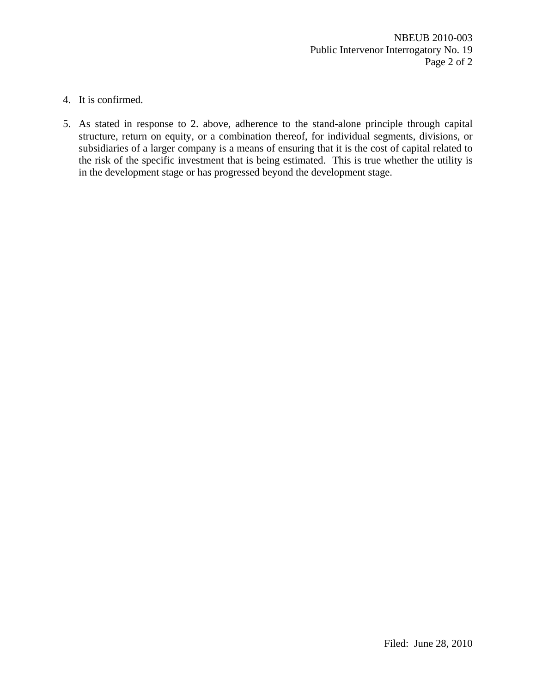- 4. It is confirmed.
- 5. As stated in response to 2. above, adherence to the stand-alone principle through capital structure, return on equity, or a combination thereof, for individual segments, divisions, or subsidiaries of a larger company is a means of ensuring that it is the cost of capital related to the risk of the specific investment that is being estimated. This is true whether the utility is in the development stage or has progressed beyond the development stage.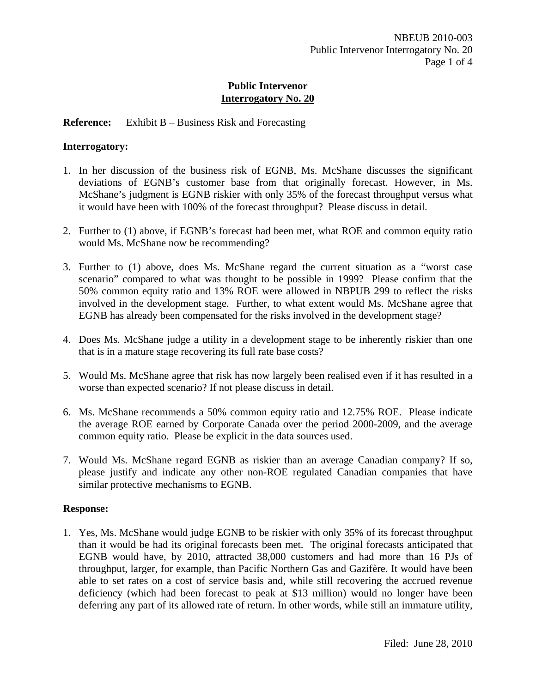## **Reference:** Exhibit B – Business Risk and Forecasting

#### **Interrogatory:**

- 1. In her discussion of the business risk of EGNB, Ms. McShane discusses the significant deviations of EGNB's customer base from that originally forecast. However, in Ms. McShane's judgment is EGNB riskier with only 35% of the forecast throughput versus what it would have been with 100% of the forecast throughput? Please discuss in detail.
- 2. Further to (1) above, if EGNB's forecast had been met, what ROE and common equity ratio would Ms. McShane now be recommending?
- 3. Further to (1) above, does Ms. McShane regard the current situation as a "worst case scenario" compared to what was thought to be possible in 1999? Please confirm that the 50% common equity ratio and 13% ROE were allowed in NBPUB 299 to reflect the risks involved in the development stage. Further, to what extent would Ms. McShane agree that EGNB has already been compensated for the risks involved in the development stage?
- 4. Does Ms. McShane judge a utility in a development stage to be inherently riskier than one that is in a mature stage recovering its full rate base costs?
- 5. Would Ms. McShane agree that risk has now largely been realised even if it has resulted in a worse than expected scenario? If not please discuss in detail.
- 6. Ms. McShane recommends a 50% common equity ratio and 12.75% ROE. Please indicate the average ROE earned by Corporate Canada over the period 2000-2009, and the average common equity ratio. Please be explicit in the data sources used.
- 7. Would Ms. McShane regard EGNB as riskier than an average Canadian company? If so, please justify and indicate any other non-ROE regulated Canadian companies that have similar protective mechanisms to EGNB.

#### **Response:**

1. Yes, Ms. McShane would judge EGNB to be riskier with only 35% of its forecast throughput than it would be had its original forecasts been met. The original forecasts anticipated that EGNB would have, by 2010, attracted 38,000 customers and had more than 16 PJs of throughput, larger, for example, than Pacific Northern Gas and Gazifère. It would have been able to set rates on a cost of service basis and, while still recovering the accrued revenue deficiency (which had been forecast to peak at \$13 million) would no longer have been deferring any part of its allowed rate of return. In other words, while still an immature utility,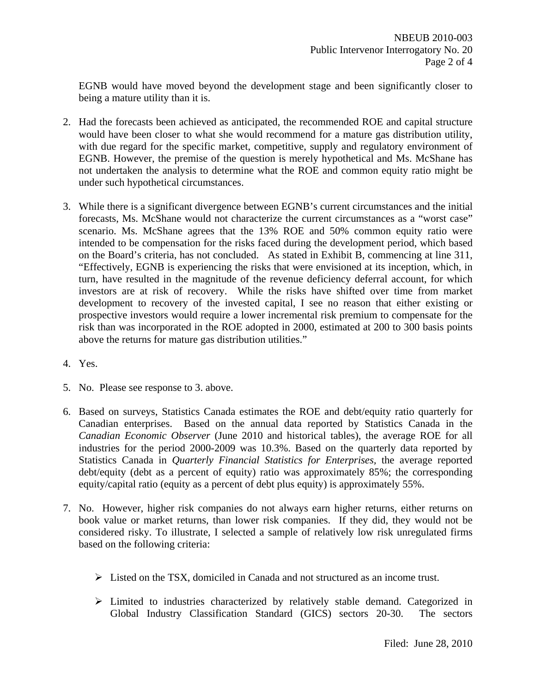EGNB would have moved beyond the development stage and been significantly closer to being a mature utility than it is.

- 2. Had the forecasts been achieved as anticipated, the recommended ROE and capital structure would have been closer to what she would recommend for a mature gas distribution utility, with due regard for the specific market, competitive, supply and regulatory environment of EGNB. However, the premise of the question is merely hypothetical and Ms. McShane has not undertaken the analysis to determine what the ROE and common equity ratio might be under such hypothetical circumstances.
- 3. While there is a significant divergence between EGNB's current circumstances and the initial forecasts, Ms. McShane would not characterize the current circumstances as a "worst case" scenario. Ms. McShane agrees that the 13% ROE and 50% common equity ratio were intended to be compensation for the risks faced during the development period, which based on the Board's criteria, has not concluded. As stated in Exhibit B, commencing at line 311, "Effectively, EGNB is experiencing the risks that were envisioned at its inception, which, in turn, have resulted in the magnitude of the revenue deficiency deferral account, for which investors are at risk of recovery. While the risks have shifted over time from market development to recovery of the invested capital, I see no reason that either existing or prospective investors would require a lower incremental risk premium to compensate for the risk than was incorporated in the ROE adopted in 2000, estimated at 200 to 300 basis points above the returns for mature gas distribution utilities."
- 4. Yes.
- 5. No. Please see response to 3. above.
- 6. Based on surveys, Statistics Canada estimates the ROE and debt/equity ratio quarterly for Canadian enterprises. Based on the annual data reported by Statistics Canada in the *Canadian Economic Observer* (June 2010 and historical tables), the average ROE for all industries for the period 2000-2009 was 10.3%. Based on the quarterly data reported by Statistics Canada in *Quarterly Financial Statistics for Enterprises,* the average reported debt/equity (debt as a percent of equity) ratio was approximately 85%; the corresponding equity/capital ratio (equity as a percent of debt plus equity) is approximately 55%.
- 7. No. However, higher risk companies do not always earn higher returns, either returns on book value or market returns, than lower risk companies. If they did, they would not be considered risky. To illustrate, I selected a sample of relatively low risk unregulated firms based on the following criteria:
	- ¾ Listed on the TSX, domiciled in Canada and not structured as an income trust.
	- ¾ Limited to industries characterized by relatively stable demand. Categorized in Global Industry Classification Standard (GICS) sectors 20-30. The sectors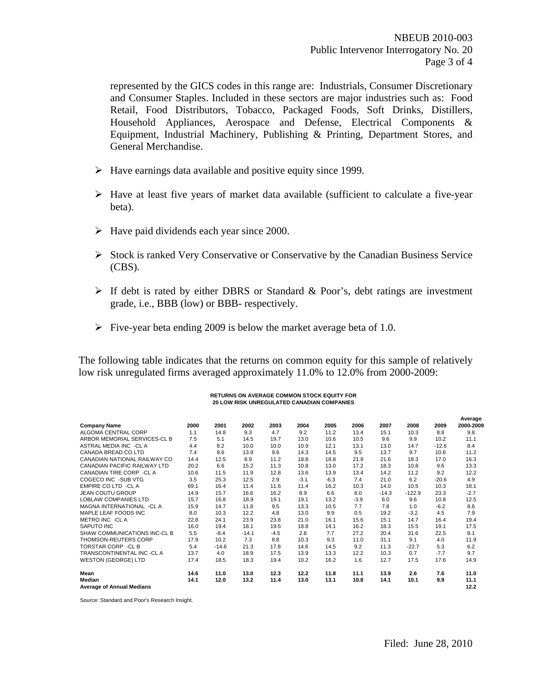represented by the GICS codes in this range are: Industrials, Consumer Discretionary and Consumer Staples. Included in these sectors are major industries such as: Food Retail, Food Distributors, Tobacco, Packaged Foods, Soft Drinks, Distillers, Household Appliances, Aerospace and Defense, Electrical Components & Equipment, Industrial Machinery, Publishing & Printing, Department Stores, and General Merchandise.

- $\blacktriangleright$  Have earnings data available and positive equity since 1999.
- $\triangleright$  Have at least five years of market data available (sufficient to calculate a five-year beta).
- $\blacktriangleright$  Have paid dividends each year since 2000.
- ¾ Stock is ranked Very Conservative or Conservative by the Canadian Business Service (CBS).
- $\triangleright$  If debt is rated by either DBRS or Standard & Poor's, debt ratings are investment grade, i.e., BBB (low) or BBB- respectively.
- $\triangleright$  Five-year beta ending 2009 is below the market average beta of 1.0.

The following table indicates that the returns on common equity for this sample of relatively low risk unregulated firms averaged approximately 11.0% to 12.0% from 2000-2009:

#### **RETURNS ON AVERAGE COMMON STOCK EQUITY FOR 20 LOW RISK UNREGULATED CANADIAN COMPANIES**

|                                            |      |         |         |        |        |        |        |         |          |         | Average      |
|--------------------------------------------|------|---------|---------|--------|--------|--------|--------|---------|----------|---------|--------------|
| <b>Company Name</b>                        | 2000 | 2001    | 2002    | 2003   | 2004   | 2005   | 2006   | 2007    | 2008     | 2009    | 2000-2009    |
| ALGOMA CENTRAL CORP                        | 1.1  | 14.8    | 9.3     | 4.7    | 9.2    | 11.2   | 13.4   | 15.1    | 10.3     | 8.8     | 9.8          |
| ARBOR MEMORIAL SERVICES-CL B               | 7.5  | 5.1     | 14.5    | 19.7   | 13.0   | 10.6   | 10.5   | 9.6     | 9.9      | 10.2    | 11.1         |
| ASTRAL MEDIA INC -CLA                      | 4.4  | 8.2     | 10.0    | 10.0   | 10.9   | 12.1   | 13.1   | 13.0    | 14.7     | $-12.6$ | 8.4          |
| CANADA BREAD CO LTD                        | 7.4  | 8.6     | 13.9    | 9.6    | 14.3   | 14.5   | 9.5    | 13.7    | 9.7      | 10.6    | 11.2         |
| CANADIAN NATIONAL RAILWAY CO               | 14.4 | 12.5    | 8.9     | 11.2   | 18.8   | 18.8   | 21.9   | 21.6    | 18.3     | 17.0    | 16.3         |
| <b>CANADIAN PACIFIC RAILWAY LTD</b>        | 20.2 | 6.6     | 15.2    | 11.3   | 10.8   | 13.0   | 17.2   | 18.3    | 10.8     | 9.6     | 13.3         |
| CANADIAN TIRE CORP - CL A                  | 10.6 | 11.5    | 11.9    | 12.8   | 13.6   | 13.9   | 13.4   | 14.2    | 11.2     | 9.2     | 12.2         |
| COGECO INC -SUB VTG                        | 3.5  | 25.3    | 12.5    | 2.9    | $-3.1$ | $-6.3$ | 7.4    | 21.0    | 6.2      | $-20.6$ | 4.9          |
| <b>EMPIRE CO LTD -CL A</b>                 | 69.1 | 16.4    | 11.4    | 11.6   | 11.4   | 16.2   | 10.3   | 14.0    | 10.5     | 10.3    | 18.1         |
| <b>JEAN COUTU GROUP</b>                    | 14.9 | 15.7    | 16.6    | 16.2   | 8.9    | 6.6    | 8.0    | $-14.3$ | $-122.9$ | 23.3    | $-2.7$       |
| <b>LOBLAW COMPANIES LTD</b>                | 15.7 | 16.8    | 18.9    | 19.1   | 19.1   | 13.2   | $-3.9$ | 6.0     | 9.6      | 10.8    | 12.5         |
| MAGNA INTERNATIONAL -CLA                   | 15.9 | 14.7    | 11.8    | 9.5    | 13.3   | 10.5   | 7.7    | 7.8     | 1.0      | $-6.2$  | 8.6          |
| MAPLE LEAF FOODS INC                       | 8.0  | 10.3    | 12.2    | 4.8    | 13.0   | 9.9    | 0.5    | 19.2    | $-3.2$   | 4.5     | 7.9          |
| METRO INC -CLA                             | 22.8 | 24.1    | 23.9    | 23.8   | 21.0   | 16.1   | 15.6   | 15.1    | 14.7     | 16.4    | 19.4         |
| SAPUTO INC                                 | 16.0 | 19.4    | 18.1    | 19.5   | 18.8   | 14.1   | 16.2   | 18.3    | 15.5     | 19.1    | 17.5         |
| SHAW COMMUNICATIONS INC-CL B               | 5.5  | $-8.4$  | $-14.1$ | $-4.5$ | 2.8    | 7.7    | 27.2   | 20.4    | 31.6     | 22.5    | 9.1          |
| <b>THOMSON-REUTERS CORP</b>                | 17.9 | 10.2    | 7.3     | 8.8    | 10.3   | 9.3    | 11.0   | 31.1    | 9.1      | 4.0     | 11.9         |
| <b>TORSTAR CORP - CLB</b>                  | 5.4  | $-14.6$ | 21.3    | 17.8   | 14.6   | 14.5   | 9.2    | 11.3    | $-22.7$  | 5.3     | 6.2          |
| TRANSCONTINENTAL INC -CL A                 | 13.7 | 4.0     | 18.9    | 17.5   | 13.9   | 13.3   | 12.2   | 10.3    | 0.7      | $-7.7$  | 9.7          |
| <b>WESTON (GEORGE) LTD</b>                 | 17.4 | 18.5    | 18.3    | 19.4   | 10.2   | 16.2   | 1.6    | 12.7    | 17.5     | 17.6    | 14.9         |
| Mean                                       | 14.6 | 11.0    | 13.0    | 12.3   | 12.2   | 11.8   | 11.1   | 13.9    | 2.6      | 7.6     | 11.0         |
| Median<br><b>Average of Annual Medians</b> | 14.1 | 12.0    | 13.2    | 11.4   | 13.0   | 13.1   | 10.8   | 14.1    | 10.1     | 9.9     | 11.1<br>12.2 |

Source: Standard and Poor's Research Insight.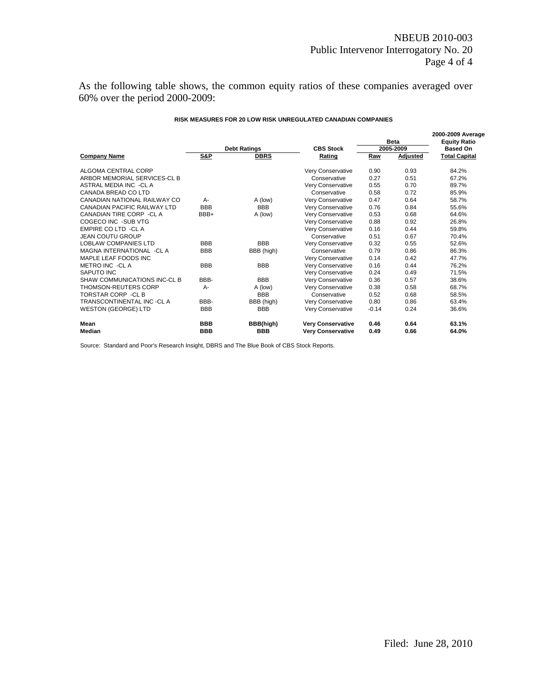As the following table shows, the common equity ratios of these companies averaged over 60% over the period 2000-2009:

|                                     |                | <b>Debt Ratings</b> | <b>CBS Stock</b>         | <b>Beta</b><br>2005-2009 |          | 2000-2009 Average<br><b>Equity Ratio</b><br><b>Based On</b> |  |
|-------------------------------------|----------------|---------------------|--------------------------|--------------------------|----------|-------------------------------------------------------------|--|
| <b>Company Name</b>                 | <b>S&amp;P</b> | <b>DBRS</b>         | Rating                   | Raw                      | Adjusted | <b>Total Capital</b>                                        |  |
| ALGOMA CENTRAL CORP                 |                |                     | Very Conservative        | 0.90                     | 0.93     | 84.2%                                                       |  |
| ARBOR MEMORIAL SERVICES-CL B        |                |                     | Conservative             | 0.27                     | 0.51     | 67.2%                                                       |  |
| ASTRAL MEDIA INC -CL A              |                |                     | Very Conservative        | 0.55                     | 0.70     | 89.7%                                                       |  |
| CANADA BREAD CO LTD                 |                |                     | Conservative             | 0.58                     | 0.72     | 85.9%                                                       |  |
| CANADIAN NATIONAL RAILWAY CO        | A-             | A (low)             | Very Conservative        | 0.47                     | 0.64     | 58.7%                                                       |  |
| <b>CANADIAN PACIFIC RAILWAY LTD</b> | <b>BBB</b>     | <b>BBB</b>          | Very Conservative        | 0.76                     | 0.84     | 55.6%                                                       |  |
| CANADIAN TIRE CORP - CL A           | BBB+           | A (low)             | Very Conservative        | 0.53                     | 0.68     | 64.6%                                                       |  |
| COGECO INC -SUB VTG                 |                |                     | Very Conservative        | 0.88                     | 0.92     | 26.8%                                                       |  |
| <b>EMPIRE CO LTD -CL A</b>          |                |                     | Very Conservative        | 0.16                     | 0.44     | 59.8%                                                       |  |
| <b>JEAN COUTU GROUP</b>             |                |                     | Conservative             | 0.51                     | 0.67     | 70.4%                                                       |  |
| <b>LOBLAW COMPANIES LTD</b>         | <b>BBB</b>     | <b>BBB</b>          | Very Conservative        | 0.32                     | 0.55     | 52.6%                                                       |  |
| MAGNA INTERNATIONAL -CL A           | <b>BBB</b>     | BBB (high)          | Conservative             | 0.79                     | 0.86     | 86.3%                                                       |  |
| MAPLE LEAF FOODS INC                |                |                     | Very Conservative        | 0.14                     | 0.42     | 47.7%                                                       |  |
| METRO INC -CL A                     | <b>BBB</b>     | <b>BBB</b>          | Very Conservative        | 0.16                     | 0.44     | 76.2%                                                       |  |
| SAPUTO INC                          |                |                     | Very Conservative        | 0.24                     | 0.49     | 71.5%                                                       |  |
| SHAW COMMUNICATIONS INC-CL B        | BBB-           | <b>BBB</b>          | Very Conservative        | 0.36                     | 0.57     | 38.6%                                                       |  |
| <b>THOMSON-REUTERS CORP</b>         | $A -$          | A (low)             | Very Conservative        | 0.38                     | 0.58     | 68.7%                                                       |  |
| <b>TORSTAR CORP - CL B</b>          |                | <b>BBB</b>          | Conservative             | 0.52                     | 0.68     | 58.5%                                                       |  |
| TRANSCONTINENTAL INC -CL A          | BBB-           | BBB (high)          | Very Conservative        | 0.80                     | 0.86     | 63.4%                                                       |  |
| <b>WESTON (GEORGE) LTD</b>          | <b>BBB</b>     | <b>BBB</b>          | Very Conservative        | $-0.14$                  | 0.24     | 36.6%                                                       |  |
| Mean                                | <b>BBB</b>     | BBB(high)           | <b>Very Conservative</b> | 0.46                     | 0.64     | 63.1%                                                       |  |
| Median                              | <b>BBB</b>     | <b>BBB</b>          | <b>Very Conservative</b> | 0.49                     | 0.66     | 64.0%                                                       |  |

#### **RISK MEASURES FOR 20 LOW RISK UNREGULATED CANADIAN COMPANIES**

Source: Standard and Poor's Research Insight, DBRS and The Blue Book of CBS Stock Reports.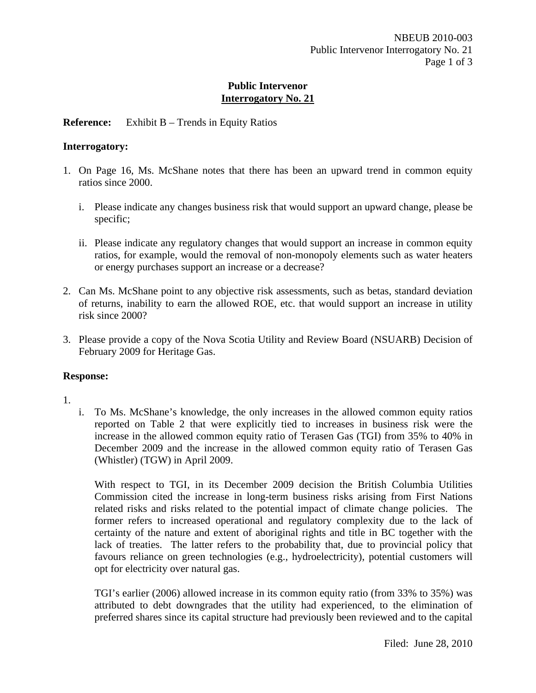## **Reference:** Exhibit B – Trends in Equity Ratios

## **Interrogatory:**

- 1. On Page 16, Ms. McShane notes that there has been an upward trend in common equity ratios since 2000.
	- i. Please indicate any changes business risk that would support an upward change, please be specific;
	- ii. Please indicate any regulatory changes that would support an increase in common equity ratios, for example, would the removal of non-monopoly elements such as water heaters or energy purchases support an increase or a decrease?
- 2. Can Ms. McShane point to any objective risk assessments, such as betas, standard deviation of returns, inability to earn the allowed ROE, etc. that would support an increase in utility risk since 2000?
- 3. Please provide a copy of the Nova Scotia Utility and Review Board (NSUARB) Decision of February 2009 for Heritage Gas.

## **Response:**

- 1.
- i. To Ms. McShane's knowledge, the only increases in the allowed common equity ratios reported on Table 2 that were explicitly tied to increases in business risk were the increase in the allowed common equity ratio of Terasen Gas (TGI) from 35% to 40% in December 2009 and the increase in the allowed common equity ratio of Terasen Gas (Whistler) (TGW) in April 2009.

With respect to TGI, in its December 2009 decision the British Columbia Utilities Commission cited the increase in long-term business risks arising from First Nations related risks and risks related to the potential impact of climate change policies. The former refers to increased operational and regulatory complexity due to the lack of certainty of the nature and extent of aboriginal rights and title in BC together with the lack of treaties. The latter refers to the probability that, due to provincial policy that favours reliance on green technologies (e.g., hydroelectricity), potential customers will opt for electricity over natural gas.

TGI's earlier (2006) allowed increase in its common equity ratio (from 33% to 35%) was attributed to debt downgrades that the utility had experienced, to the elimination of preferred shares since its capital structure had previously been reviewed and to the capital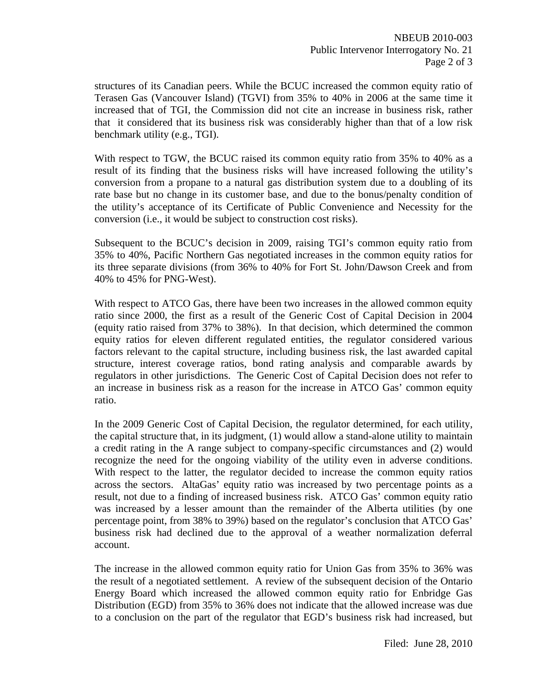structures of its Canadian peers. While the BCUC increased the common equity ratio of Terasen Gas (Vancouver Island) (TGVI) from 35% to 40% in 2006 at the same time it increased that of TGI, the Commission did not cite an increase in business risk, rather that it considered that its business risk was considerably higher than that of a low risk benchmark utility (e.g., TGI).

With respect to TGW, the BCUC raised its common equity ratio from 35% to 40% as a result of its finding that the business risks will have increased following the utility's conversion from a propane to a natural gas distribution system due to a doubling of its rate base but no change in its customer base, and due to the bonus/penalty condition of the utility's acceptance of its Certificate of Public Convenience and Necessity for the conversion (i.e., it would be subject to construction cost risks).

Subsequent to the BCUC's decision in 2009, raising TGI's common equity ratio from 35% to 40%, Pacific Northern Gas negotiated increases in the common equity ratios for its three separate divisions (from 36% to 40% for Fort St. John/Dawson Creek and from 40% to 45% for PNG-West).

With respect to ATCO Gas, there have been two increases in the allowed common equity ratio since 2000, the first as a result of the Generic Cost of Capital Decision in 2004 (equity ratio raised from 37% to 38%). In that decision, which determined the common equity ratios for eleven different regulated entities, the regulator considered various factors relevant to the capital structure, including business risk, the last awarded capital structure, interest coverage ratios, bond rating analysis and comparable awards by regulators in other jurisdictions. The Generic Cost of Capital Decision does not refer to an increase in business risk as a reason for the increase in ATCO Gas' common equity ratio.

In the 2009 Generic Cost of Capital Decision, the regulator determined, for each utility, the capital structure that, in its judgment, (1) would allow a stand-alone utility to maintain a credit rating in the A range subject to company-specific circumstances and (2) would recognize the need for the ongoing viability of the utility even in adverse conditions. With respect to the latter, the regulator decided to increase the common equity ratios across the sectors. AltaGas' equity ratio was increased by two percentage points as a result, not due to a finding of increased business risk. ATCO Gas' common equity ratio was increased by a lesser amount than the remainder of the Alberta utilities (by one percentage point, from 38% to 39%) based on the regulator's conclusion that ATCO Gas' business risk had declined due to the approval of a weather normalization deferral account.

The increase in the allowed common equity ratio for Union Gas from 35% to 36% was the result of a negotiated settlement. A review of the subsequent decision of the Ontario Energy Board which increased the allowed common equity ratio for Enbridge Gas Distribution (EGD) from 35% to 36% does not indicate that the allowed increase was due to a conclusion on the part of the regulator that EGD's business risk had increased, but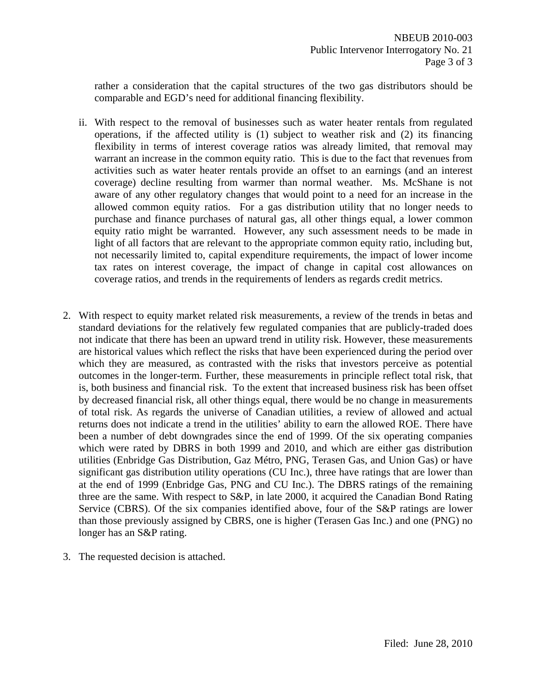rather a consideration that the capital structures of the two gas distributors should be comparable and EGD's need for additional financing flexibility.

- ii. With respect to the removal of businesses such as water heater rentals from regulated operations, if the affected utility is (1) subject to weather risk and (2) its financing flexibility in terms of interest coverage ratios was already limited, that removal may warrant an increase in the common equity ratio. This is due to the fact that revenues from activities such as water heater rentals provide an offset to an earnings (and an interest coverage) decline resulting from warmer than normal weather. Ms. McShane is not aware of any other regulatory changes that would point to a need for an increase in the allowed common equity ratios. For a gas distribution utility that no longer needs to purchase and finance purchases of natural gas, all other things equal, a lower common equity ratio might be warranted. However, any such assessment needs to be made in light of all factors that are relevant to the appropriate common equity ratio, including but, not necessarily limited to, capital expenditure requirements, the impact of lower income tax rates on interest coverage, the impact of change in capital cost allowances on coverage ratios, and trends in the requirements of lenders as regards credit metrics.
- 2. With respect to equity market related risk measurements, a review of the trends in betas and standard deviations for the relatively few regulated companies that are publicly-traded does not indicate that there has been an upward trend in utility risk. However, these measurements are historical values which reflect the risks that have been experienced during the period over which they are measured, as contrasted with the risks that investors perceive as potential outcomes in the longer-term. Further, these measurements in principle reflect total risk, that is, both business and financial risk. To the extent that increased business risk has been offset by decreased financial risk, all other things equal, there would be no change in measurements of total risk. As regards the universe of Canadian utilities, a review of allowed and actual returns does not indicate a trend in the utilities' ability to earn the allowed ROE. There have been a number of debt downgrades since the end of 1999. Of the six operating companies which were rated by DBRS in both 1999 and 2010, and which are either gas distribution utilities (Enbridge Gas Distribution, Gaz Métro, PNG, Terasen Gas, and Union Gas) or have significant gas distribution utility operations (CU Inc.), three have ratings that are lower than at the end of 1999 (Enbridge Gas, PNG and CU Inc.). The DBRS ratings of the remaining three are the same. With respect to S&P, in late 2000, it acquired the Canadian Bond Rating Service (CBRS). Of the six companies identified above, four of the S&P ratings are lower than those previously assigned by CBRS, one is higher (Terasen Gas Inc.) and one (PNG) no longer has an S&P rating.
- 3. The requested decision is attached.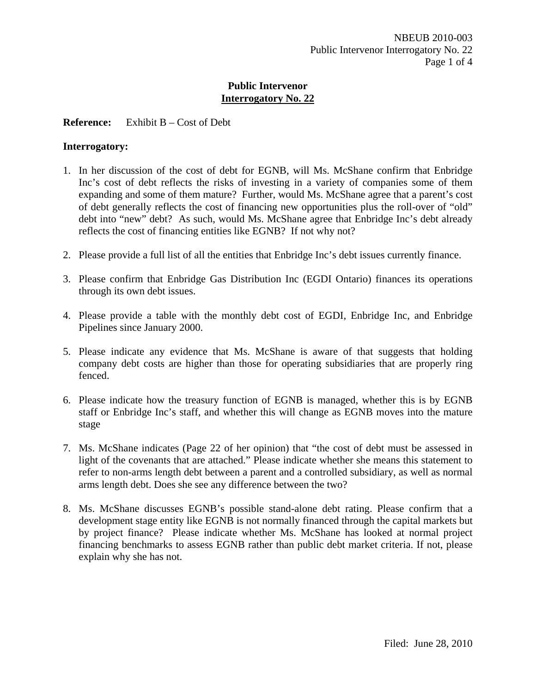## **Reference:** Exhibit B – Cost of Debt

#### **Interrogatory:**

- 1. In her discussion of the cost of debt for EGNB, will Ms. McShane confirm that Enbridge Inc's cost of debt reflects the risks of investing in a variety of companies some of them expanding and some of them mature? Further, would Ms. McShane agree that a parent's cost of debt generally reflects the cost of financing new opportunities plus the roll-over of "old" debt into "new" debt? As such, would Ms. McShane agree that Enbridge Inc's debt already reflects the cost of financing entities like EGNB? If not why not?
- 2. Please provide a full list of all the entities that Enbridge Inc's debt issues currently finance.
- 3. Please confirm that Enbridge Gas Distribution Inc (EGDI Ontario) finances its operations through its own debt issues.
- 4. Please provide a table with the monthly debt cost of EGDI, Enbridge Inc, and Enbridge Pipelines since January 2000.
- 5. Please indicate any evidence that Ms. McShane is aware of that suggests that holding company debt costs are higher than those for operating subsidiaries that are properly ring fenced.
- 6. Please indicate how the treasury function of EGNB is managed, whether this is by EGNB staff or Enbridge Inc's staff, and whether this will change as EGNB moves into the mature stage
- 7. Ms. McShane indicates (Page 22 of her opinion) that "the cost of debt must be assessed in light of the covenants that are attached." Please indicate whether she means this statement to refer to non-arms length debt between a parent and a controlled subsidiary, as well as normal arms length debt. Does she see any difference between the two?
- 8. Ms. McShane discusses EGNB's possible stand-alone debt rating. Please confirm that a development stage entity like EGNB is not normally financed through the capital markets but by project finance? Please indicate whether Ms. McShane has looked at normal project financing benchmarks to assess EGNB rather than public debt market criteria. If not, please explain why she has not.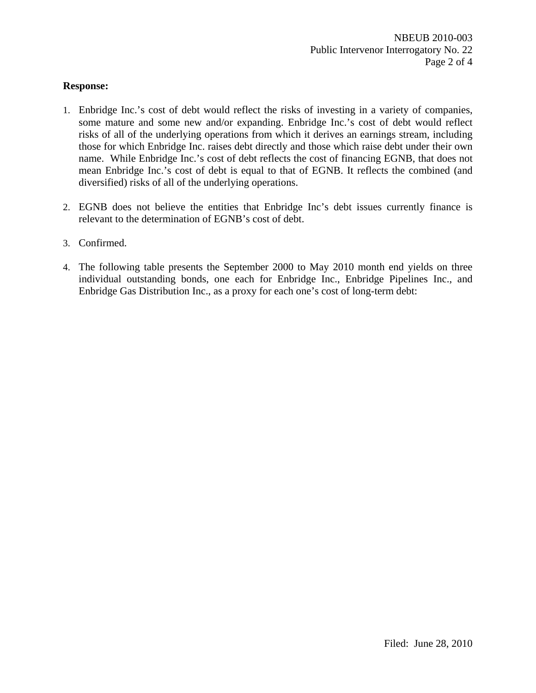## **Response:**

- 1. Enbridge Inc.'s cost of debt would reflect the risks of investing in a variety of companies, some mature and some new and/or expanding. Enbridge Inc.'s cost of debt would reflect risks of all of the underlying operations from which it derives an earnings stream, including those for which Enbridge Inc. raises debt directly and those which raise debt under their own name. While Enbridge Inc.'s cost of debt reflects the cost of financing EGNB, that does not mean Enbridge Inc.'s cost of debt is equal to that of EGNB. It reflects the combined (and diversified) risks of all of the underlying operations.
- 2. EGNB does not believe the entities that Enbridge Inc's debt issues currently finance is relevant to the determination of EGNB's cost of debt.
- 3. Confirmed.
- 4. The following table presents the September 2000 to May 2010 month end yields on three individual outstanding bonds, one each for Enbridge Inc., Enbridge Pipelines Inc., and Enbridge Gas Distribution Inc., as a proxy for each one's cost of long-term debt: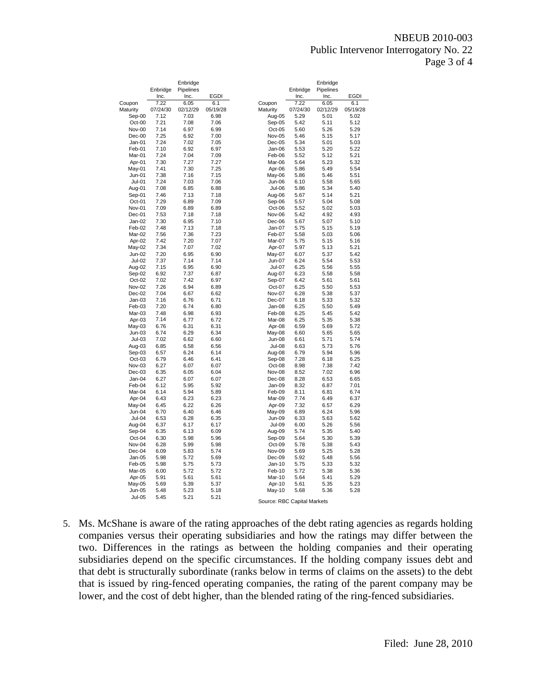#### NBEUB 2010-003 Public Intervenor Interrogatory No. 22 Page 3 of 4

|                         | Enbridge     | Enbridge<br>Pipelines |              |                             | Enbridge     | Enbridge<br>Pipelines |              |
|-------------------------|--------------|-----------------------|--------------|-----------------------------|--------------|-----------------------|--------------|
|                         | Inc.         | Inc.                  | <b>EGDI</b>  |                             | Inc.         | Inc.                  | <b>EGDI</b>  |
| Coupon                  | 7.22         | 6.05                  | 6.1          | Coupon                      | 7.22         | 6.05                  | 6.1          |
| Maturity                | 07/24/30     | 02/12/29              | 05/19/28     | Maturity                    | 07/24/30     | 02/12/29              | 05/19/28     |
| Sep-00                  | 7.12         | 7.03                  | 6.98         | Aug-05                      | 5.29         | 5.01                  | 5.02         |
| Oct-00                  | 7.21         | 7.08                  | 7.06         | Sep-05                      | 5.42         | 5.11                  | 5.12         |
| Nov-00                  | 7.14         | 6.97                  | 6.99         | Oct-05                      | 5.60         | 5.26                  | 5.29         |
| $Dec-00$<br>$Jan-01$    | 7.25<br>7.24 | 6.92                  | 7.00         | Nov-05                      | 5.46         | 5.15                  | 5.17         |
| Feb-01                  | 7.10         | 7.02<br>6.92          | 7.05<br>6.97 | Dec-05<br>Jan-06            | 5.34<br>5.53 | 5.01<br>5.20          | 5.03<br>5.22 |
| Mar-01                  | 7.24         | 7.04                  | 7.09         | Feb-06                      | 5.52         | 5.12                  | 5.21         |
| Apr-01                  | 7.30         | 7.27                  | 7.27         | Mar-06                      | 5.64         | 5.23                  | 5.32         |
| May-01                  | 7.41         | 7.30                  | 7.25         | Apr-06                      | 5.86         | 5.49                  | 5.54         |
| $Jun-01$                | 7.38         | 7.16                  | 7.15         | May-06                      | 5.86         | 5.46                  | 5.51         |
| $Jul-01$                | 7.24         | 7.03                  | 7.06         | Jun-06                      | 6.10         | 5.58                  | 5.65         |
| Aug-01                  | 7.08         | 6.85                  | 6.88         | Jul-06                      | 5.86         | 5.34                  | 5.40         |
| Sep-01                  | 7.46         | 7.13                  | 7.18         | Aug-06                      | 5.67         | 5.14                  | 5.21         |
| Oct-01                  | 7.29         | 6.89                  | 7.09         | Sep-06                      | 5.57         | 5.04                  | 5.08         |
| Nov-01                  | 7.09         | 6.89                  | 6.89         | Oct-06                      | 5.52         | 5.02                  | 5.03         |
| Dec-01                  | 7.53         | 7.18                  | 7.18         | Nov-06                      | 5.42         | 4.92                  | 4.93         |
| $Jan-02$                | 7.30         | 6.95                  | 7.10         | Dec-06                      | 5.67         | 5.07                  | 5.10         |
| Feb-02                  | 7.48         | 7.13                  | 7.18         | Jan-07                      | 5.75         | 5.15                  | 5.19         |
| Mar-02<br>Apr-02        | 7.56<br>7.42 | 7.36<br>7.20          | 7.23<br>7.07 | Feb-07<br>Mar-07            | 5.58<br>5.75 | 5.03<br>5.15          | 5.06<br>5.16 |
| May-02                  | 7.34         | 7.07                  | 7.02         | Apr-07                      | 5.97         | 5.13                  | 5.21         |
| Jun-02                  | 7.20         | 6.95                  | 6.90         | May-07                      | 6.07         | 5.37                  | 5.42         |
| <b>Jul-02</b>           | 7.37         | 7.14                  | 7.14         | Jun-07                      | 6.24         | 5.54                  | 5.53         |
| Aug-02                  | 7.15         | 6.95                  | 6.90         | Jul-07                      | 6.25         | 5.56                  | 5.55         |
| Sep-02                  | 6.92         | 7.37                  | 6.87         | Aug-07                      | 6.23         | 5.58                  | 5.58         |
| Oct-02                  | 7.02         | 7.42                  | 6.97         | Sep-07                      | 6.42         | 5.61                  | 5.61         |
| Nov-02                  | 7.26         | 6.94                  | 6.89         | Oct-07                      | 6.25         | 5.50                  | 5.53         |
| Dec-02                  | 7.04         | 6.67                  | 6.62         | Nov-07                      | 6.28         | 5.38                  | 5.37         |
| $Jan-03$                | 7.16         | 6.76                  | 6.71         | Dec-07                      | 6.18         | 5.33                  | 5.32         |
| Feb-03                  | 7.20         | 6.74                  | 6.80         | Jan-08                      | 6.25         | 5.50                  | 5.49         |
| Mar-03                  | 7.48         | 6.98                  | 6.93         | Feb-08                      | 6.25         | 5.45                  | 5.42         |
| Apr-03                  | 7.14         | 6.77                  | 6.72         | Mar-08                      | 6.25         | 5.35                  | 5.38         |
| May-03                  | 6.76<br>6.74 | 6.31<br>6.29          | 6.31<br>6.34 | Apr-08                      | 6.59<br>6.60 | 5.69<br>5.65          | 5.72<br>5.65 |
| $Jun-03$<br>$Jul-03$    | 7.02         | 6.62                  | 6.60         | May-08<br><b>Jun-08</b>     | 6.61         | 5.71                  | 5.74         |
| Aug-03                  | 6.85         | 6.58                  | 6.56         | <b>Jul-08</b>               | 6.63         | 5.73                  | 5.76         |
| Sep-03                  | 6.57         | 6.24                  | 6.14         | Aug-08                      | 6.79         | 5.94                  | 5.96         |
| Oct-03                  | 6.79         | 6.46                  | 6.41         | Sep-08                      | 7.28         | 6.18                  | 6.25         |
| Nov-03                  | 6.27         | 6.07                  | 6.07         | Oct-08                      | 8.98         | 7.38                  | 7.42         |
| $Dec-03$                | 6.35         | 6.05                  | 6.04         | Nov-08                      | 8.52         | 7.02                  | 6.96         |
| Jan-04                  | 6.27         | 6.07                  | 6.07         | Dec-08                      | 8.28         | 6.53                  | 6.65         |
| Feb-04                  | 6.12         | 5.95                  | 5.92         | Jan-09                      | 8.32         | 6.87                  | 7.01         |
| Mar-04                  | 6.14         | 5.94                  | 5.89         | Feb-09                      | 8.11         | 6.81                  | 6.74         |
| Apr-04                  | 6.43         | 6.23                  | 6.23         | Mar-09                      | 7.74         | 6.49                  | 6.37         |
| May-04                  | 6.45         | 6.22                  | 6.26         | Apr-09                      | 7.32         | 6.57                  | 6.29         |
| Jun-04<br><b>Jul-04</b> | 6.70<br>6.53 | 6.40<br>6.28          | 6.46<br>6.35 | May-09<br><b>Jun-09</b>     | 6.89<br>6.33 | 6.24<br>5.63          | 5.96<br>5.62 |
| Aug-04                  | 6.37         | 6.17                  | 6.17         | <b>Jul-09</b>               | 6.00         | 5.26                  | 5.56         |
| Sep-04                  | 6.35         | 6.13                  | 6.09         | Aug-09                      | 5.74         | 5.35                  | 5.40         |
| Oct-04                  | 6.30         | 5.98                  | 5.96         | Sep-09                      | 5.64         | 5.30                  | 5.39         |
| Nov-04                  | 6.28         | 5.99                  | 5.98         | Oct-09                      | 5.78         | 5.38                  | 5.43         |
| Dec-04                  | 6.09         | 5.83                  | 5.74         | Nov-09                      | 5.69         | 5.25                  | 5.28         |
| Jan-05                  | 5.98         | 5.72                  | 5.69         | Dec-09                      | 5.92         | 5.48                  | 5.56         |
| Feb-05                  | 5.98         | 5.75                  | 5.73         | Jan-10                      | 5.75         | 5.33                  | 5.32         |
| Mar-05                  | 6.00         | 5.72                  | 5.72         | Feb-10                      | 5.72         | 5.38                  | 5.36         |
| Apr-05                  | 5.91         | 5.61                  | 5.61         | Mar-10                      | 5.64         | 5.41                  | 5.29         |
| May-05                  | 5.69         | 5.39                  | 5.37         | Apr-10                      | 5.61         | 5.35                  | 5.23         |
| <b>Jun-05</b>           | 5.48         | 5.23                  | 5.18         | May-10                      | 5.68         | 5.36                  | 5.28         |
| <b>Jul-05</b>           | 5.45         | 5.21                  | 5.21         | Source: RBC Capital Markets |              |                       |              |

5. Ms. McShane is aware of the rating approaches of the debt rating agencies as regards holding companies versus their operating subsidiaries and how the ratings may differ between the two. Differences in the ratings as between the holding companies and their operating subsidiaries depend on the specific circumstances. If the holding company issues debt and that debt is structurally subordinate (ranks below in terms of claims on the assets) to the debt that is issued by ring-fenced operating companies, the rating of the parent company may be lower, and the cost of debt higher, than the blended rating of the ring-fenced subsidiaries.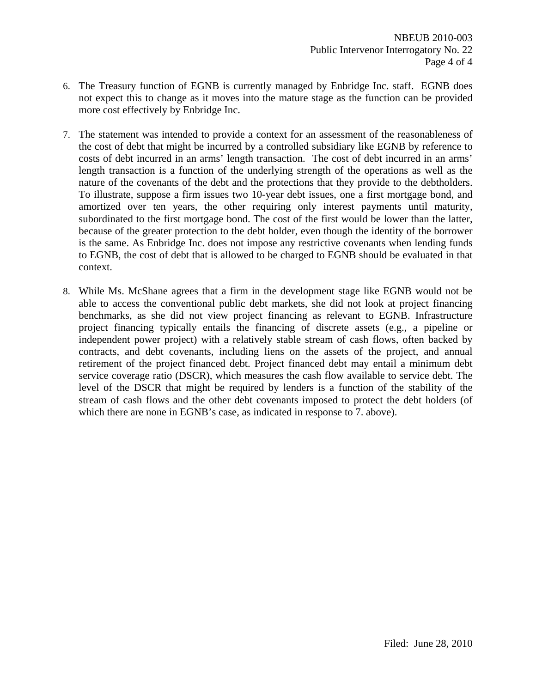- 6. The Treasury function of EGNB is currently managed by Enbridge Inc. staff. EGNB does not expect this to change as it moves into the mature stage as the function can be provided more cost effectively by Enbridge Inc.
- 7. The statement was intended to provide a context for an assessment of the reasonableness of the cost of debt that might be incurred by a controlled subsidiary like EGNB by reference to costs of debt incurred in an arms' length transaction. The cost of debt incurred in an arms' length transaction is a function of the underlying strength of the operations as well as the nature of the covenants of the debt and the protections that they provide to the debtholders. To illustrate, suppose a firm issues two 10-year debt issues, one a first mortgage bond, and amortized over ten years, the other requiring only interest payments until maturity, subordinated to the first mortgage bond. The cost of the first would be lower than the latter, because of the greater protection to the debt holder, even though the identity of the borrower is the same. As Enbridge Inc. does not impose any restrictive covenants when lending funds to EGNB, the cost of debt that is allowed to be charged to EGNB should be evaluated in that context.
- 8. While Ms. McShane agrees that a firm in the development stage like EGNB would not be able to access the conventional public debt markets, she did not look at project financing benchmarks, as she did not view project financing as relevant to EGNB. Infrastructure project financing typically entails the financing of discrete assets (e.g., a pipeline or independent power project) with a relatively stable stream of cash flows, often backed by contracts, and debt covenants, including liens on the assets of the project, and annual retirement of the project financed debt. Project financed debt may entail a minimum debt service coverage ratio (DSCR), which measures the cash flow available to service debt. The level of the DSCR that might be required by lenders is a function of the stability of the stream of cash flows and the other debt covenants imposed to protect the debt holders (of which there are none in EGNB's case, as indicated in response to 7. above).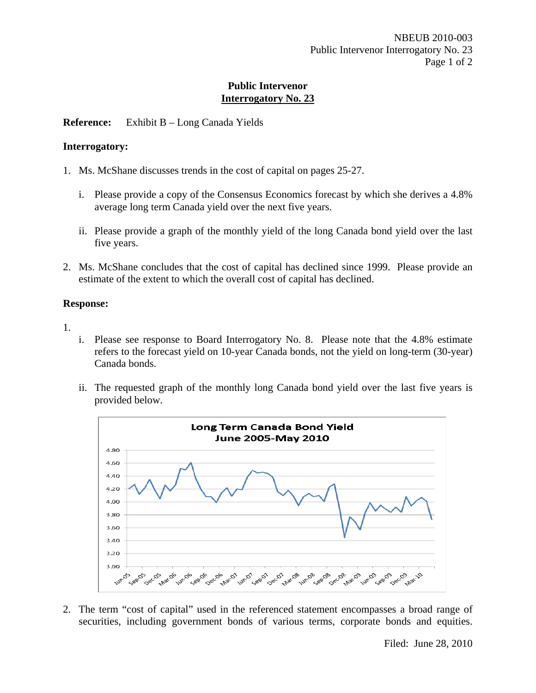## **Reference:** Exhibit B – Long Canada Yields

#### **Interrogatory:**

- 1. Ms. McShane discusses trends in the cost of capital on pages 25-27.
	- i. Please provide a copy of the Consensus Economics forecast by which she derives a 4.8% average long term Canada yield over the next five years.
	- ii. Please provide a graph of the monthly yield of the long Canada bond yield over the last five years.
- 2. Ms. McShane concludes that the cost of capital has declined since 1999. Please provide an estimate of the extent to which the overall cost of capital has declined.

## **Response:**

- 1.
- i. Please see response to Board Interrogatory No. 8. Please note that the 4.8% estimate refers to the forecast yield on 10-year Canada bonds, not the yield on long-term (30-year) Canada bonds.
- ii. The requested graph of the monthly long Canada bond yield over the last five years is provided below.



2. The term "cost of capital" used in the referenced statement encompasses a broad range of securities, including government bonds of various terms, corporate bonds and equities.

Filed: June 28, 2010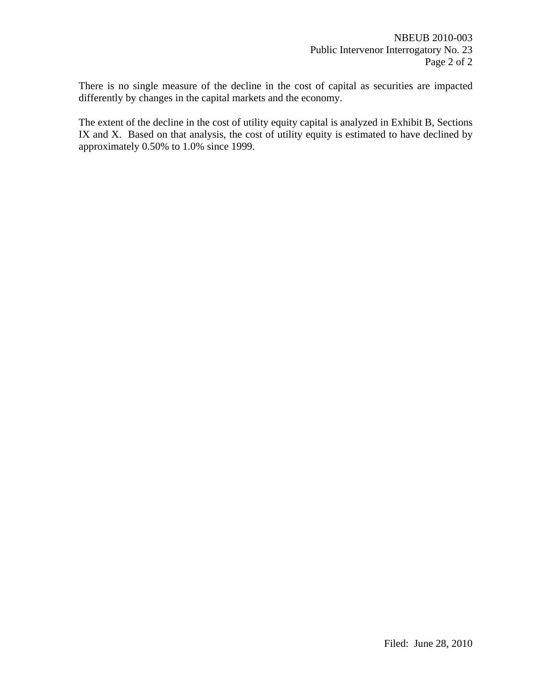There is no single measure of the decline in the cost of capital as securities are impacted differently by changes in the capital markets and the economy.

The extent of the decline in the cost of utility equity capital is analyzed in Exhibit B, Sections IX and X. Based on that analysis, the cost of utility equity is estimated to have declined by approximately 0.50% to 1.0% since 1999.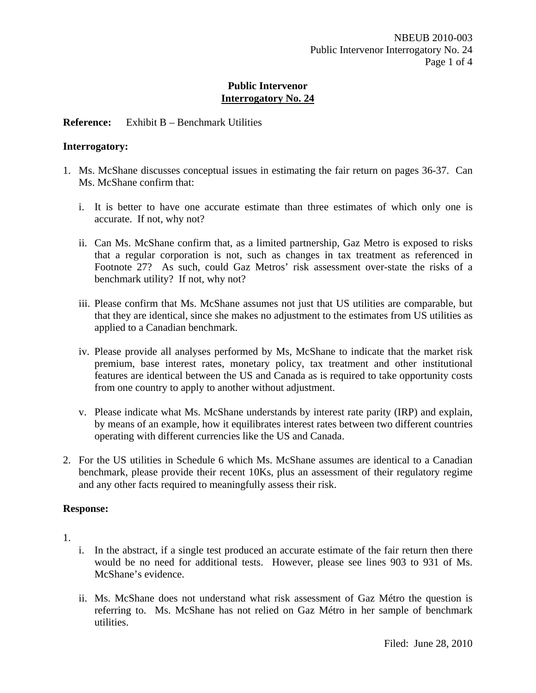## **Reference:** Exhibit B – Benchmark Utilities

#### **Interrogatory:**

- 1. Ms. McShane discusses conceptual issues in estimating the fair return on pages 36-37. Can Ms. McShane confirm that:
	- i. It is better to have one accurate estimate than three estimates of which only one is accurate. If not, why not?
	- ii. Can Ms. McShane confirm that, as a limited partnership, Gaz Metro is exposed to risks that a regular corporation is not, such as changes in tax treatment as referenced in Footnote 27? As such, could Gaz Metros' risk assessment over-state the risks of a benchmark utility? If not, why not?
	- iii. Please confirm that Ms. McShane assumes not just that US utilities are comparable, but that they are identical, since she makes no adjustment to the estimates from US utilities as applied to a Canadian benchmark.
	- iv. Please provide all analyses performed by Ms, McShane to indicate that the market risk premium, base interest rates, monetary policy, tax treatment and other institutional features are identical between the US and Canada as is required to take opportunity costs from one country to apply to another without adjustment.
	- v. Please indicate what Ms. McShane understands by interest rate parity (IRP) and explain, by means of an example, how it equilibrates interest rates between two different countries operating with different currencies like the US and Canada.
- 2. For the US utilities in Schedule 6 which Ms. McShane assumes are identical to a Canadian benchmark, please provide their recent 10Ks, plus an assessment of their regulatory regime and any other facts required to meaningfully assess their risk.

## **Response:**

1.

- i. In the abstract, if a single test produced an accurate estimate of the fair return then there would be no need for additional tests. However, please see lines 903 to 931 of Ms. McShane's evidence.
- ii. Ms. McShane does not understand what risk assessment of Gaz Métro the question is referring to. Ms. McShane has not relied on Gaz Métro in her sample of benchmark utilities.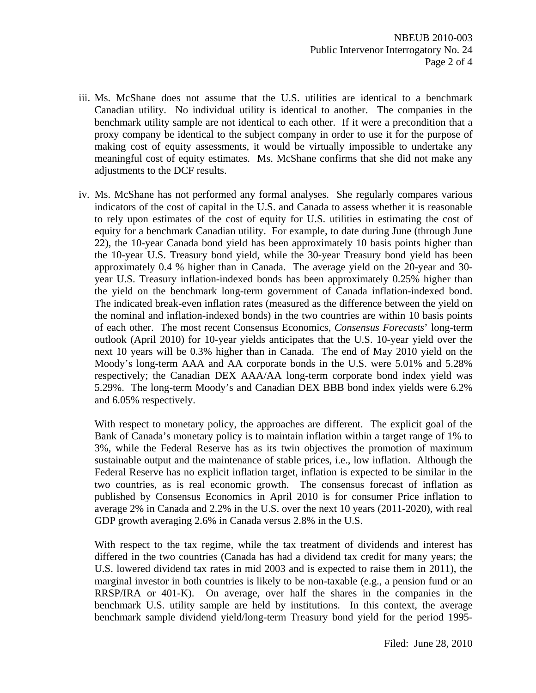- iii. Ms. McShane does not assume that the U.S. utilities are identical to a benchmark Canadian utility. No individual utility is identical to another. The companies in the benchmark utility sample are not identical to each other. If it were a precondition that a proxy company be identical to the subject company in order to use it for the purpose of making cost of equity assessments, it would be virtually impossible to undertake any meaningful cost of equity estimates. Ms. McShane confirms that she did not make any adjustments to the DCF results.
- iv. Ms. McShane has not performed any formal analyses. She regularly compares various indicators of the cost of capital in the U.S. and Canada to assess whether it is reasonable to rely upon estimates of the cost of equity for U.S. utilities in estimating the cost of equity for a benchmark Canadian utility. For example, to date during June (through June 22), the 10-year Canada bond yield has been approximately 10 basis points higher than the 10-year U.S. Treasury bond yield, while the 30-year Treasury bond yield has been approximately 0.4 % higher than in Canada. The average yield on the 20-year and 30 year U.S. Treasury inflation-indexed bonds has been approximately 0.25% higher than the yield on the benchmark long-term government of Canada inflation-indexed bond. The indicated break-even inflation rates (measured as the difference between the yield on the nominal and inflation-indexed bonds) in the two countries are within 10 basis points of each other. The most recent Consensus Economics, *Consensus Forecasts*' long-term outlook (April 2010) for 10-year yields anticipates that the U.S. 10-year yield over the next 10 years will be 0.3% higher than in Canada. The end of May 2010 yield on the Moody's long-term AAA and AA corporate bonds in the U.S. were 5.01% and 5.28% respectively; the Canadian DEX AAA/AA long-term corporate bond index yield was 5.29%. The long-term Moody's and Canadian DEX BBB bond index yields were 6.2% and 6.05% respectively.

 With respect to monetary policy, the approaches are different. The explicit goal of the Bank of Canada's monetary policy is to maintain inflation within a target range of 1% to 3%, while the Federal Reserve has as its twin objectives the promotion of maximum sustainable output and the maintenance of stable prices, i.e., low inflation. Although the Federal Reserve has no explicit inflation target, inflation is expected to be similar in the two countries, as is real economic growth. The consensus forecast of inflation as published by Consensus Economics in April 2010 is for consumer Price inflation to average 2% in Canada and 2.2% in the U.S. over the next 10 years (2011-2020), with real GDP growth averaging 2.6% in Canada versus 2.8% in the U.S.

With respect to the tax regime, while the tax treatment of dividends and interest has differed in the two countries (Canada has had a dividend tax credit for many years; the U.S. lowered dividend tax rates in mid 2003 and is expected to raise them in 2011), the marginal investor in both countries is likely to be non-taxable (e.g., a pension fund or an RRSP/IRA or 401-K). On average, over half the shares in the companies in the benchmark U.S. utility sample are held by institutions. In this context, the average benchmark sample dividend yield/long-term Treasury bond yield for the period 1995-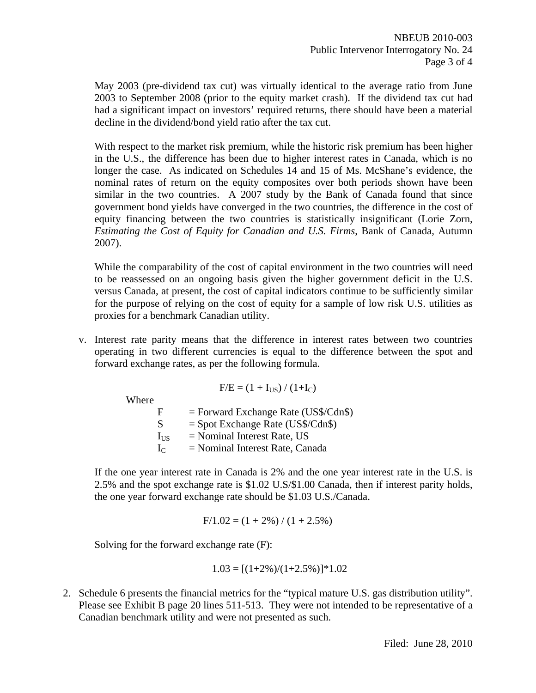May 2003 (pre-dividend tax cut) was virtually identical to the average ratio from June 2003 to September 2008 (prior to the equity market crash). If the dividend tax cut had had a significant impact on investors' required returns, there should have been a material decline in the dividend/bond yield ratio after the tax cut.

With respect to the market risk premium, while the historic risk premium has been higher in the U.S., the difference has been due to higher interest rates in Canada, which is no longer the case. As indicated on Schedules 14 and 15 of Ms. McShane's evidence, the nominal rates of return on the equity composites over both periods shown have been similar in the two countries. A 2007 study by the Bank of Canada found that since government bond yields have converged in the two countries, the difference in the cost of equity financing between the two countries is statistically insignificant (Lorie Zorn, *Estimating the Cost of Equity for Canadian and U.S. Firms*, Bank of Canada, Autumn 2007).

 While the comparability of the cost of capital environment in the two countries will need to be reassessed on an ongoing basis given the higher government deficit in the U.S. versus Canada, at present, the cost of capital indicators continue to be sufficiently similar for the purpose of relying on the cost of equity for a sample of low risk U.S. utilities as proxies for a benchmark Canadian utility.

v. Interest rate parity means that the difference in interest rates between two countries operating in two different currencies is equal to the difference between the spot and forward exchange rates, as per the following formula.

Where

\n
$$
F/E = (1 + I_{US}) / (1 + I_{C})
$$
\n
$$
F = Forward Exchange Rate (US\$/Cdn\$)
$$
\n
$$
S = Spot Exchange Rate (US\$/Cdn\$)
$$
\n
$$
I_{US} = Nominal Interest Rate, US
$$

 $I_{C}$  = Nominal Interest Rate, Canada

 If the one year interest rate in Canada is 2% and the one year interest rate in the U.S. is 2.5% and the spot exchange rate is \$1.02 U.S/\$1.00 Canada, then if interest parity holds, the one year forward exchange rate should be \$1.03 U.S./Canada.

$$
F/1.02 = (1 + 2\%) / (1 + 2.5\%)
$$

Solving for the forward exchange rate (F):

$$
1.03 = [(1+2\%)/(1+2.5\%)]^*1.02
$$

2. Schedule 6 presents the financial metrics for the "typical mature U.S. gas distribution utility". Please see Exhibit B page 20 lines 511-513. They were not intended to be representative of a Canadian benchmark utility and were not presented as such.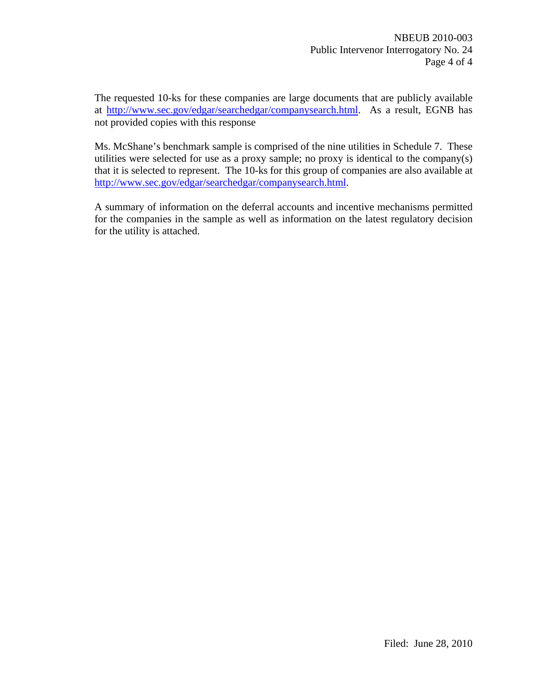The requested 10-ks for these companies are large documents that are publicly available at http://www.sec.gov/edgar/searchedgar/companysearch.html. As a result, EGNB has not provided copies with this response

Ms. McShane's benchmark sample is comprised of the nine utilities in Schedule 7. These utilities were selected for use as a proxy sample; no proxy is identical to the company(s) that it is selected to represent. The 10-ks for this group of companies are also available at http://www.sec.gov/edgar/searchedgar/companysearch.html.

A summary of information on the deferral accounts and incentive mechanisms permitted for the companies in the sample as well as information on the latest regulatory decision for the utility is attached.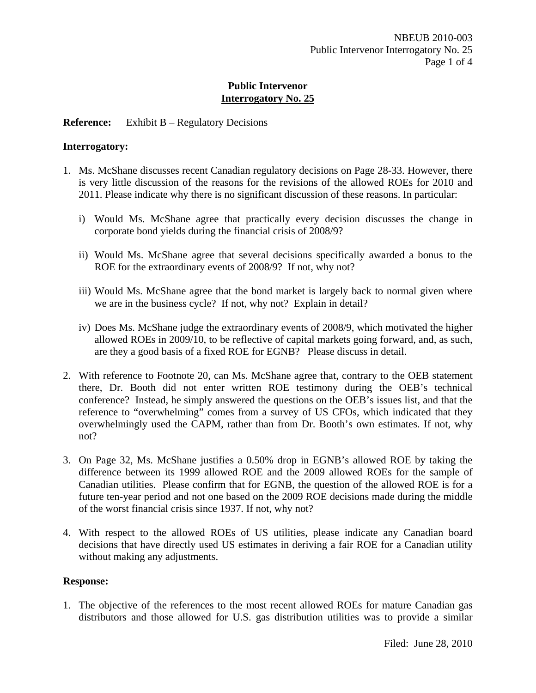## **Reference:** Exhibit B – Regulatory Decisions

#### **Interrogatory:**

- 1. Ms. McShane discusses recent Canadian regulatory decisions on Page 28-33. However, there is very little discussion of the reasons for the revisions of the allowed ROEs for 2010 and 2011. Please indicate why there is no significant discussion of these reasons. In particular:
	- i) Would Ms. McShane agree that practically every decision discusses the change in corporate bond yields during the financial crisis of 2008/9?
	- ii) Would Ms. McShane agree that several decisions specifically awarded a bonus to the ROE for the extraordinary events of 2008/9? If not, why not?
	- iii) Would Ms. McShane agree that the bond market is largely back to normal given where we are in the business cycle? If not, why not? Explain in detail?
	- iv) Does Ms. McShane judge the extraordinary events of 2008/9, which motivated the higher allowed ROEs in 2009/10, to be reflective of capital markets going forward, and, as such, are they a good basis of a fixed ROE for EGNB? Please discuss in detail.
- 2. With reference to Footnote 20, can Ms. McShane agree that, contrary to the OEB statement there, Dr. Booth did not enter written ROE testimony during the OEB's technical conference? Instead, he simply answered the questions on the OEB's issues list, and that the reference to "overwhelming" comes from a survey of US CFOs, which indicated that they overwhelmingly used the CAPM, rather than from Dr. Booth's own estimates. If not, why not?
- 3. On Page 32, Ms. McShane justifies a 0.50% drop in EGNB's allowed ROE by taking the difference between its 1999 allowed ROE and the 2009 allowed ROEs for the sample of Canadian utilities. Please confirm that for EGNB, the question of the allowed ROE is for a future ten-year period and not one based on the 2009 ROE decisions made during the middle of the worst financial crisis since 1937. If not, why not?
- 4. With respect to the allowed ROEs of US utilities, please indicate any Canadian board decisions that have directly used US estimates in deriving a fair ROE for a Canadian utility without making any adjustments.

## **Response:**

1. The objective of the references to the most recent allowed ROEs for mature Canadian gas distributors and those allowed for U.S. gas distribution utilities was to provide a similar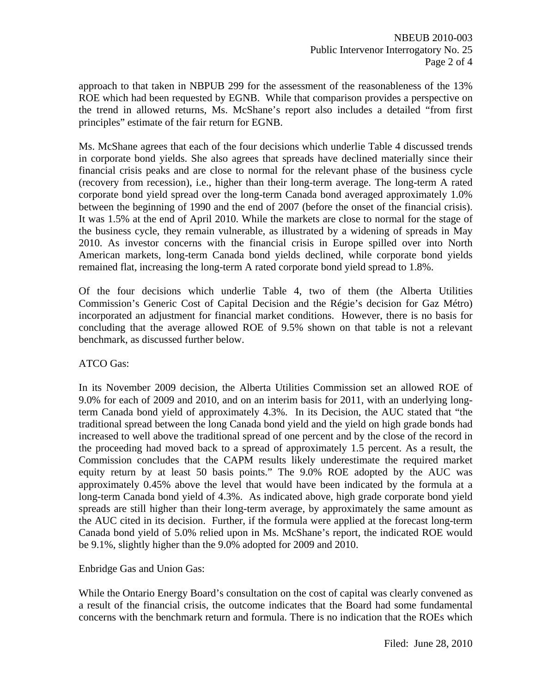approach to that taken in NBPUB 299 for the assessment of the reasonableness of the 13% ROE which had been requested by EGNB. While that comparison provides a perspective on the trend in allowed returns, Ms. McShane's report also includes a detailed "from first principles" estimate of the fair return for EGNB.

Ms. McShane agrees that each of the four decisions which underlie Table 4 discussed trends in corporate bond yields. She also agrees that spreads have declined materially since their financial crisis peaks and are close to normal for the relevant phase of the business cycle (recovery from recession), i.e., higher than their long-term average. The long-term A rated corporate bond yield spread over the long-term Canada bond averaged approximately 1.0% between the beginning of 1990 and the end of 2007 (before the onset of the financial crisis). It was 1.5% at the end of April 2010. While the markets are close to normal for the stage of the business cycle, they remain vulnerable, as illustrated by a widening of spreads in May 2010. As investor concerns with the financial crisis in Europe spilled over into North American markets, long-term Canada bond yields declined, while corporate bond yields remained flat, increasing the long-term A rated corporate bond yield spread to 1.8%.

Of the four decisions which underlie Table 4, two of them (the Alberta Utilities Commission's Generic Cost of Capital Decision and the Régie's decision for Gaz Métro) incorporated an adjustment for financial market conditions. However, there is no basis for concluding that the average allowed ROE of 9.5% shown on that table is not a relevant benchmark, as discussed further below.

## ATCO Gas:

In its November 2009 decision, the Alberta Utilities Commission set an allowed ROE of 9.0% for each of 2009 and 2010, and on an interim basis for 2011, with an underlying longterm Canada bond yield of approximately 4.3%. In its Decision, the AUC stated that "the traditional spread between the long Canada bond yield and the yield on high grade bonds had increased to well above the traditional spread of one percent and by the close of the record in the proceeding had moved back to a spread of approximately 1.5 percent. As a result, the Commission concludes that the CAPM results likely underestimate the required market equity return by at least 50 basis points." The 9.0% ROE adopted by the AUC was approximately 0.45% above the level that would have been indicated by the formula at a long-term Canada bond yield of 4.3%. As indicated above, high grade corporate bond yield spreads are still higher than their long-term average, by approximately the same amount as the AUC cited in its decision. Further, if the formula were applied at the forecast long-term Canada bond yield of 5.0% relied upon in Ms. McShane's report, the indicated ROE would be 9.1%, slightly higher than the 9.0% adopted for 2009 and 2010.

## Enbridge Gas and Union Gas:

While the Ontario Energy Board's consultation on the cost of capital was clearly convened as a result of the financial crisis, the outcome indicates that the Board had some fundamental concerns with the benchmark return and formula. There is no indication that the ROEs which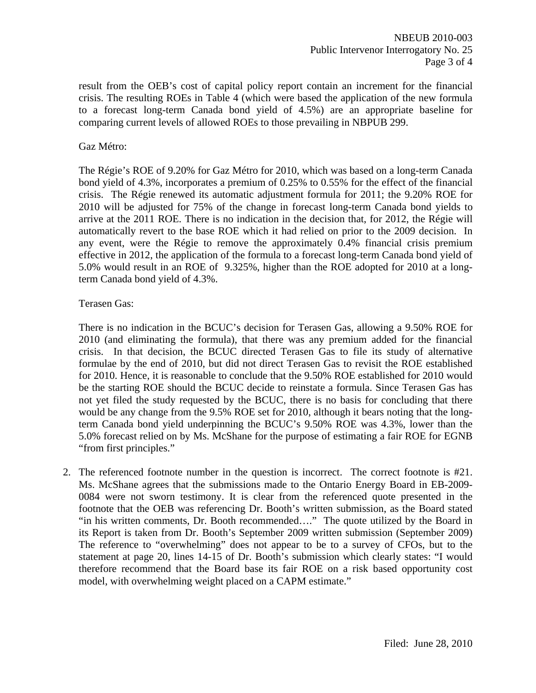result from the OEB's cost of capital policy report contain an increment for the financial crisis. The resulting ROEs in Table 4 (which were based the application of the new formula to a forecast long-term Canada bond yield of 4.5%) are an appropriate baseline for comparing current levels of allowed ROEs to those prevailing in NBPUB 299.

#### Gaz Métro:

The Régie's ROE of 9.20% for Gaz Métro for 2010, which was based on a long-term Canada bond yield of 4.3%, incorporates a premium of 0.25% to 0.55% for the effect of the financial crisis. The Régie renewed its automatic adjustment formula for 2011; the 9.20% ROE for 2010 will be adjusted for 75% of the change in forecast long-term Canada bond yields to arrive at the 2011 ROE. There is no indication in the decision that, for 2012, the Régie will automatically revert to the base ROE which it had relied on prior to the 2009 decision. In any event, were the Régie to remove the approximately 0.4% financial crisis premium effective in 2012, the application of the formula to a forecast long-term Canada bond yield of 5.0% would result in an ROE of 9.325%, higher than the ROE adopted for 2010 at a longterm Canada bond yield of 4.3%.

#### Terasen Gas:

There is no indication in the BCUC's decision for Terasen Gas, allowing a 9.50% ROE for 2010 (and eliminating the formula), that there was any premium added for the financial crisis. In that decision, the BCUC directed Terasen Gas to file its study of alternative formulae by the end of 2010, but did not direct Terasen Gas to revisit the ROE established for 2010. Hence, it is reasonable to conclude that the 9.50% ROE established for 2010 would be the starting ROE should the BCUC decide to reinstate a formula. Since Terasen Gas has not yet filed the study requested by the BCUC, there is no basis for concluding that there would be any change from the 9.5% ROE set for 2010, although it bears noting that the longterm Canada bond yield underpinning the BCUC's 9.50% ROE was 4.3%, lower than the 5.0% forecast relied on by Ms. McShane for the purpose of estimating a fair ROE for EGNB "from first principles."

2. The referenced footnote number in the question is incorrect. The correct footnote is #21. Ms. McShane agrees that the submissions made to the Ontario Energy Board in EB-2009- 0084 were not sworn testimony. It is clear from the referenced quote presented in the footnote that the OEB was referencing Dr. Booth's written submission, as the Board stated "in his written comments, Dr. Booth recommended…." The quote utilized by the Board in its Report is taken from Dr. Booth's September 2009 written submission (September 2009) The reference to "overwhelming" does not appear to be to a survey of CFOs, but to the statement at page 20, lines 14-15 of Dr. Booth's submission which clearly states: "I would therefore recommend that the Board base its fair ROE on a risk based opportunity cost model, with overwhelming weight placed on a CAPM estimate."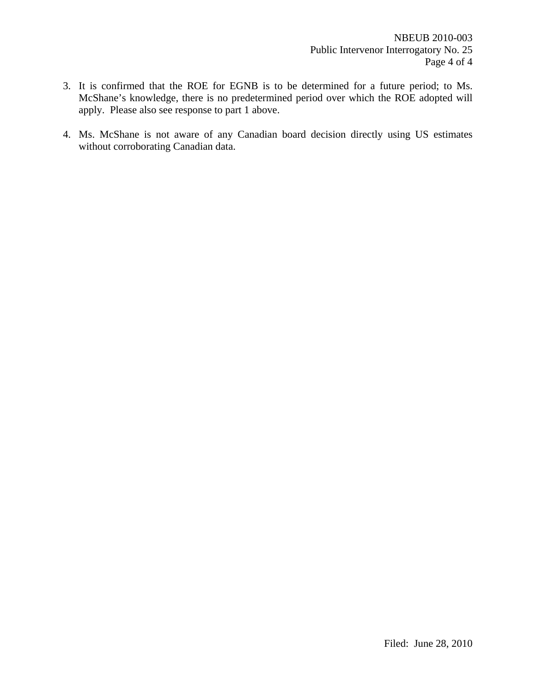- 3. It is confirmed that the ROE for EGNB is to be determined for a future period; to Ms. McShane's knowledge, there is no predetermined period over which the ROE adopted will apply. Please also see response to part 1 above.
- 4. Ms. McShane is not aware of any Canadian board decision directly using US estimates without corroborating Canadian data.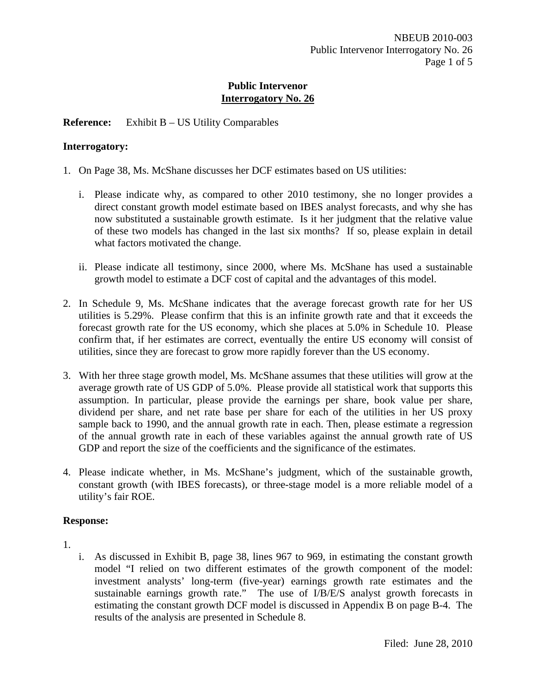## **Reference:** Exhibit B – US Utility Comparables

#### **Interrogatory:**

- 1. On Page 38, Ms. McShane discusses her DCF estimates based on US utilities:
	- i. Please indicate why, as compared to other 2010 testimony, she no longer provides a direct constant growth model estimate based on IBES analyst forecasts, and why she has now substituted a sustainable growth estimate. Is it her judgment that the relative value of these two models has changed in the last six months? If so, please explain in detail what factors motivated the change.
	- ii. Please indicate all testimony, since 2000, where Ms. McShane has used a sustainable growth model to estimate a DCF cost of capital and the advantages of this model.
- 2. In Schedule 9, Ms. McShane indicates that the average forecast growth rate for her US utilities is 5.29%. Please confirm that this is an infinite growth rate and that it exceeds the forecast growth rate for the US economy, which she places at 5.0% in Schedule 10. Please confirm that, if her estimates are correct, eventually the entire US economy will consist of utilities, since they are forecast to grow more rapidly forever than the US economy.
- 3. With her three stage growth model, Ms. McShane assumes that these utilities will grow at the average growth rate of US GDP of 5.0%. Please provide all statistical work that supports this assumption. In particular, please provide the earnings per share, book value per share, dividend per share, and net rate base per share for each of the utilities in her US proxy sample back to 1990, and the annual growth rate in each. Then, please estimate a regression of the annual growth rate in each of these variables against the annual growth rate of US GDP and report the size of the coefficients and the significance of the estimates.
- 4. Please indicate whether, in Ms. McShane's judgment, which of the sustainable growth, constant growth (with IBES forecasts), or three-stage model is a more reliable model of a utility's fair ROE.

## **Response:**

- 1.
- i. As discussed in Exhibit B, page 38, lines 967 to 969, in estimating the constant growth model "I relied on two different estimates of the growth component of the model: investment analysts' long-term (five-year) earnings growth rate estimates and the sustainable earnings growth rate." The use of I/B/E/S analyst growth forecasts in estimating the constant growth DCF model is discussed in Appendix B on page B-4. The results of the analysis are presented in Schedule 8.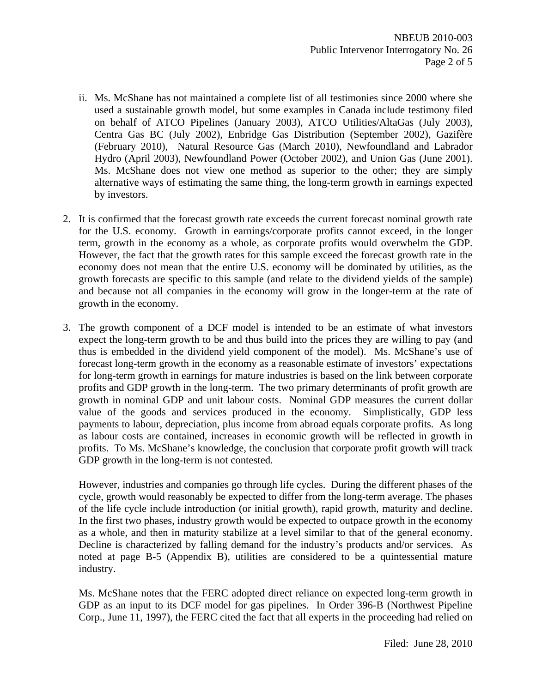- ii. Ms. McShane has not maintained a complete list of all testimonies since 2000 where she used a sustainable growth model, but some examples in Canada include testimony filed on behalf of ATCO Pipelines (January 2003), ATCO Utilities/AltaGas (July 2003), Centra Gas BC (July 2002), Enbridge Gas Distribution (September 2002), Gazifère (February 2010), Natural Resource Gas (March 2010), Newfoundland and Labrador Hydro (April 2003), Newfoundland Power (October 2002), and Union Gas (June 2001). Ms. McShane does not view one method as superior to the other; they are simply alternative ways of estimating the same thing, the long-term growth in earnings expected by investors.
- 2. It is confirmed that the forecast growth rate exceeds the current forecast nominal growth rate for the U.S. economy. Growth in earnings/corporate profits cannot exceed, in the longer term, growth in the economy as a whole, as corporate profits would overwhelm the GDP. However, the fact that the growth rates for this sample exceed the forecast growth rate in the economy does not mean that the entire U.S. economy will be dominated by utilities, as the growth forecasts are specific to this sample (and relate to the dividend yields of the sample) and because not all companies in the economy will grow in the longer-term at the rate of growth in the economy.
- 3. The growth component of a DCF model is intended to be an estimate of what investors expect the long-term growth to be and thus build into the prices they are willing to pay (and thus is embedded in the dividend yield component of the model). Ms. McShane's use of forecast long-term growth in the economy as a reasonable estimate of investors' expectations for long-term growth in earnings for mature industries is based on the link between corporate profits and GDP growth in the long-term. The two primary determinants of profit growth are growth in nominal GDP and unit labour costs. Nominal GDP measures the current dollar value of the goods and services produced in the economy. Simplistically, GDP less payments to labour, depreciation, plus income from abroad equals corporate profits. As long as labour costs are contained, increases in economic growth will be reflected in growth in profits. To Ms. McShane's knowledge, the conclusion that corporate profit growth will track GDP growth in the long-term is not contested.

However, industries and companies go through life cycles. During the different phases of the cycle, growth would reasonably be expected to differ from the long-term average. The phases of the life cycle include introduction (or initial growth), rapid growth, maturity and decline. In the first two phases, industry growth would be expected to outpace growth in the economy as a whole, and then in maturity stabilize at a level similar to that of the general economy. Decline is characterized by falling demand for the industry's products and/or services. As noted at page B-5 (Appendix B), utilities are considered to be a quintessential mature industry.

Ms. McShane notes that the FERC adopted direct reliance on expected long-term growth in GDP as an input to its DCF model for gas pipelines. In Order 396-B (Northwest Pipeline Corp., June 11, 1997), the FERC cited the fact that all experts in the proceeding had relied on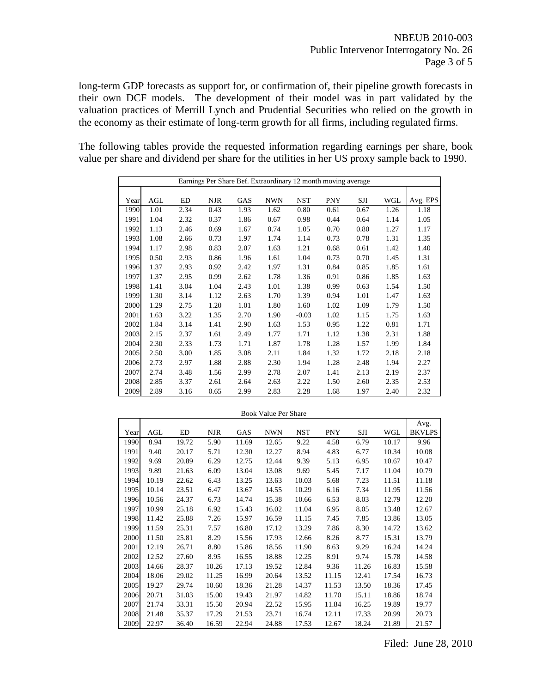long-term GDP forecasts as support for, or confirmation of, their pipeline growth forecasts in their own DCF models. The development of their model was in part validated by the valuation practices of Merrill Lynch and Prudential Securities who relied on the growth in the economy as their estimate of long-term growth for all firms, including regulated firms.

The following tables provide the requested information regarding earnings per share, book value per share and dividend per share for the utilities in her US proxy sample back to 1990.

|      | Earnings Per Share Bef. Extraordinary 12 month moving average |      |            |      |            |         |            |      |      |          |  |  |
|------|---------------------------------------------------------------|------|------------|------|------------|---------|------------|------|------|----------|--|--|
|      |                                                               |      |            |      |            |         |            |      |      |          |  |  |
| Year | AGL                                                           | ED   | <b>NJR</b> | GAS  | <b>NWN</b> | NST     | <b>PNY</b> | SJI  | WGL  | Avg. EPS |  |  |
| 1990 | 1.01                                                          | 2.34 | 0.43       | 1.93 | 1.62       | 0.80    | 0.61       | 0.67 | 1.26 | 1.18     |  |  |
| 1991 | 1.04                                                          | 2.32 | 0.37       | 1.86 | 0.67       | 0.98    | 0.44       | 0.64 | 1.14 | 1.05     |  |  |
| 1992 | 1.13                                                          | 2.46 | 0.69       | 1.67 | 0.74       | 1.05    | 0.70       | 0.80 | 1.27 | 1.17     |  |  |
| 1993 | 1.08                                                          | 2.66 | 0.73       | 1.97 | 1.74       | 1.14    | 0.73       | 0.78 | 1.31 | 1.35     |  |  |
| 1994 | 1.17                                                          | 2.98 | 0.83       | 2.07 | 1.63       | 1.21    | 0.68       | 0.61 | 1.42 | 1.40     |  |  |
| 1995 | 0.50                                                          | 2.93 | 0.86       | 1.96 | 1.61       | 1.04    | 0.73       | 0.70 | 1.45 | 1.31     |  |  |
| 1996 | 1.37                                                          | 2.93 | 0.92       | 2.42 | 1.97       | 1.31    | 0.84       | 0.85 | 1.85 | 1.61     |  |  |
| 1997 | 1.37                                                          | 2.95 | 0.99       | 2.62 | 1.78       | 1.36    | 0.91       | 0.86 | 1.85 | 1.63     |  |  |
| 1998 | 1.41                                                          | 3.04 | 1.04       | 2.43 | 1.01       | 1.38    | 0.99       | 0.63 | 1.54 | 1.50     |  |  |
| 1999 | 1.30                                                          | 3.14 | 1.12       | 2.63 | 1.70       | 1.39    | 0.94       | 1.01 | 1.47 | 1.63     |  |  |
| 2000 | 1.29                                                          | 2.75 | 1.20       | 1.01 | 1.80       | 1.60    | 1.02       | 1.09 | 1.79 | 1.50     |  |  |
| 2001 | 1.63                                                          | 3.22 | 1.35       | 2.70 | 1.90       | $-0.03$ | 1.02       | 1.15 | 1.75 | 1.63     |  |  |
| 2002 | 1.84                                                          | 3.14 | 1.41       | 2.90 | 1.63       | 1.53    | 0.95       | 1.22 | 0.81 | 1.71     |  |  |
| 2003 | 2.15                                                          | 2.37 | 1.61       | 2.49 | 1.77       | 1.71    | 1.12       | 1.38 | 2.31 | 1.88     |  |  |
| 2004 | 2.30                                                          | 2.33 | 1.73       | 1.71 | 1.87       | 1.78    | 1.28       | 1.57 | 1.99 | 1.84     |  |  |
| 2005 | 2.50                                                          | 3.00 | 1.85       | 3.08 | 2.11       | 1.84    | 1.32       | 1.72 | 2.18 | 2.18     |  |  |
| 2006 | 2.73                                                          | 2.97 | 1.88       | 2.88 | 2.30       | 1.94    | 1.28       | 2.48 | 1.94 | 2.27     |  |  |
| 2007 | 2.74                                                          | 3.48 | 1.56       | 2.99 | 2.78       | 2.07    | 1.41       | 2.13 | 2.19 | 2.37     |  |  |
| 2008 | 2.85                                                          | 3.37 | 2.61       | 2.64 | 2.63       | 2.22    | 1.50       | 2.60 | 2.35 | 2.53     |  |  |
| 2009 | 2.89                                                          | 3.16 | 0.65       | 2.99 | 2.83       | 2.28    | 1.68       | 1.97 | 2.40 | 2.32     |  |  |

|      |       |       |            |       | DOON VAIL TEL SHAIT |            |            |       |            |                       |
|------|-------|-------|------------|-------|---------------------|------------|------------|-------|------------|-----------------------|
| Year | AGL   | ED    | <b>NJR</b> | GAS   | <b>NWN</b>          | <b>NST</b> | <b>PNY</b> | SJI   | <b>WGL</b> | Avg.<br><b>BKVLPS</b> |
| 1990 | 8.94  | 19.72 | 5.90       | 11.69 | 12.65               | 9.22       | 4.58       | 6.79  | 10.17      | 9.96                  |
| 1991 | 9.40  | 20.17 | 5.71       | 12.30 | 12.27               | 8.94       | 4.83       | 6.77  | 10.34      | 10.08                 |
| 1992 | 9.69  | 20.89 | 6.29       | 12.75 | 12.44               | 9.39       | 5.13       | 6.95  | 10.67      | 10.47                 |
| 1993 | 9.89  | 21.63 | 6.09       | 13.04 | 13.08               | 9.69       | 5.45       | 7.17  | 11.04      | 10.79                 |
| 1994 | 10.19 | 22.62 | 6.43       | 13.25 | 13.63               | 10.03      | 5.68       | 7.23  | 11.51      | 11.18                 |
| 1995 | 10.14 | 23.51 | 6.47       | 13.67 | 14.55               | 10.29      | 6.16       | 7.34  | 11.95      | 11.56                 |
| 1996 | 10.56 | 24.37 | 6.73       | 14.74 | 15.38               | 10.66      | 6.53       | 8.03  | 12.79      | 12.20                 |
| 1997 | 10.99 | 25.18 | 6.92       | 15.43 | 16.02               | 11.04      | 6.95       | 8.05  | 13.48      | 12.67                 |
| 1998 | 11.42 | 25.88 | 7.26       | 15.97 | 16.59               | 11.15      | 7.45       | 7.85  | 13.86      | 13.05                 |
| 1999 | 11.59 | 25.31 | 7.57       | 16.80 | 17.12               | 13.29      | 7.86       | 8.30  | 14.72      | 13.62                 |
| 2000 | 11.50 | 25.81 | 8.29       | 15.56 | 17.93               | 12.66      | 8.26       | 8.77  | 15.31      | 13.79                 |
| 2001 | 12.19 | 26.71 | 8.80       | 15.86 | 18.56               | 11.90      | 8.63       | 9.29  | 16.24      | 14.24                 |
| 2002 | 12.52 | 27.60 | 8.95       | 16.55 | 18.88               | 12.25      | 8.91       | 9.74  | 15.78      | 14.58                 |
| 2003 | 14.66 | 28.37 | 10.26      | 17.13 | 19.52               | 12.84      | 9.36       | 11.26 | 16.83      | 15.58                 |
| 2004 | 18.06 | 29.02 | 11.25      | 16.99 | 20.64               | 13.52      | 11.15      | 12.41 | 17.54      | 16.73                 |
| 2005 | 19.27 | 29.74 | 10.60      | 18.36 | 21.28               | 14.37      | 11.53      | 13.50 | 18.36      | 17.45                 |
| 2006 | 20.71 | 31.03 | 15.00      | 19.43 | 21.97               | 14.82      | 11.70      | 15.11 | 18.86      | 18.74                 |
| 2007 | 21.74 | 33.31 | 15.50      | 20.94 | 22.52               | 15.95      | 11.84      | 16.25 | 19.89      | 19.77                 |
| 2008 | 21.48 | 35.37 | 17.29      | 21.53 | 23.71               | 16.74      | 12.11      | 17.33 | 20.99      | 20.73                 |
| 2009 | 22.97 | 36.40 | 16.59      | 22.94 | 24.88               | 17.53      | 12.67      | 18.24 | 21.89      | 21.57                 |

Book Value Per Share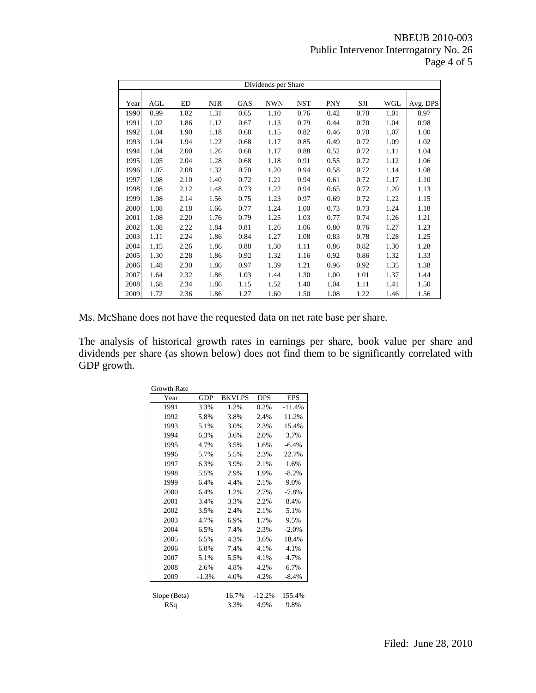## NBEUB 2010-003 Public Intervenor Interrogatory No. 26 Page 4 of 5

|      | Dividends per Share |      |            |            |            |            |            |      |      |          |  |
|------|---------------------|------|------------|------------|------------|------------|------------|------|------|----------|--|
|      |                     |      |            |            |            |            |            |      |      |          |  |
| Year | AGL                 | ED   | <b>NJR</b> | <b>GAS</b> | <b>NWN</b> | <b>NST</b> | <b>PNY</b> | SJI  | WGL  | Avg. DPS |  |
| 1990 | 0.99                | 1.82 | 1.31       | 0.65       | 1.10       | 0.76       | 0.42       | 0.70 | 1.01 | 0.97     |  |
| 1991 | 1.02                | 1.86 | 1.12       | 0.67       | 1.13       | 0.79       | 0.44       | 0.70 | 1.04 | 0.98     |  |
| 1992 | 1.04                | 1.90 | 1.18       | 0.68       | 1.15       | 0.82       | 0.46       | 0.70 | 1.07 | 1.00     |  |
| 1993 | 1.04                | 1.94 | 1.22       | 0.68       | 1.17       | 0.85       | 0.49       | 0.72 | 1.09 | 1.02     |  |
| 1994 | 1.04                | 2.00 | 1.26       | 0.68       | 1.17       | 0.88       | 0.52       | 0.72 | 1.11 | 1.04     |  |
| 1995 | 1.05                | 2.04 | 1.28       | 0.68       | 1.18       | 0.91       | 0.55       | 0.72 | 1.12 | 1.06     |  |
| 1996 | 1.07                | 2.08 | 1.32       | 0.70       | 1.20       | 0.94       | 0.58       | 0.72 | 1.14 | 1.08     |  |
| 1997 | 1.08                | 2.10 | 1.40       | 0.72       | 1.21       | 0.94       | 0.61       | 0.72 | 1.17 | 1.10     |  |
| 1998 | 1.08                | 2.12 | 1.48       | 0.73       | 1.22       | 0.94       | 0.65       | 0.72 | 1.20 | 1.13     |  |
| 1999 | 1.08                | 2.14 | 1.56       | 0.75       | 1.23       | 0.97       | 0.69       | 0.72 | 1.22 | 1.15     |  |
| 2000 | 1.08                | 2.18 | 1.66       | 0.77       | 1.24       | 1.00       | 0.73       | 0.73 | 1.24 | 1.18     |  |
| 2001 | 1.08                | 2.20 | 1.76       | 0.79       | 1.25       | 1.03       | 0.77       | 0.74 | 1.26 | 1.21     |  |
| 2002 | 1.08                | 2.22 | 1.84       | 0.81       | 1.26       | 1.06       | 0.80       | 0.76 | 1.27 | 1.23     |  |
| 2003 | 1.11                | 2.24 | 1.86       | 0.84       | 1.27       | 1.08       | 0.83       | 0.78 | 1.28 | 1.25     |  |
| 2004 | 1.15                | 2.26 | 1.86       | 0.88       | 1.30       | 1.11       | 0.86       | 0.82 | 1.30 | 1.28     |  |
| 2005 | 1.30                | 2.28 | 1.86       | 0.92       | 1.32       | 1.16       | 0.92       | 0.86 | 1.32 | 1.33     |  |
| 2006 | 1.48                | 2.30 | 1.86       | 0.97       | 1.39       | 1.21       | 0.96       | 0.92 | 1.35 | 1.38     |  |
| 2007 | 1.64                | 2.32 | 1.86       | 1.03       | 1.44       | 1.30       | 1.00       | 1.01 | 1.37 | 1.44     |  |
| 2008 | 1.68                | 2.34 | 1.86       | 1.15       | 1.52       | 1.40       | 1.04       | 1.11 | 1.41 | 1.50     |  |
| 2009 | 1.72                | 2.36 | 1.86       | 1.27       | 1.60       | 1.50       | 1.08       | 1.22 | 1.46 | 1.56     |  |

Ms. McShane does not have the requested data on net rate base per share.

The analysis of historical growth rates in earnings per share, book value per share and dividends per share (as shown below) does not find them to be significantly correlated with GDP growth.

| <b>Growth Rate</b> |            |               |            |            |
|--------------------|------------|---------------|------------|------------|
| Year               | <b>GDP</b> | <b>BKVLPS</b> | <b>DPS</b> | <b>EPS</b> |
| 1991               | 3.3%       | 1.2%          | 0.2%       | $-11.4%$   |
| 1992               | 5.8%       | 3.8%          | 2.4%       | 11.2%      |
| 1993               | 5.1%       | 3.0%          | 2.3%       | 15.4%      |
| 1994               | 6.3%       | 3.6%          | 2.0%       | 3.7%       |
| 1995               | 4.7%       | 3.5%          | 1.6%       | $-6.4%$    |
| 1996               | 5.7%       | 5.5%          | 2.3%       | 22.7%      |
| 1997               | 6.3%       | 3.9%          | 2.1%       | 1.6%       |
| 1998               | 5.5%       | 2.9%          | 1.9%       | $-8.2%$    |
| 1999               | 6.4%       | 4.4%          | 2.1%       | 9.0%       |
| 2000               | 6.4%       | 1.2%          | 2.7%       | $-7.8%$    |
| 2001               | 3.4%       | 3.3%          | 2.2%       | 8.4%       |
| 2002               | 3.5%       | 2.4%          | 2.1%       | 5.1%       |
| 2003               | 4.7%       | 6.9%          | 1.7%       | 9.5%       |
| 2004               | 6.5%       | 7.4%          | 2.3%       | $-2.0%$    |
| 2005               | 6.5%       | 4.3%          | 3.6%       | 18.4%      |
| 2006               | 6.0%       | 7.4%          | 4.1%       | 4.1%       |
| 2007               | 5.1%       | 5.5%          | 4.1%       | 4.7%       |
| 2008               | 2.6%       | 4.8%          | 4.2%       | 6.7%       |
| 2009               | $-1.3%$    | 4.0%          | 4.2%       | $-8.4%$    |
|                    |            |               |            |            |
| Slope (Beta)       |            | 16.7%         | $-12.2%$   | 155.4%     |
| RSq                |            | 3.3%          | 4.9%       | 9.8%       |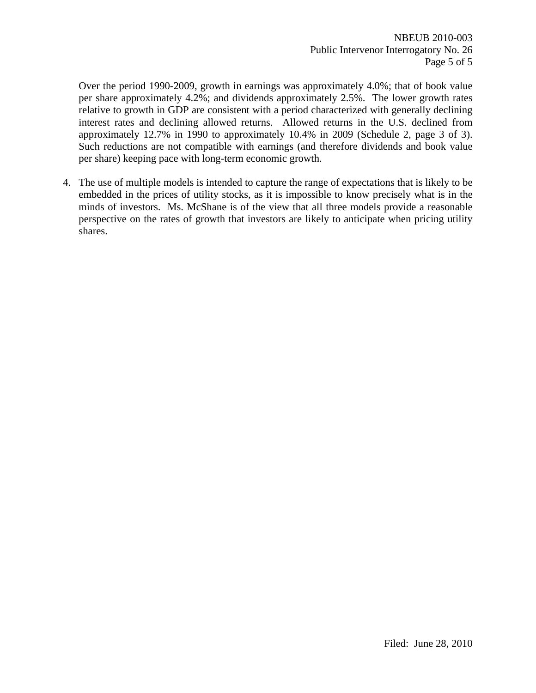Over the period 1990-2009, growth in earnings was approximately 4.0%; that of book value per share approximately 4.2%; and dividends approximately 2.5%. The lower growth rates relative to growth in GDP are consistent with a period characterized with generally declining interest rates and declining allowed returns. Allowed returns in the U.S. declined from approximately 12.7% in 1990 to approximately 10.4% in 2009 (Schedule 2, page 3 of 3). Such reductions are not compatible with earnings (and therefore dividends and book value per share) keeping pace with long-term economic growth.

4. The use of multiple models is intended to capture the range of expectations that is likely to be embedded in the prices of utility stocks, as it is impossible to know precisely what is in the minds of investors. Ms. McShane is of the view that all three models provide a reasonable perspective on the rates of growth that investors are likely to anticipate when pricing utility shares.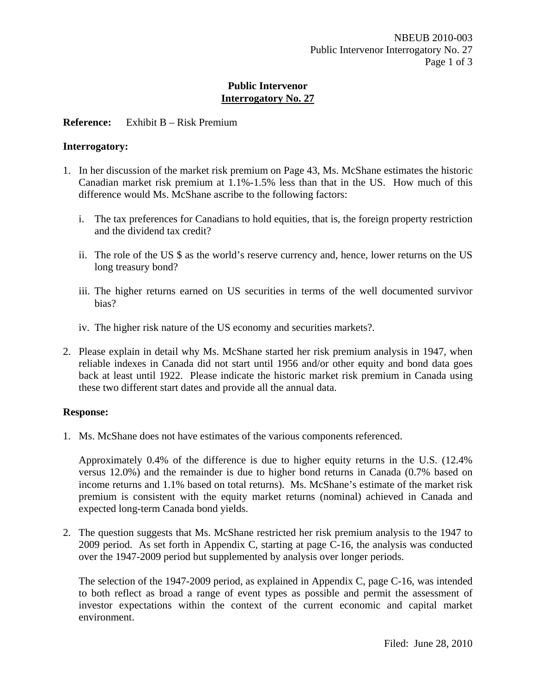## **Reference:** Exhibit B – Risk Premium

#### **Interrogatory:**

- 1. In her discussion of the market risk premium on Page 43, Ms. McShane estimates the historic Canadian market risk premium at 1.1%-1.5% less than that in the US. How much of this difference would Ms. McShane ascribe to the following factors:
	- i. The tax preferences for Canadians to hold equities, that is, the foreign property restriction and the dividend tax credit?
	- ii. The role of the US \$ as the world's reserve currency and, hence, lower returns on the US long treasury bond?
	- iii. The higher returns earned on US securities in terms of the well documented survivor bias?
	- iv. The higher risk nature of the US economy and securities markets?.
- 2. Please explain in detail why Ms. McShane started her risk premium analysis in 1947, when reliable indexes in Canada did not start until 1956 and/or other equity and bond data goes back at least until 1922. Please indicate the historic market risk premium in Canada using these two different start dates and provide all the annual data.

## **Response:**

1. Ms. McShane does not have estimates of the various components referenced.

Approximately 0.4% of the difference is due to higher equity returns in the U.S. (12.4% versus 12.0%) and the remainder is due to higher bond returns in Canada (0.7% based on income returns and 1.1% based on total returns). Ms. McShane's estimate of the market risk premium is consistent with the equity market returns (nominal) achieved in Canada and expected long-term Canada bond yields.

2. The question suggests that Ms. McShane restricted her risk premium analysis to the 1947 to 2009 period. As set forth in Appendix C, starting at page C-16, the analysis was conducted over the 1947-2009 period but supplemented by analysis over longer periods.

The selection of the 1947-2009 period, as explained in Appendix C, page C-16, was intended to both reflect as broad a range of event types as possible and permit the assessment of investor expectations within the context of the current economic and capital market environment.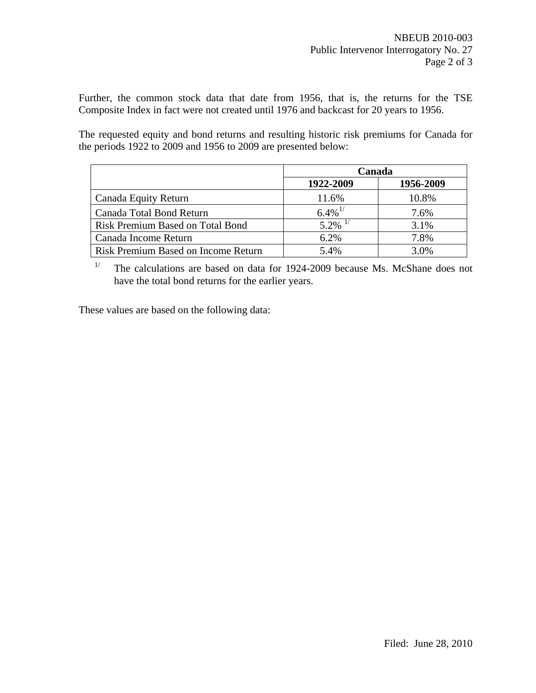Further, the common stock data that date from 1956, that is, the returns for the TSE Composite Index in fact were not created until 1976 and backcast for 20 years to 1956.

The requested equity and bond returns and resulting historic risk premiums for Canada for the periods 1922 to 2009 and 1956 to 2009 are presented below:

|                                            | Canada                |           |
|--------------------------------------------|-----------------------|-----------|
|                                            | 1922-2009             | 1956-2009 |
| Canada Equity Return                       | 11.6%                 | 10.8%     |
| Canada Total Bond Return                   | $6.4\%$ <sup>1/</sup> | 7.6%      |
| <b>Risk Premium Based on Total Bond</b>    | 5.2%                  | 3.1%      |
| Canada Income Return                       | 6.2%                  | 7.8%      |
| <b>Risk Premium Based on Income Return</b> | 5.4%                  | 3.0%      |

<sup>1/</sup> The calculations are based on data for 1924-2009 because Ms. McShane does not have the total bond returns for the earlier years.

These values are based on the following data: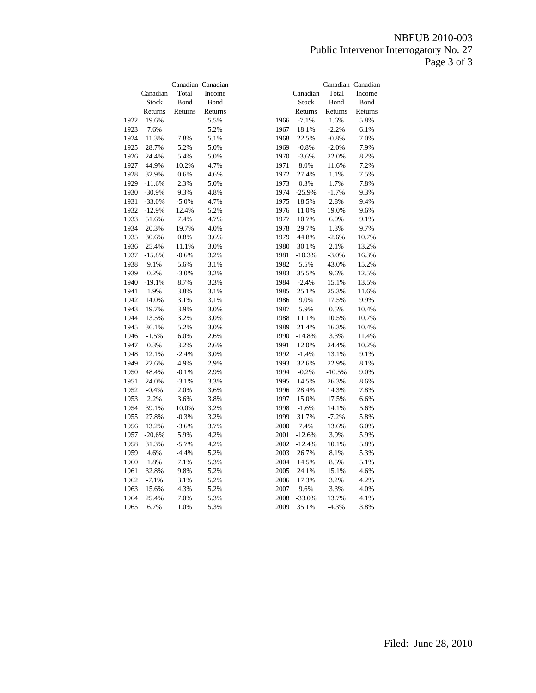# NBEUB 2010-003 Public Intervenor Interrogatory No. 27 Page 3 of 3

|      | Canadian | Total   | Canadian Canadian<br>Income |      | Canadian     | Total    | Canadian Canadian<br>Income |
|------|----------|---------|-----------------------------|------|--------------|----------|-----------------------------|
|      | Stock    | Bond    | Bond                        |      | <b>Stock</b> | Bond     | Bond                        |
|      | Returns  | Returns | Returns                     |      | Returns      | Returns  | Returns                     |
|      |          |         |                             |      |              |          |                             |
| 1922 | 19.6%    |         | 5.5%                        | 1966 | $-7.1%$      | 1.6%     | 5.8%                        |
| 1923 | 7.6%     |         | 5.2%                        | 1967 | 18.1%        | $-2.2%$  | 6.1%                        |
| 1924 | 11.3%    | 7.8%    | 5.1%                        | 1968 | 22.5%        | $-0.8%$  | 7.0%                        |
| 1925 | 28.7%    | 5.2%    | 5.0%                        | 1969 | $-0.8%$      | $-2.0%$  | 7.9%                        |
| 1926 | 24.4%    | 5.4%    | 5.0%                        | 1970 | $-3.6%$      | 22.0%    | 8.2%                        |
| 1927 | 44.9%    | 10.2%   | 4.7%                        | 1971 | 8.0%         | 11.6%    | 7.2%                        |
| 1928 | 32.9%    | 0.6%    | 4.6%                        | 1972 | 27.4%        | 1.1%     | 7.5%                        |
| 1929 | $-11.6%$ | 2.3%    | 5.0%                        | 1973 | 0.3%         | 1.7%     | 7.8%                        |
| 1930 | $-30.9%$ | 9.3%    | 4.8%                        | 1974 | $-25.9%$     | $-1.7%$  | 9.3%                        |
| 1931 | $-33.0%$ | $-5.0%$ | 4.7%                        | 1975 | 18.5%        | 2.8%     | 9.4%                        |
| 1932 | $-12.9%$ | 12.4%   | 5.2%                        | 1976 | 11.0%        | 19.0%    | 9.6%                        |
| 1933 | 51.6%    | 7.4%    | 4.7%                        | 1977 | 10.7%        | 6.0%     | 9.1%                        |
| 1934 | 20.3%    | 19.7%   | 4.0%                        | 1978 | 29.7%        | 1.3%     | 9.7%                        |
| 1935 | 30.6%    | 0.8%    | 3.6%                        | 1979 | 44.8%        | $-2.6%$  | 10.7%                       |
| 1936 | 25.4%    | 11.1%   | 3.0%                        | 1980 | 30.1%        | 2.1%     | 13.2%                       |
| 1937 | $-15.8%$ | $-0.6%$ | 3.2%                        | 1981 | $-10.3%$     | $-3.0%$  | 16.3%                       |
| 1938 | 9.1%     | 5.6%    | 3.1%                        | 1982 | 5.5%         | 43.0%    | 15.2%                       |
| 1939 | 0.2%     | $-3.0%$ | 3.2%                        | 1983 | 35.5%        | 9.6%     | 12.5%                       |
| 1940 | $-19.1%$ | 8.7%    | 3.3%                        | 1984 | $-2.4%$      | 15.1%    | 13.5%                       |
| 1941 | 1.9%     | 3.8%    | 3.1%                        | 1985 | 25.1%        | 25.3%    | 11.6%                       |
| 1942 | 14.0%    | 3.1%    | 3.1%                        | 1986 | 9.0%         | 17.5%    | 9.9%                        |
| 1943 | 19.7%    | 3.9%    | 3.0%                        | 1987 | 5.9%         | 0.5%     | 10.4%                       |
| 1944 | 13.5%    | 3.2%    | 3.0%                        | 1988 | 11.1%        | 10.5%    | 10.7%                       |
| 1945 | 36.1%    | 5.2%    | 3.0%                        | 1989 | 21.4%        | 16.3%    | 10.4%                       |
| 1946 | $-1.5%$  | 6.0%    | 2.6%                        | 1990 | $-14.8%$     | 3.3%     | 11.4%                       |
| 1947 | 0.3%     | 3.2%    | 2.6%                        | 1991 | 12.0%        | 24.4%    | 10.2%                       |
| 1948 | 12.1%    | $-2.4%$ | 3.0%                        | 1992 | $-1.4%$      | 13.1%    | 9.1%                        |
| 1949 | 22.6%    | 4.9%    | 2.9%                        | 1993 | 32.6%        | 22.9%    | 8.1%                        |
| 1950 | 48.4%    | $-0.1%$ | 2.9%                        | 1994 | $-0.2%$      | $-10.5%$ | 9.0%                        |
| 1951 | 24.0%    | $-3.1%$ | 3.3%                        | 1995 | 14.5%        | 26.3%    | 8.6%                        |
| 1952 | $-0.4%$  | 2.0%    | 3.6%                        | 1996 | 28.4%        | 14.3%    | 7.8%                        |
| 1953 | 2.2%     | 3.6%    | 3.8%                        | 1997 | 15.0%        | 17.5%    | 6.6%                        |
| 1954 | 39.1%    | 10.0%   | 3.2%                        | 1998 | $-1.6%$      | 14.1%    | 5.6%                        |
| 1955 | 27.8%    | $-0.3%$ | 3.2%                        | 1999 | 31.7%        | $-7.2%$  | 5.8%                        |
| 1956 | 13.2%    | $-3.6%$ | 3.7%                        | 2000 | 7.4%         | 13.6%    | 6.0%                        |
| 1957 | $-20.6%$ | 5.9%    | 4.2%                        | 2001 | $-12.6%$     | 3.9%     | 5.9%                        |
| 1958 | 31.3%    | $-5.7%$ | 4.2%                        | 2002 | $-12.4%$     | 10.1%    | 5.8%                        |
| 1959 | 4.6%     | $-4.4%$ | 5.2%                        | 2003 | 26.7%        | 8.1%     | 5.3%                        |
| 1960 | 1.8%     | 7.1%    | 5.3%                        | 2004 | 14.5%        | 8.5%     | 5.1%                        |
| 1961 | 32.8%    | 9.8%    | 5.2%                        | 2005 | 24.1%        | 15.1%    | 4.6%                        |
| 1962 | $-7.1%$  | 3.1%    | 5.2%                        | 2006 | 17.3%        | 3.2%     | 4.2%                        |
| 1963 | 15.6%    | 4.3%    | 5.2%                        | 2007 | 9.6%         | 3.3%     | 4.0%                        |
| 1964 | 25.4%    | 7.0%    | 5.3%                        | 2008 | $-33.0%$     | 13.7%    | 4.1%                        |
| 1965 | 6.7%     | 1.0%    | 5.3%                        | 2009 | 35.1%        | $-4.3%$  | 3.8%                        |
|      |          |         |                             |      |              |          |                             |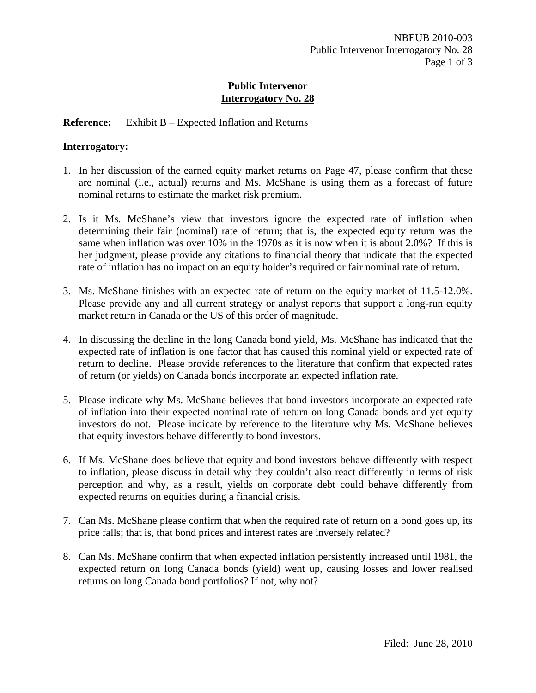# **Reference:** Exhibit B – Expected Inflation and Returns

### **Interrogatory:**

- 1. In her discussion of the earned equity market returns on Page 47, please confirm that these are nominal (i.e., actual) returns and Ms. McShane is using them as a forecast of future nominal returns to estimate the market risk premium.
- 2. Is it Ms. McShane's view that investors ignore the expected rate of inflation when determining their fair (nominal) rate of return; that is, the expected equity return was the same when inflation was over 10% in the 1970s as it is now when it is about 2.0%? If this is her judgment, please provide any citations to financial theory that indicate that the expected rate of inflation has no impact on an equity holder's required or fair nominal rate of return.
- 3. Ms. McShane finishes with an expected rate of return on the equity market of 11.5-12.0%. Please provide any and all current strategy or analyst reports that support a long-run equity market return in Canada or the US of this order of magnitude.
- 4. In discussing the decline in the long Canada bond yield, Ms. McShane has indicated that the expected rate of inflation is one factor that has caused this nominal yield or expected rate of return to decline. Please provide references to the literature that confirm that expected rates of return (or yields) on Canada bonds incorporate an expected inflation rate.
- 5. Please indicate why Ms. McShane believes that bond investors incorporate an expected rate of inflation into their expected nominal rate of return on long Canada bonds and yet equity investors do not. Please indicate by reference to the literature why Ms. McShane believes that equity investors behave differently to bond investors.
- 6. If Ms. McShane does believe that equity and bond investors behave differently with respect to inflation, please discuss in detail why they couldn't also react differently in terms of risk perception and why, as a result, yields on corporate debt could behave differently from expected returns on equities during a financial crisis.
- 7. Can Ms. McShane please confirm that when the required rate of return on a bond goes up, its price falls; that is, that bond prices and interest rates are inversely related?
- 8. Can Ms. McShane confirm that when expected inflation persistently increased until 1981, the expected return on long Canada bonds (yield) went up, causing losses and lower realised returns on long Canada bond portfolios? If not, why not?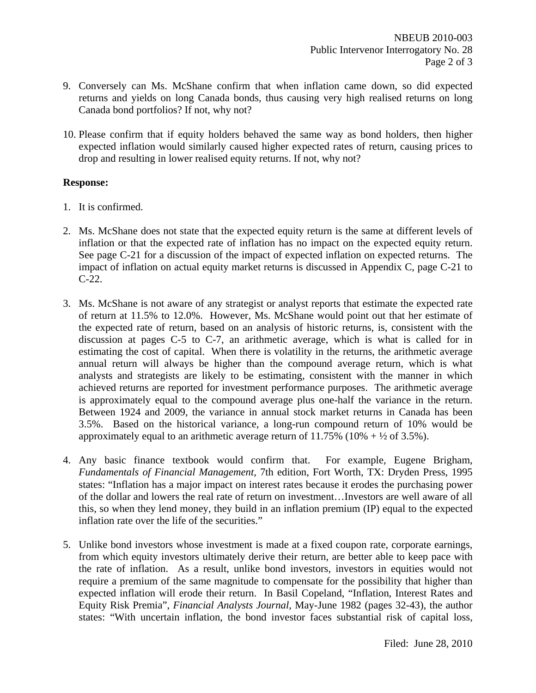- 9. Conversely can Ms. McShane confirm that when inflation came down, so did expected returns and yields on long Canada bonds, thus causing very high realised returns on long Canada bond portfolios? If not, why not?
- 10. Please confirm that if equity holders behaved the same way as bond holders, then higher expected inflation would similarly caused higher expected rates of return, causing prices to drop and resulting in lower realised equity returns. If not, why not?

- 1. It is confirmed.
- 2. Ms. McShane does not state that the expected equity return is the same at different levels of inflation or that the expected rate of inflation has no impact on the expected equity return. See page C-21 for a discussion of the impact of expected inflation on expected returns. The impact of inflation on actual equity market returns is discussed in Appendix C, page C-21 to C-22.
- 3. Ms. McShane is not aware of any strategist or analyst reports that estimate the expected rate of return at 11.5% to 12.0%. However, Ms. McShane would point out that her estimate of the expected rate of return, based on an analysis of historic returns, is, consistent with the discussion at pages C-5 to C-7, an arithmetic average, which is what is called for in estimating the cost of capital. When there is volatility in the returns, the arithmetic average annual return will always be higher than the compound average return, which is what analysts and strategists are likely to be estimating, consistent with the manner in which achieved returns are reported for investment performance purposes. The arithmetic average is approximately equal to the compound average plus one-half the variance in the return. Between 1924 and 2009, the variance in annual stock market returns in Canada has been 3.5%. Based on the historical variance, a long-run compound return of 10% would be approximately equal to an arithmetic average return of  $11.75\%$  ( $10\% + \frac{1}{2}$  of 3.5%).
- 4. Any basic finance textbook would confirm that. For example, Eugene Brigham, *Fundamentals of Financial Management*, 7th edition, Fort Worth, TX: Dryden Press, 1995 states: "Inflation has a major impact on interest rates because it erodes the purchasing power of the dollar and lowers the real rate of return on investment…Investors are well aware of all this, so when they lend money, they build in an inflation premium (IP) equal to the expected inflation rate over the life of the securities."
- 5. Unlike bond investors whose investment is made at a fixed coupon rate, corporate earnings, from which equity investors ultimately derive their return, are better able to keep pace with the rate of inflation. As a result, unlike bond investors, investors in equities would not require a premium of the same magnitude to compensate for the possibility that higher than expected inflation will erode their return. In Basil Copeland, "Inflation, Interest Rates and Equity Risk Premia", *Financial Analysts Journal*, May-June 1982 (pages 32-43), the author states: "With uncertain inflation, the bond investor faces substantial risk of capital loss,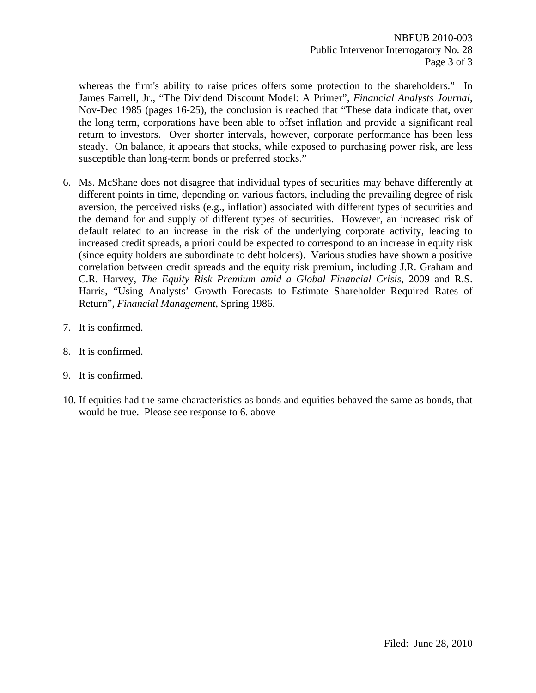whereas the firm's ability to raise prices offers some protection to the shareholders." In James Farrell, Jr., "The Dividend Discount Model: A Primer", *Financial Analysts Journal*, Nov-Dec 1985 (pages 16-25), the conclusion is reached that "These data indicate that, over the long term, corporations have been able to offset inflation and provide a significant real return to investors. Over shorter intervals, however, corporate performance has been less steady. On balance, it appears that stocks, while exposed to purchasing power risk, are less susceptible than long-term bonds or preferred stocks."

- 6. Ms. McShane does not disagree that individual types of securities may behave differently at different points in time, depending on various factors, including the prevailing degree of risk aversion, the perceived risks (e.g., inflation) associated with different types of securities and the demand for and supply of different types of securities. However, an increased risk of default related to an increase in the risk of the underlying corporate activity, leading to increased credit spreads, a priori could be expected to correspond to an increase in equity risk (since equity holders are subordinate to debt holders). Various studies have shown a positive correlation between credit spreads and the equity risk premium, including J.R. Graham and C.R. Harvey, *The Equity Risk Premium amid a Global Financial Crisis*, 2009 and R.S. Harris, "Using Analysts' Growth Forecasts to Estimate Shareholder Required Rates of Return", *Financial Management*, Spring 1986.
- 7. It is confirmed.
- 8. It is confirmed.
- 9. It is confirmed.
- 10. If equities had the same characteristics as bonds and equities behaved the same as bonds, that would be true. Please see response to 6. above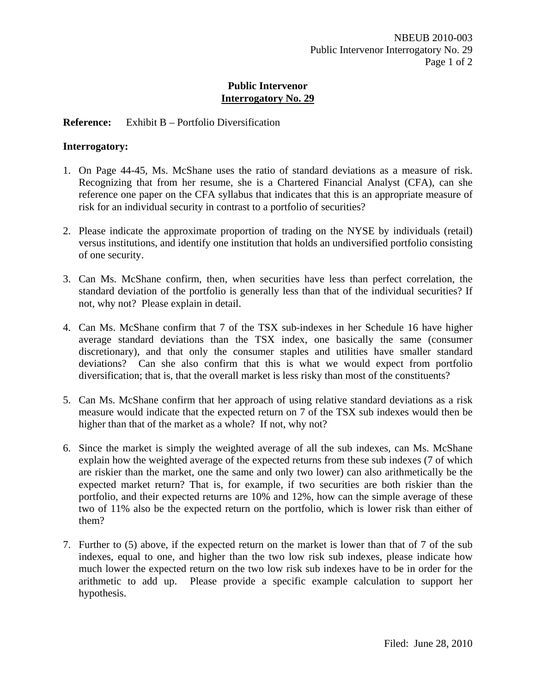# **Reference:** Exhibit B – Portfolio Diversification

## **Interrogatory:**

- 1. On Page 44-45, Ms. McShane uses the ratio of standard deviations as a measure of risk. Recognizing that from her resume, she is a Chartered Financial Analyst (CFA), can she reference one paper on the CFA syllabus that indicates that this is an appropriate measure of risk for an individual security in contrast to a portfolio of securities?
- 2. Please indicate the approximate proportion of trading on the NYSE by individuals (retail) versus institutions, and identify one institution that holds an undiversified portfolio consisting of one security.
- 3. Can Ms. McShane confirm, then, when securities have less than perfect correlation, the standard deviation of the portfolio is generally less than that of the individual securities? If not, why not? Please explain in detail.
- 4. Can Ms. McShane confirm that 7 of the TSX sub-indexes in her Schedule 16 have higher average standard deviations than the TSX index, one basically the same (consumer discretionary), and that only the consumer staples and utilities have smaller standard deviations? Can she also confirm that this is what we would expect from portfolio diversification; that is, that the overall market is less risky than most of the constituents?
- 5. Can Ms. McShane confirm that her approach of using relative standard deviations as a risk measure would indicate that the expected return on 7 of the TSX sub indexes would then be higher than that of the market as a whole? If not, why not?
- 6. Since the market is simply the weighted average of all the sub indexes, can Ms. McShane explain how the weighted average of the expected returns from these sub indexes (7 of which are riskier than the market, one the same and only two lower) can also arithmetically be the expected market return? That is, for example, if two securities are both riskier than the portfolio, and their expected returns are 10% and 12%, how can the simple average of these two of 11% also be the expected return on the portfolio, which is lower risk than either of them?
- 7. Further to (5) above, if the expected return on the market is lower than that of 7 of the sub indexes, equal to one, and higher than the two low risk sub indexes, please indicate how much lower the expected return on the two low risk sub indexes have to be in order for the arithmetic to add up. Please provide a specific example calculation to support her hypothesis.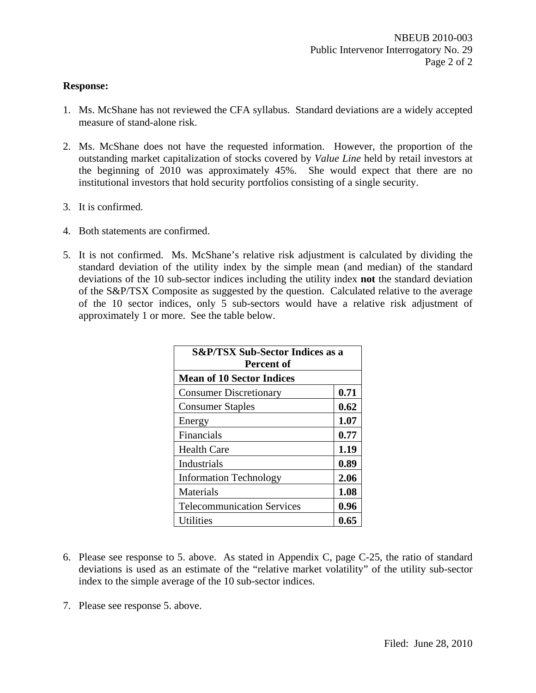- 1. Ms. McShane has not reviewed the CFA syllabus. Standard deviations are a widely accepted measure of stand-alone risk.
- 2. Ms. McShane does not have the requested information. However, the proportion of the outstanding market capitalization of stocks covered by *Value Line* held by retail investors at the beginning of 2010 was approximately 45%. She would expect that there are no institutional investors that hold security portfolios consisting of a single security.
- 3. It is confirmed.
- 4. Both statements are confirmed.
- 5. It is not confirmed. Ms. McShane's relative risk adjustment is calculated by dividing the standard deviation of the utility index by the simple mean (and median) of the standard deviations of the 10 sub-sector indices including the utility index **not** the standard deviation of the S&P/TSX Composite as suggested by the question. Calculated relative to the average of the 10 sector indices, only 5 sub-sectors would have a relative risk adjustment of approximately 1 or more. See the table below.

| <b>S&amp;P/TSX Sub-Sector Indices as a</b><br>Percent of |      |  |  |  |  |  |  |
|----------------------------------------------------------|------|--|--|--|--|--|--|
| <b>Mean of 10 Sector Indices</b>                         |      |  |  |  |  |  |  |
| <b>Consumer Discretionary</b>                            | 0.71 |  |  |  |  |  |  |
| <b>Consumer Staples</b>                                  | 0.62 |  |  |  |  |  |  |
| Energy                                                   | 1.07 |  |  |  |  |  |  |
| Financials                                               | 0.77 |  |  |  |  |  |  |
| <b>Health Care</b>                                       | 1.19 |  |  |  |  |  |  |
| Industrials                                              | 0.89 |  |  |  |  |  |  |
| <b>Information Technology</b>                            | 2.06 |  |  |  |  |  |  |
| Materials                                                | 1.08 |  |  |  |  |  |  |
| <b>Telecommunication Services</b>                        | 0.96 |  |  |  |  |  |  |
| Utilities                                                | 0.65 |  |  |  |  |  |  |

- 6. Please see response to 5. above. As stated in Appendix C, page C-25, the ratio of standard deviations is used as an estimate of the "relative market volatility" of the utility sub-sector index to the simple average of the 10 sub-sector indices.
- 7. Please see response 5. above.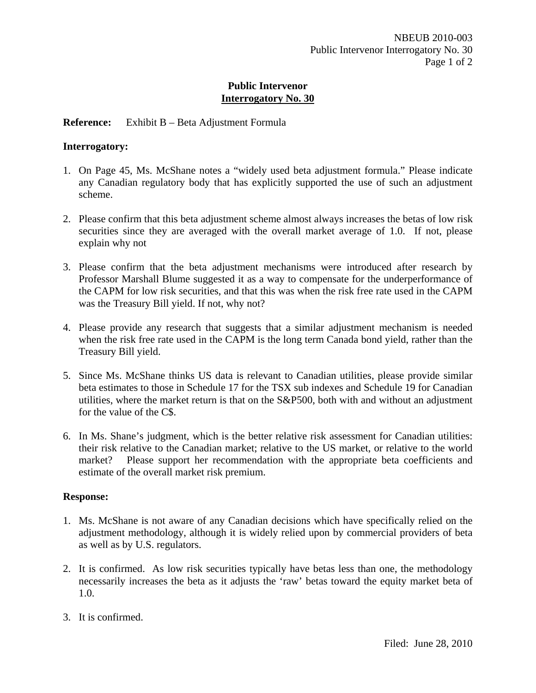# **Reference:** Exhibit B – Beta Adjustment Formula

### **Interrogatory:**

- 1. On Page 45, Ms. McShane notes a "widely used beta adjustment formula." Please indicate any Canadian regulatory body that has explicitly supported the use of such an adjustment scheme.
- 2. Please confirm that this beta adjustment scheme almost always increases the betas of low risk securities since they are averaged with the overall market average of 1.0. If not, please explain why not
- 3. Please confirm that the beta adjustment mechanisms were introduced after research by Professor Marshall Blume suggested it as a way to compensate for the underperformance of the CAPM for low risk securities, and that this was when the risk free rate used in the CAPM was the Treasury Bill yield. If not, why not?
- 4. Please provide any research that suggests that a similar adjustment mechanism is needed when the risk free rate used in the CAPM is the long term Canada bond yield, rather than the Treasury Bill yield.
- 5. Since Ms. McShane thinks US data is relevant to Canadian utilities, please provide similar beta estimates to those in Schedule 17 for the TSX sub indexes and Schedule 19 for Canadian utilities, where the market return is that on the S&P500, both with and without an adjustment for the value of the C\$.
- 6. In Ms. Shane's judgment, which is the better relative risk assessment for Canadian utilities: their risk relative to the Canadian market; relative to the US market, or relative to the world market? Please support her recommendation with the appropriate beta coefficients and estimate of the overall market risk premium.

- 1. Ms. McShane is not aware of any Canadian decisions which have specifically relied on the adjustment methodology, although it is widely relied upon by commercial providers of beta as well as by U.S. regulators.
- 2. It is confirmed. As low risk securities typically have betas less than one, the methodology necessarily increases the beta as it adjusts the 'raw' betas toward the equity market beta of 1.0.
- 3. It is confirmed.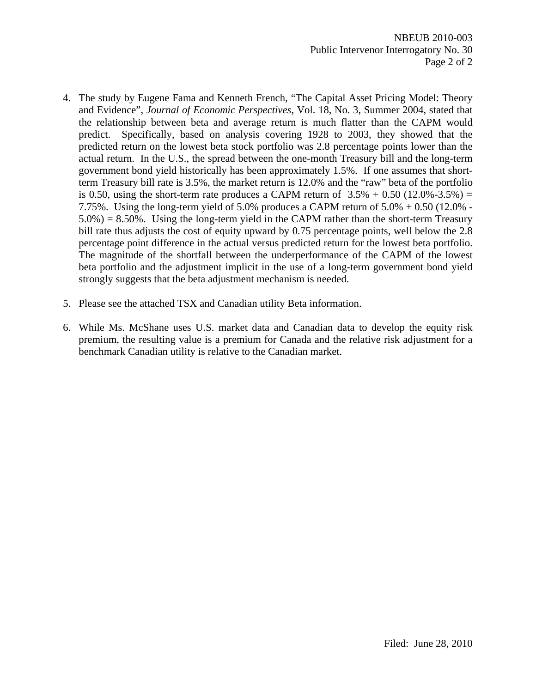- 4. The study by Eugene Fama and Kenneth French, "The Capital Asset Pricing Model: Theory and Evidence", *Journal of Economic Perspectives*, Vol. 18, No. 3, Summer 2004, stated that the relationship between beta and average return is much flatter than the CAPM would predict. Specifically, based on analysis covering 1928 to 2003, they showed that the predicted return on the lowest beta stock portfolio was 2.8 percentage points lower than the actual return. In the U.S., the spread between the one-month Treasury bill and the long-term government bond yield historically has been approximately 1.5%. If one assumes that shortterm Treasury bill rate is 3.5%, the market return is 12.0% and the "raw" beta of the portfolio is 0.50, using the short-term rate produces a CAPM return of  $3.5% + 0.50$  (12.0%-3.5%) = 7.75%. Using the long-term yield of 5.0% produces a CAPM return of 5.0% + 0.50 (12.0% -  $5.0\% = 8.50\%$ . Using the long-term yield in the CAPM rather than the short-term Treasury bill rate thus adjusts the cost of equity upward by 0.75 percentage points, well below the 2.8 percentage point difference in the actual versus predicted return for the lowest beta portfolio. The magnitude of the shortfall between the underperformance of the CAPM of the lowest beta portfolio and the adjustment implicit in the use of a long-term government bond yield strongly suggests that the beta adjustment mechanism is needed.
- 5. Please see the attached TSX and Canadian utility Beta information.
- 6. While Ms. McShane uses U.S. market data and Canadian data to develop the equity risk premium, the resulting value is a premium for Canada and the relative risk adjustment for a benchmark Canadian utility is relative to the Canadian market.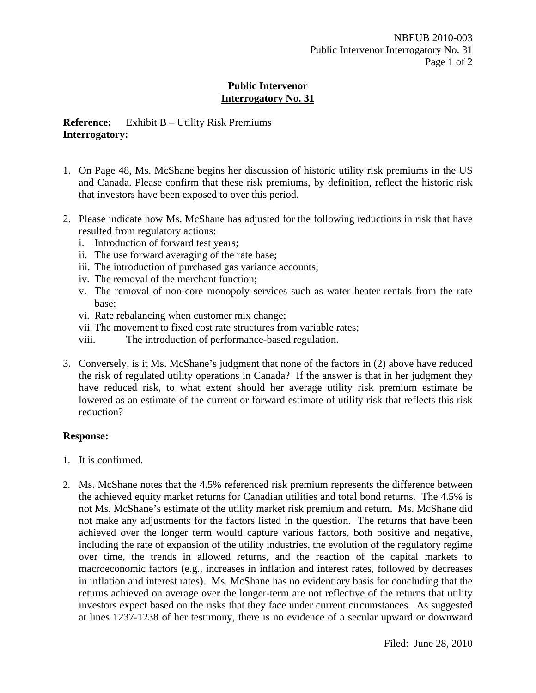# **Reference:** Exhibit B – Utility Risk Premiums **Interrogatory:**

- 1. On Page 48, Ms. McShane begins her discussion of historic utility risk premiums in the US and Canada. Please confirm that these risk premiums, by definition, reflect the historic risk that investors have been exposed to over this period.
- 2. Please indicate how Ms. McShane has adjusted for the following reductions in risk that have resulted from regulatory actions:
	- i. Introduction of forward test years;
	- ii. The use forward averaging of the rate base;
	- iii. The introduction of purchased gas variance accounts;
	- iv. The removal of the merchant function;
	- v. The removal of non-core monopoly services such as water heater rentals from the rate base;
	- vi. Rate rebalancing when customer mix change;
	- vii. The movement to fixed cost rate structures from variable rates;
	- viii. The introduction of performance-based regulation.
- 3. Conversely, is it Ms. McShane's judgment that none of the factors in (2) above have reduced the risk of regulated utility operations in Canada? If the answer is that in her judgment they have reduced risk, to what extent should her average utility risk premium estimate be lowered as an estimate of the current or forward estimate of utility risk that reflects this risk reduction?

- 1. It is confirmed.
- 2. Ms. McShane notes that the 4.5% referenced risk premium represents the difference between the achieved equity market returns for Canadian utilities and total bond returns. The 4.5% is not Ms. McShane's estimate of the utility market risk premium and return. Ms. McShane did not make any adjustments for the factors listed in the question. The returns that have been achieved over the longer term would capture various factors, both positive and negative, including the rate of expansion of the utility industries, the evolution of the regulatory regime over time, the trends in allowed returns, and the reaction of the capital markets to macroeconomic factors (e.g., increases in inflation and interest rates, followed by decreases in inflation and interest rates). Ms. McShane has no evidentiary basis for concluding that the returns achieved on average over the longer-term are not reflective of the returns that utility investors expect based on the risks that they face under current circumstances. As suggested at lines 1237-1238 of her testimony, there is no evidence of a secular upward or downward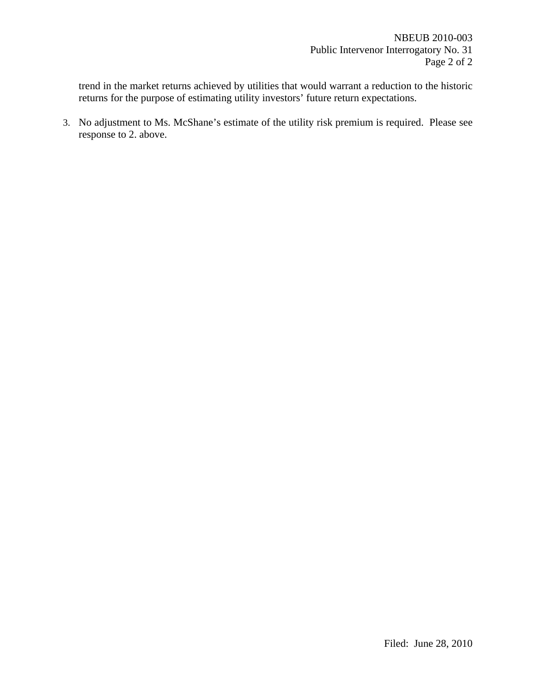trend in the market returns achieved by utilities that would warrant a reduction to the historic returns for the purpose of estimating utility investors' future return expectations.

3. No adjustment to Ms. McShane's estimate of the utility risk premium is required. Please see response to 2. above.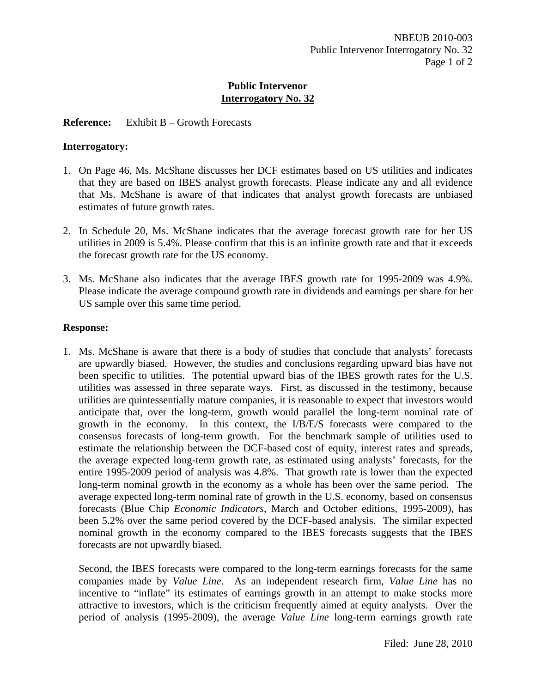## **Reference:** Exhibit B – Growth Forecasts

#### **Interrogatory:**

- 1. On Page 46, Ms. McShane discusses her DCF estimates based on US utilities and indicates that they are based on IBES analyst growth forecasts. Please indicate any and all evidence that Ms. McShane is aware of that indicates that analyst growth forecasts are unbiased estimates of future growth rates.
- 2. In Schedule 20, Ms. McShane indicates that the average forecast growth rate for her US utilities in 2009 is 5.4%. Please confirm that this is an infinite growth rate and that it exceeds the forecast growth rate for the US economy.
- 3. Ms. McShane also indicates that the average IBES growth rate for 1995-2009 was 4.9%. Please indicate the average compound growth rate in dividends and earnings per share for her US sample over this same time period.

#### **Response:**

1. Ms. McShane is aware that there is a body of studies that conclude that analysts' forecasts are upwardly biased. However, the studies and conclusions regarding upward bias have not been specific to utilities. The potential upward bias of the IBES growth rates for the U.S. utilities was assessed in three separate ways. First, as discussed in the testimony, because utilities are quintessentially mature companies, it is reasonable to expect that investors would anticipate that, over the long-term, growth would parallel the long-term nominal rate of growth in the economy. In this context, the I/B/E/S forecasts were compared to the consensus forecasts of long-term growth. For the benchmark sample of utilities used to estimate the relationship between the DCF-based cost of equity, interest rates and spreads, the average expected long-term growth rate, as estimated using analysts' forecasts, for the entire 1995-2009 period of analysis was 4.8%. That growth rate is lower than the expected long-term nominal growth in the economy as a whole has been over the same period. The average expected long-term nominal rate of growth in the U.S. economy, based on consensus forecasts (Blue Chip *Economic Indicators*, March and October editions, 1995-2009), has been 5.2% over the same period covered by the DCF-based analysis. The similar expected nominal growth in the economy compared to the IBES forecasts suggests that the IBES forecasts are not upwardly biased.

Second, the IBES forecasts were compared to the long-term earnings forecasts for the same companies made by *Value Line*. As an independent research firm, *Value Line* has no incentive to "inflate" its estimates of earnings growth in an attempt to make stocks more attractive to investors, which is the criticism frequently aimed at equity analysts. Over the period of analysis (1995-2009), the average *Value Line* long-term earnings growth rate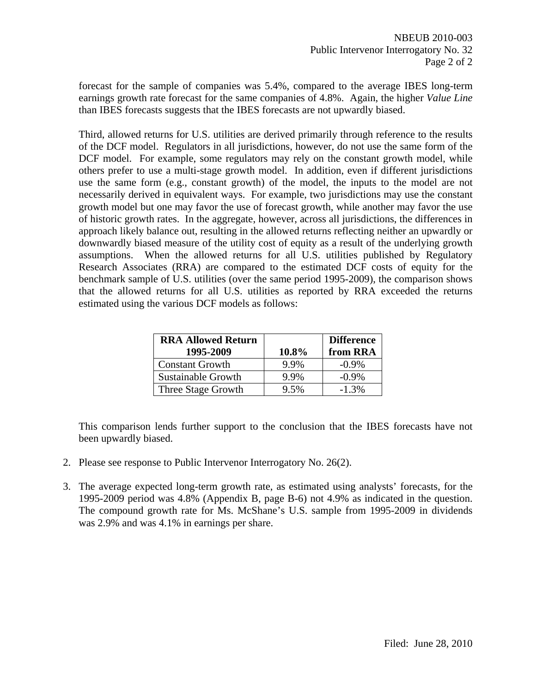forecast for the sample of companies was 5.4%, compared to the average IBES long-term earnings growth rate forecast for the same companies of 4.8%. Again, the higher *Value Line* than IBES forecasts suggests that the IBES forecasts are not upwardly biased.

Third, allowed returns for U.S. utilities are derived primarily through reference to the results of the DCF model. Regulators in all jurisdictions, however, do not use the same form of the DCF model. For example, some regulators may rely on the constant growth model, while others prefer to use a multi-stage growth model. In addition, even if different jurisdictions use the same form (e.g., constant growth) of the model, the inputs to the model are not necessarily derived in equivalent ways. For example, two jurisdictions may use the constant growth model but one may favor the use of forecast growth, while another may favor the use of historic growth rates. In the aggregate, however, across all jurisdictions, the differences in approach likely balance out, resulting in the allowed returns reflecting neither an upwardly or downwardly biased measure of the utility cost of equity as a result of the underlying growth assumptions. When the allowed returns for all U.S. utilities published by Regulatory Research Associates (RRA) are compared to the estimated DCF costs of equity for the benchmark sample of U.S. utilities (over the same period 1995-2009), the comparison shows that the allowed returns for all U.S. utilities as reported by RRA exceeded the returns estimated using the various DCF models as follows:

| <b>RRA Allowed Return</b><br>1995-2009 | 10.8% | <b>Difference</b><br>from RRA |
|----------------------------------------|-------|-------------------------------|
| <b>Constant Growth</b>                 | 9.9%  | $-0.9\%$                      |
| Sustainable Growth                     | 9.9%  | $-0.9\%$                      |
| Three Stage Growth                     | 9.5%  | $-1.3\%$                      |

This comparison lends further support to the conclusion that the IBES forecasts have not been upwardly biased.

- 2. Please see response to Public Intervenor Interrogatory No. 26(2).
- 3. The average expected long-term growth rate, as estimated using analysts' forecasts, for the 1995-2009 period was 4.8% (Appendix B, page B-6) not 4.9% as indicated in the question. The compound growth rate for Ms. McShane's U.S. sample from 1995-2009 in dividends was 2.9% and was 4.1% in earnings per share.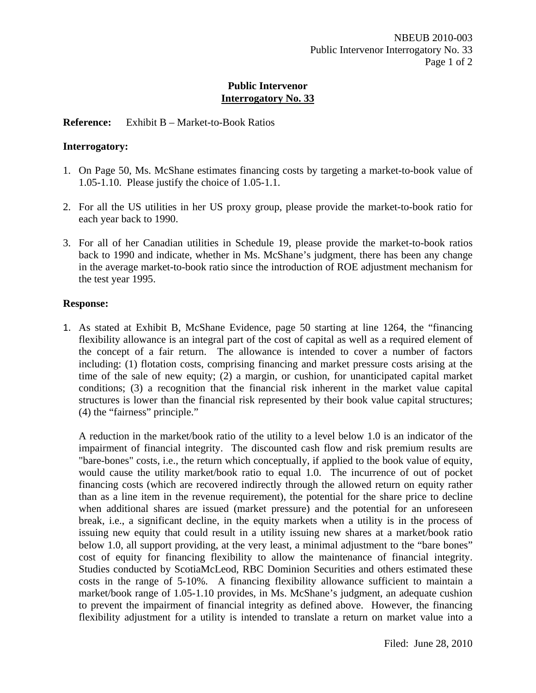# **Reference:** Exhibit B – Market-to-Book Ratios

## **Interrogatory:**

- 1. On Page 50, Ms. McShane estimates financing costs by targeting a market-to-book value of 1.05-1.10. Please justify the choice of 1.05-1.1.
- 2. For all the US utilities in her US proxy group, please provide the market-to-book ratio for each year back to 1990.
- 3. For all of her Canadian utilities in Schedule 19, please provide the market-to-book ratios back to 1990 and indicate, whether in Ms. McShane's judgment, there has been any change in the average market-to-book ratio since the introduction of ROE adjustment mechanism for the test year 1995.

# **Response:**

1. As stated at Exhibit B, McShane Evidence, page 50 starting at line 1264, the "financing flexibility allowance is an integral part of the cost of capital as well as a required element of the concept of a fair return. The allowance is intended to cover a number of factors including: (1) flotation costs, comprising financing and market pressure costs arising at the time of the sale of new equity; (2) a margin, or cushion, for unanticipated capital market conditions; (3) a recognition that the financial risk inherent in the market value capital structures is lower than the financial risk represented by their book value capital structures; (4) the "fairness" principle."

A reduction in the market/book ratio of the utility to a level below 1.0 is an indicator of the impairment of financial integrity. The discounted cash flow and risk premium results are "bare-bones" costs, i.e., the return which conceptually, if applied to the book value of equity, would cause the utility market/book ratio to equal 1.0. The incurrence of out of pocket financing costs (which are recovered indirectly through the allowed return on equity rather than as a line item in the revenue requirement), the potential for the share price to decline when additional shares are issued (market pressure) and the potential for an unforeseen break, i.e., a significant decline, in the equity markets when a utility is in the process of issuing new equity that could result in a utility issuing new shares at a market/book ratio below 1.0, all support providing, at the very least, a minimal adjustment to the "bare bones" cost of equity for financing flexibility to allow the maintenance of financial integrity. Studies conducted by ScotiaMcLeod, RBC Dominion Securities and others estimated these costs in the range of 5-10%. A financing flexibility allowance sufficient to maintain a market/book range of 1.05-1.10 provides, in Ms. McShane's judgment, an adequate cushion to prevent the impairment of financial integrity as defined above. However, the financing flexibility adjustment for a utility is intended to translate a return on market value into a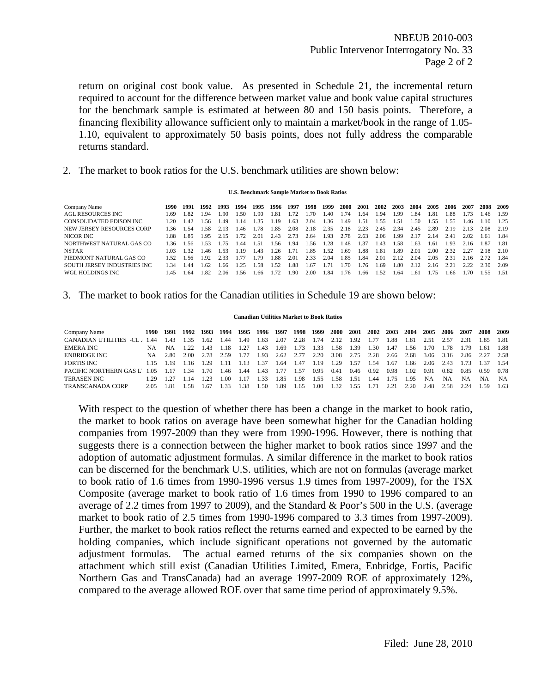NBEUB 2010-003 Public Intervenor Interrogatory No. 33 Page 2 of 2

return on original cost book value. As presented in Schedule 21, the incremental return required to account for the difference between market value and book value capital structures for the benchmark sample is estimated at between 80 and 150 basis points. Therefore, a financing flexibility allowance sufficient only to maintain a market/book in the range of 1.05- 1.10, equivalent to approximately 50 basis points, does not fully address the comparable returns standard.

2. The market to book ratios for the U.S. benchmark utilities are shown below:

#### **U.S. Benchmark Sample Market to Book Ratios**

| Company Name                | 1990- | 1991  | 1992  | 1993 | 1994 | 1995 | 1996 | 1997  | 1998 | 1999 | <b>2000</b> | 2001 | 2002 | 2003 | 2004 | 2005 | 2006 | 2007 | 2008  | - 2009 |
|-----------------------------|-------|-------|-------|------|------|------|------|-------|------|------|-------------|------|------|------|------|------|------|------|-------|--------|
| AGL RESOURCES INC           | - 69  | 182   | 1.94  | -90  | 1.50 | 1.90 | 1.81 | 1.72  | 1.70 | .40  | .74         | .64  | 1.94 | 1.99 | L.84 | 1.81 | 1.88 | 1.73 | .46   | 1.59   |
| CONSOLIDATED EDISON INC.    | 1 20  | 142   | 1 56. | -49  | 1.14 | 135  | 1.19 | 1.63  | 2.04 | 1.36 | .49         | .51  | -55  | 1.51 | -50  | 155  | 1.55 | .46  | - 10  | 1.25   |
| NEW JERSEY RESOURCES CORP   | - 36  | 1.54  | 1.58. | 2.13 | 1.46 | 1.78 | 1.85 | 2.08  | 2.18 | 2.35 | 2.18        | 2.23 | 2.45 | 2.34 | 2.45 | 2.89 | 2.19 | 2.13 | 2.08  | 2.19   |
| NICOR INC                   | - 88  | 185   | 1.95  | 2.15 | -72  | 2.01 | 2.43 | 2.73  | 2.64 | 1.93 | 2.78        | 2.63 | 2.06 | 1.99 | 2.17 | 2.14 | 2.41 | 2.02 | 1.61  | 184    |
| NORTHWEST NATURAL GAS CO    | 136   | 156   | 1.53  | 1.75 | 44   | 1.51 | 1.56 | 1.94  | 1.56 | 1.28 | l.48        | 1.37 | 1.43 | 1.58 | 1.63 | 1.61 | 1.93 | 2.16 | -1.87 | 1.81   |
| <b>NSTAR</b>                |       | 132   | l 46  | -53  | 119  | 1.43 | 1.26 | 1 7 1 | 1.85 | 1.52 | .69         | .88  | 1.81 | 1.89 | 2.01 | 2.00 | 2.32 | 2.27 | 2.18  | 2.10   |
| PIEDMONT NATURAL GAS CO     | 1.52  | 1 56. | 1.92  | 2.33 | 177  | 179  | 1.88 | 2.01  | 2.33 | 2.04 | 1.85        | .84  | 2.01 | 2.12 | 2.04 | 2.05 | 2.31 | 2.16 |       | 1.84   |
| SOUTH JERSEY INDUSTRIES INC | 1 34  | .44   | 1.62  | .66  | 1.25 | 1.58 | 1.52 | L.88  | 1.67 | 171  | .70         | .76  | .69  | 1.80 | 2.12 | 2.16 | 221  | 2.22 | 2.30  | 2.09   |
| WGL HOLDINGS INC            | -45   | 1.64  | 1.82  | 2.06 | 1.56 | 1.66 | 1.72 | 1.90  | 2.00 | 1.84 | .76         | -66  | -52  | 1.64 | 1.61 | l 75 | 1 66 | .70  | 155   | 151    |
|                             |       |       |       |      |      |      |      |       |      |      |             |      |      |      |      |      |      |      |       |        |

#### 3. The market to book ratios for the Canadian utilities in Schedule 19 are shown below:

#### **Canadian Utilities Market to Book Ratios**

| Company Name            |       | 1990 1991 | 1992 1993 |      | 1994 | 1995 | 1996 1997   |      | 1998 | 1999 | <b>2000</b> | <b>2001</b> | 2002 | 2003 2004 |      | 2005 | 2006      | 2007      | 2008 | 2009  |
|-------------------------|-------|-----------|-----------|------|------|------|-------------|------|------|------|-------------|-------------|------|-----------|------|------|-----------|-----------|------|-------|
| CANADIAN UTILITIES -CI  | 44    | -43       | -35       | 1.62 | .44  | 1.49 | .63         | 2.07 | 2.28 | 1.74 | 2.12        | 1.92        | 1.77 | .88       | 1.81 | 2.51 | 2.57      | 2.31      | 1.85 | 1.81  |
| EMERA INC               | NA    | NA.       | 122       | 1.43 | 1.18 | 1.27 | 43          | 1.69 | 1.73 | 1.33 | 1.58        | 1.39        | 1.30 | 1.47      | .56  | .70  | 1.78      | 1.79      | 1.61 | -1.88 |
| ENBRIDGE INC            | NA –  | 2.80      | 2.00      | 2.78 | 2.59 | 1.77 | .93         | 2.62 | 2.77 | 2.20 | 3.08        | 2.75        | 2.28 | 2.66      | 2.68 | 3.06 | 3.16      | 2.86 2.27 |      | 2.58  |
| FORTIS INC              |       | 115 119   | 116       | 1.29 |      | 13   | .37         | 1.64 | 1.47 | 1.19 | 1.29        | 1.57        | 1.54 | 1.67      | 1.66 | 2.06 | 2.43      | 1.73      | 137  | 1.54  |
| PACIFIC NORTHERN GAS L' | 1.05  |           | 34        | 1.70 | '.46 | 1.44 | 43          | 1.77 | 1.57 | 0.95 | 0.41        | 0.46        | 0.92 | 0.98      | 1.02 | 0.91 | 0.82      | 0.85      | 0.59 | 0.78  |
| TERASEN INC             | 1.29. | 1.27      | l 14      |      | - 00 |      | -33         | 1.85 | 1.98 | 1.55 | 1.58        | 1.51        | 1.44 | -75       | 1.95 | NA   | <b>NA</b> | <b>NA</b> | NA.  | - NA  |
| TRANSCANADA CORP        | 2.05  | 1.81      | .58       | .67  |      | .38  | <b>1.50</b> | .89  | 1.65 | 1.00 | 1.32        | 1.55        |      | 2.2       | 2.20 | 2.48 | 2.58      | 2.24      | 1.59 | 1.63  |

With respect to the question of whether there has been a change in the market to book ratio, the market to book ratios on average have been somewhat higher for the Canadian holding companies from 1997-2009 than they were from 1990-1996. However, there is nothing that suggests there is a connection between the higher market to book ratios since 1997 and the adoption of automatic adjustment formulas. A similar difference in the market to book ratios can be discerned for the benchmark U.S. utilities, which are not on formulas (average market to book ratio of 1.6 times from 1990-1996 versus 1.9 times from 1997-2009), for the TSX Composite (average market to book ratio of 1.6 times from 1990 to 1996 compared to an average of 2.2 times from 1997 to 2009), and the Standard & Poor's 500 in the U.S. (average market to book ratio of 2.5 times from 1990-1996 compared to 3.3 times from 1997-2009). Further, the market to book ratios reflect the returns earned and expected to be earned by the holding companies, which include significant operations not governed by the automatic adjustment formulas. The actual earned returns of the six companies shown on the attachment which still exist (Canadian Utilities Limited, Emera, Enbridge, Fortis, Pacific Northern Gas and TransCanada) had an average 1997-2009 ROE of approximately 12%, compared to the average allowed ROE over that same time period of approximately 9.5%.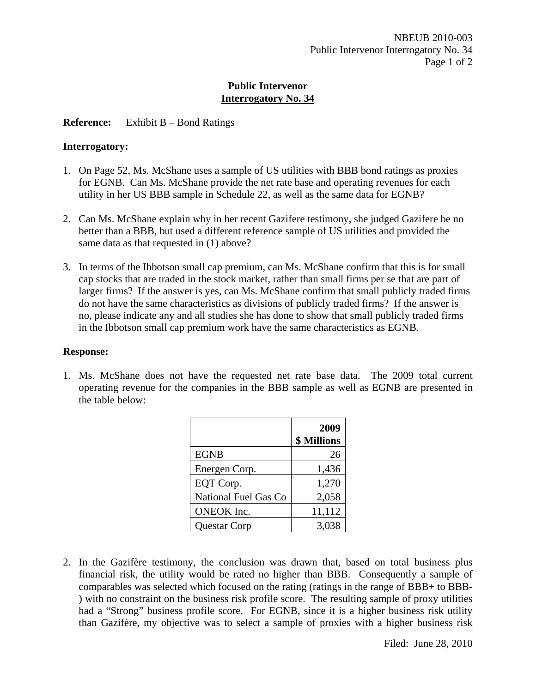# **Reference:** Exhibit B – Bond Ratings

# **Interrogatory:**

- 1. On Page 52, Ms. McShane uses a sample of US utilities with BBB bond ratings as proxies for EGNB. Can Ms. McShane provide the net rate base and operating revenues for each utility in her US BBB sample in Schedule 22, as well as the same data for EGNB?
- 2. Can Ms. McShane explain why in her recent Gazifere testimony, she judged Gazifere be no better than a BBB, but used a different reference sample of US utilities and provided the same data as that requested in (1) above?
- 3. In terms of the Ibbotson small cap premium, can Ms. McShane confirm that this is for small cap stocks that are traded in the stock market, rather than small firms per se that are part of larger firms? If the answer is yes, can Ms. McShane confirm that small publicly traded firms do not have the same characteristics as divisions of publicly traded firms? If the answer is no, please indicate any and all studies she has done to show that small publicly traded firms in the Ibbotson small cap premium work have the same characteristics as EGNB.

# **Response:**

1. Ms. McShane does not have the requested net rate base data. The 2009 total current operating revenue for the companies in the BBB sample as well as EGNB are presented in the table below:

|                      | 2009<br><b>\$ Millions</b> |
|----------------------|----------------------------|
| <b>EGNB</b>          | 26                         |
| Energen Corp.        | 1,436                      |
| EQT Corp.            | 1,270                      |
| National Fuel Gas Co | 2,058                      |
| <b>ONEOK</b> Inc.    | 11,112                     |
| <b>Questar Corp</b>  | 3.038                      |

2. In the Gazifère testimony, the conclusion was drawn that, based on total business plus financial risk, the utility would be rated no higher than BBB. Consequently a sample of comparables was selected which focused on the rating (ratings in the range of BBB+ to BBB- ) with no constraint on the business risk profile score. The resulting sample of proxy utilities had a "Strong" business profile score. For EGNB, since it is a higher business risk utility than Gazifère, my objective was to select a sample of proxies with a higher business risk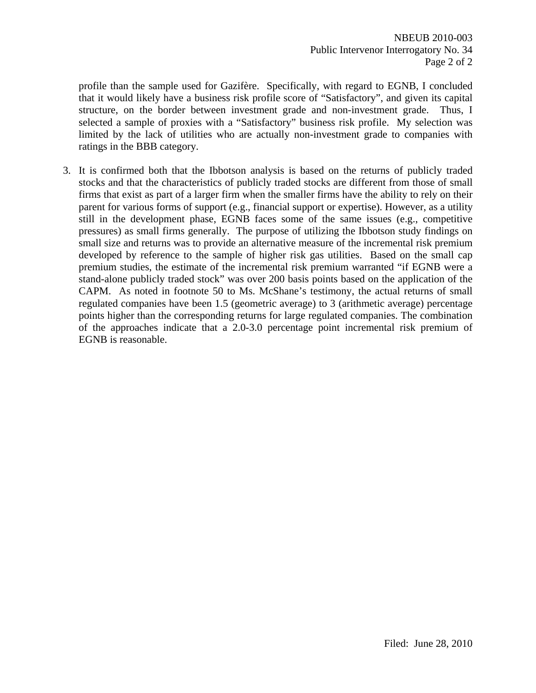profile than the sample used for Gazifère. Specifically, with regard to EGNB, I concluded that it would likely have a business risk profile score of "Satisfactory", and given its capital structure, on the border between investment grade and non-investment grade. Thus, I selected a sample of proxies with a "Satisfactory" business risk profile. My selection was limited by the lack of utilities who are actually non-investment grade to companies with ratings in the BBB category.

3. It is confirmed both that the Ibbotson analysis is based on the returns of publicly traded stocks and that the characteristics of publicly traded stocks are different from those of small firms that exist as part of a larger firm when the smaller firms have the ability to rely on their parent for various forms of support (e.g., financial support or expertise). However, as a utility still in the development phase, EGNB faces some of the same issues (e.g., competitive pressures) as small firms generally. The purpose of utilizing the Ibbotson study findings on small size and returns was to provide an alternative measure of the incremental risk premium developed by reference to the sample of higher risk gas utilities. Based on the small cap premium studies, the estimate of the incremental risk premium warranted "if EGNB were a stand-alone publicly traded stock" was over 200 basis points based on the application of the CAPM. As noted in footnote 50 to Ms. McShane's testimony, the actual returns of small regulated companies have been 1.5 (geometric average) to 3 (arithmetic average) percentage points higher than the corresponding returns for large regulated companies. The combination of the approaches indicate that a 2.0-3.0 percentage point incremental risk premium of EGNB is reasonable.